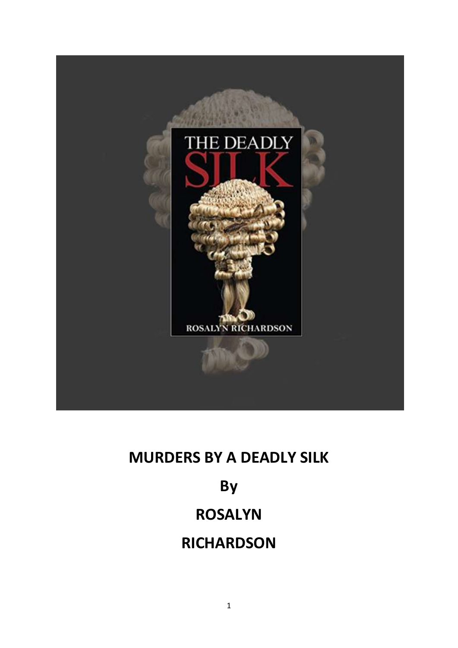

#### **MURDERS BY A DEADLY SILK**

# **By**

## **ROSALYN**

### **RICHARDSON**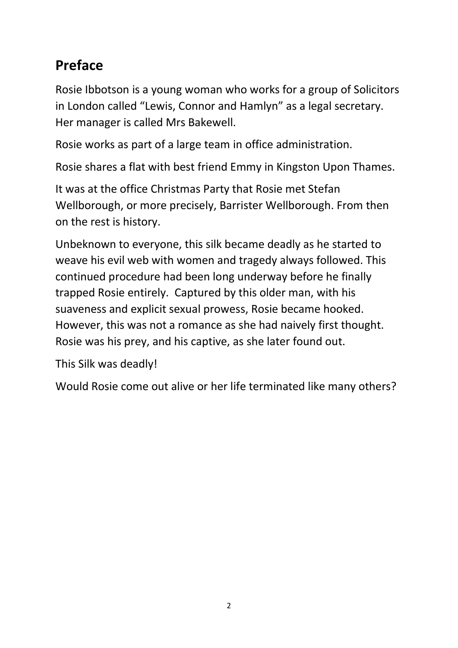### **Preface**

Rosie Ibbotson is a young woman who works for a group of Solicitors in London called "Lewis, Connor and Hamlyn" as a legal secretary. Her manager is called Mrs Bakewell.

Rosie works as part of a large team in office administration.

Rosie shares a flat with best friend Emmy in Kingston Upon Thames.

It was at the office Christmas Party that Rosie met Stefan Wellborough, or more precisely, Barrister Wellborough. From then on the rest is history.

Unbeknown to everyone, this silk became deadly as he started to weave his evil web with women and tragedy always followed. This continued procedure had been long underway before he finally trapped Rosie entirely. Captured by this older man, with his suaveness and explicit sexual prowess, Rosie became hooked. However, this was not a romance as she had naively first thought. Rosie was his prey, and his captive, as she later found out.

This Silk was deadly!

Would Rosie come out alive or her life terminated like many others?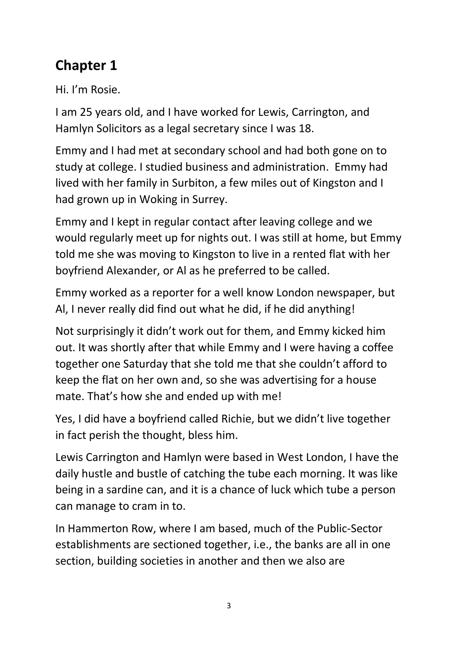### **Chapter 1**

Hi. I'm Rosie.

I am 25 years old, and I have worked for Lewis, Carrington, and Hamlyn Solicitors as a legal secretary since I was 18.

Emmy and I had met at secondary school and had both gone on to study at college. I studied business and administration. Emmy had lived with her family in Surbiton, a few miles out of Kingston and I had grown up in Woking in Surrey.

Emmy and I kept in regular contact after leaving college and we would regularly meet up for nights out. I was still at home, but Emmy told me she was moving to Kingston to live in a rented flat with her boyfriend Alexander, or Al as he preferred to be called.

Emmy worked as a reporter for a well know London newspaper, but Al, I never really did find out what he did, if he did anything!

Not surprisingly it didn't work out for them, and Emmy kicked him out. It was shortly after that while Emmy and I were having a coffee together one Saturday that she told me that she couldn't afford to keep the flat on her own and, so she was advertising for a house mate. That's how she and ended up with me!

Yes, I did have a boyfriend called Richie, but we didn't live together in fact perish the thought, bless him.

Lewis Carrington and Hamlyn were based in West London, I have the daily hustle and bustle of catching the tube each morning. It was like being in a sardine can, and it is a chance of luck which tube a person can manage to cram in to.

In Hammerton Row, where I am based, much of the Public-Sector establishments are sectioned together, i.e., the banks are all in one section, building societies in another and then we also are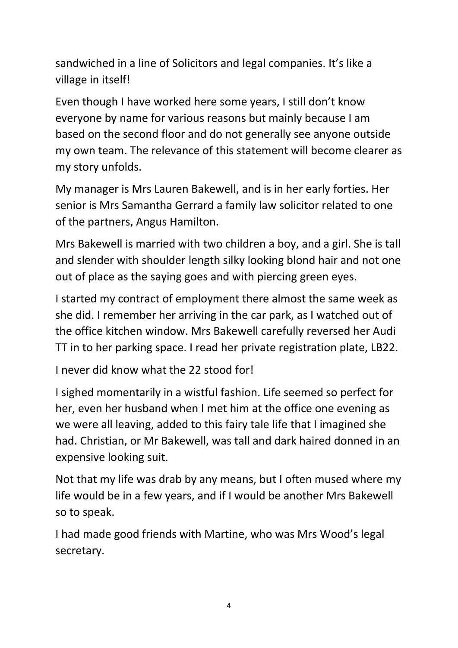sandwiched in a line of Solicitors and legal companies. It's like a village in itself!

Even though I have worked here some years, I still don't know everyone by name for various reasons but mainly because I am based on the second floor and do not generally see anyone outside my own team. The relevance of this statement will become clearer as my story unfolds.

My manager is Mrs Lauren Bakewell, and is in her early forties. Her senior is Mrs Samantha Gerrard a family law solicitor related to one of the partners, Angus Hamilton.

Mrs Bakewell is married with two children a boy, and a girl. She is tall and slender with shoulder length silky looking blond hair and not one out of place as the saying goes and with piercing green eyes.

I started my contract of employment there almost the same week as she did. I remember her arriving in the car park, as I watched out of the office kitchen window. Mrs Bakewell carefully reversed her Audi TT in to her parking space. I read her private registration plate, LB22.

I never did know what the 22 stood for!

I sighed momentarily in a wistful fashion. Life seemed so perfect for her, even her husband when I met him at the office one evening as we were all leaving, added to this fairy tale life that I imagined she had. Christian, or Mr Bakewell, was tall and dark haired donned in an expensive looking suit.

Not that my life was drab by any means, but I often mused where my life would be in a few years, and if I would be another Mrs Bakewell so to speak.

I had made good friends with Martine, who was Mrs Wood's legal secretary.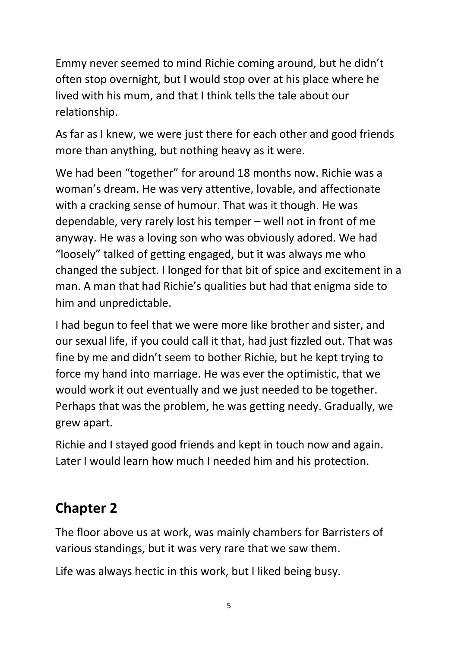Emmy never seemed to mind Richie coming around, but he didn't often stop overnight, but I would stop over at his place where he lived with his mum, and that I think tells the tale about our relationship.

As far as I knew, we were just there for each other and good friends more than anything, but nothing heavy as it were.

We had been "together" for around 18 months now. Richie was a woman's dream. He was very attentive, lovable, and affectionate with a cracking sense of humour. That was it though. He was dependable, very rarely lost his temper – well not in front of me anyway. He was a loving son who was obviously adored. We had "loosely" talked of getting engaged, but it was always me who changed the subject. I longed for that bit of spice and excitement in a man. A man that had Richie's qualities but had that enigma side to him and unpredictable.

I had begun to feel that we were more like brother and sister, and our sexual life, if you could call it that, had just fizzled out. That was fine by me and didn't seem to bother Richie, but he kept trying to force my hand into marriage. He was ever the optimistic, that we would work it out eventually and we just needed to be together. Perhaps that was the problem, he was getting needy. Gradually, we grew apart.

Richie and I stayed good friends and kept in touch now and again. Later I would learn how much I needed him and his protection.

### **Chapter 2**

The floor above us at work, was mainly chambers for Barristers of various standings, but it was very rare that we saw them.

Life was always hectic in this work, but I liked being busy.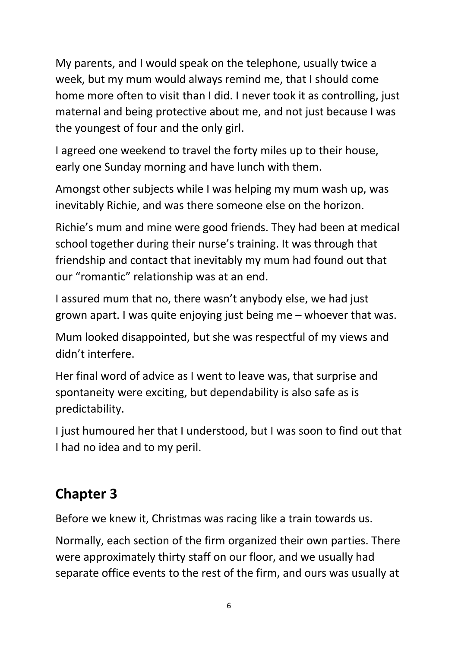My parents, and I would speak on the telephone, usually twice a week, but my mum would always remind me, that I should come home more often to visit than I did. I never took it as controlling, just maternal and being protective about me, and not just because I was the youngest of four and the only girl.

I agreed one weekend to travel the forty miles up to their house, early one Sunday morning and have lunch with them.

Amongst other subjects while I was helping my mum wash up, was inevitably Richie, and was there someone else on the horizon.

Richie's mum and mine were good friends. They had been at medical school together during their nurse's training. It was through that friendship and contact that inevitably my mum had found out that our "romantic" relationship was at an end.

I assured mum that no, there wasn't anybody else, we had just grown apart. I was quite enjoying just being me – whoever that was.

Mum looked disappointed, but she was respectful of my views and didn't interfere.

Her final word of advice as I went to leave was, that surprise and spontaneity were exciting, but dependability is also safe as is predictability.

I just humoured her that I understood, but I was soon to find out that I had no idea and to my peril.

### **Chapter 3**

Before we knew it, Christmas was racing like a train towards us.

Normally, each section of the firm organized their own parties. There were approximately thirty staff on our floor, and we usually had separate office events to the rest of the firm, and ours was usually at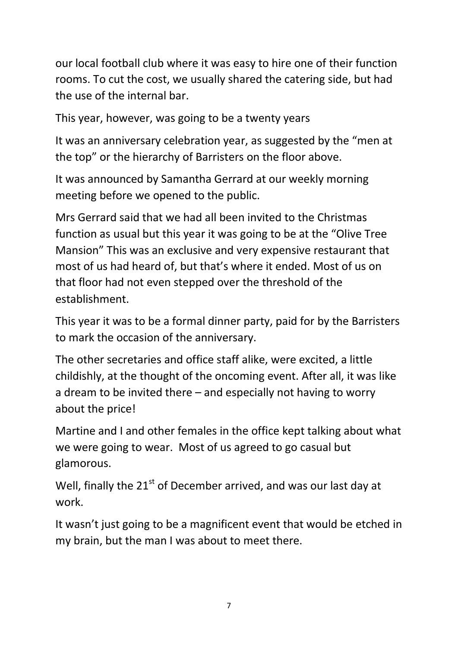our local football club where it was easy to hire one of their function rooms. To cut the cost, we usually shared the catering side, but had the use of the internal bar.

This year, however, was going to be a twenty years

It was an anniversary celebration year, as suggested by the "men at the top" or the hierarchy of Barristers on the floor above.

It was announced by Samantha Gerrard at our weekly morning meeting before we opened to the public.

Mrs Gerrard said that we had all been invited to the Christmas function as usual but this year it was going to be at the "Olive Tree Mansion" This was an exclusive and very expensive restaurant that most of us had heard of, but that's where it ended. Most of us on that floor had not even stepped over the threshold of the establishment.

This year it was to be a formal dinner party, paid for by the Barristers to mark the occasion of the anniversary.

The other secretaries and office staff alike, were excited, a little childishly, at the thought of the oncoming event. After all, it was like a dream to be invited there – and especially not having to worry about the price!

Martine and I and other females in the office kept talking about what we were going to wear. Most of us agreed to go casual but glamorous.

Well, finally the 21<sup>st</sup> of December arrived, and was our last day at work.

It wasn't just going to be a magnificent event that would be etched in my brain, but the man I was about to meet there.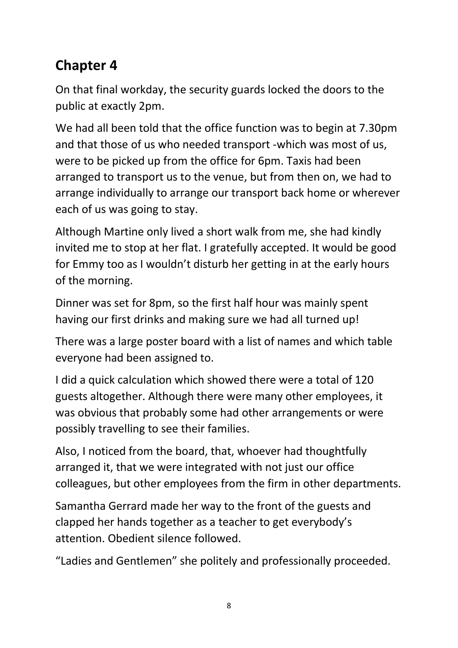## **Chapter 4**

On that final workday, the security guards locked the doors to the public at exactly 2pm.

We had all been told that the office function was to begin at 7.30pm and that those of us who needed transport -which was most of us, were to be picked up from the office for 6pm. Taxis had been arranged to transport us to the venue, but from then on, we had to arrange individually to arrange our transport back home or wherever each of us was going to stay.

Although Martine only lived a short walk from me, she had kindly invited me to stop at her flat. I gratefully accepted. It would be good for Emmy too as I wouldn't disturb her getting in at the early hours of the morning.

Dinner was set for 8pm, so the first half hour was mainly spent having our first drinks and making sure we had all turned up!

There was a large poster board with a list of names and which table everyone had been assigned to.

I did a quick calculation which showed there were a total of 120 guests altogether. Although there were many other employees, it was obvious that probably some had other arrangements or were possibly travelling to see their families.

Also, I noticed from the board, that, whoever had thoughtfully arranged it, that we were integrated with not just our office colleagues, but other employees from the firm in other departments.

Samantha Gerrard made her way to the front of the guests and clapped her hands together as a teacher to get everybody's attention. Obedient silence followed.

"Ladies and Gentlemen" she politely and professionally proceeded.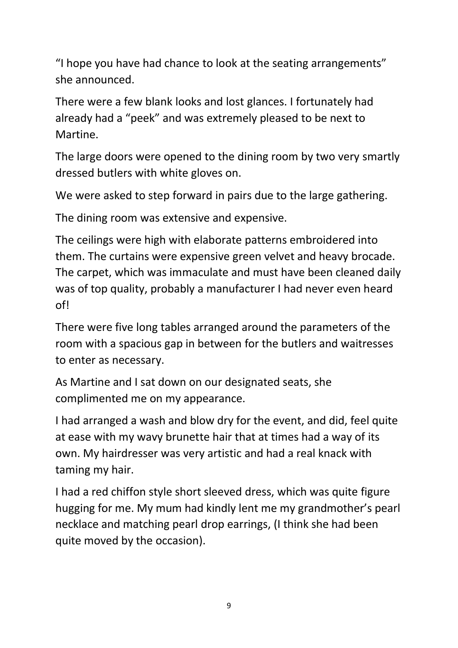"I hope you have had chance to look at the seating arrangements" she announced.

There were a few blank looks and lost glances. I fortunately had already had a "peek" and was extremely pleased to be next to Martine.

The large doors were opened to the dining room by two very smartly dressed butlers with white gloves on.

We were asked to step forward in pairs due to the large gathering.

The dining room was extensive and expensive.

The ceilings were high with elaborate patterns embroidered into them. The curtains were expensive green velvet and heavy brocade. The carpet, which was immaculate and must have been cleaned daily was of top quality, probably a manufacturer I had never even heard of!

There were five long tables arranged around the parameters of the room with a spacious gap in between for the butlers and waitresses to enter as necessary.

As Martine and I sat down on our designated seats, she complimented me on my appearance.

I had arranged a wash and blow dry for the event, and did, feel quite at ease with my wavy brunette hair that at times had a way of its own. My hairdresser was very artistic and had a real knack with taming my hair.

I had a red chiffon style short sleeved dress, which was quite figure hugging for me. My mum had kindly lent me my grandmother's pearl necklace and matching pearl drop earrings, (I think she had been quite moved by the occasion).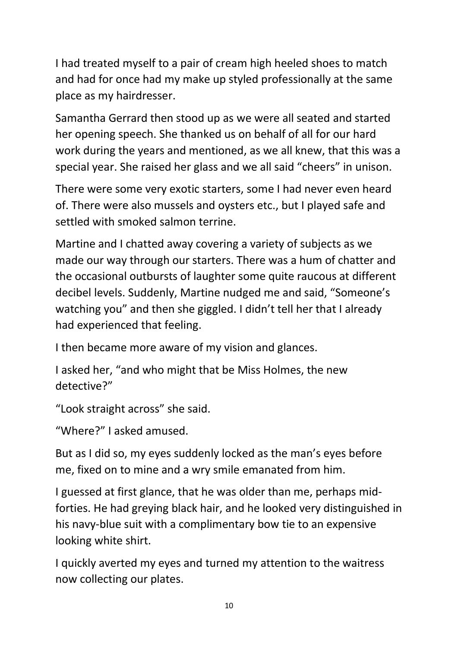I had treated myself to a pair of cream high heeled shoes to match and had for once had my make up styled professionally at the same place as my hairdresser.

Samantha Gerrard then stood up as we were all seated and started her opening speech. She thanked us on behalf of all for our hard work during the years and mentioned, as we all knew, that this was a special year. She raised her glass and we all said "cheers" in unison.

There were some very exotic starters, some I had never even heard of. There were also mussels and oysters etc., but I played safe and settled with smoked salmon terrine.

Martine and I chatted away covering a variety of subjects as we made our way through our starters. There was a hum of chatter and the occasional outbursts of laughter some quite raucous at different decibel levels. Suddenly, Martine nudged me and said, "Someone's watching you" and then she giggled. I didn't tell her that I already had experienced that feeling.

I then became more aware of my vision and glances.

I asked her, "and who might that be Miss Holmes, the new detective?"

"Look straight across" she said.

"Where?" I asked amused.

But as I did so, my eyes suddenly locked as the man's eyes before me, fixed on to mine and a wry smile emanated from him.

I guessed at first glance, that he was older than me, perhaps midforties. He had greying black hair, and he looked very distinguished in his navy-blue suit with a complimentary bow tie to an expensive looking white shirt.

I quickly averted my eyes and turned my attention to the waitress now collecting our plates.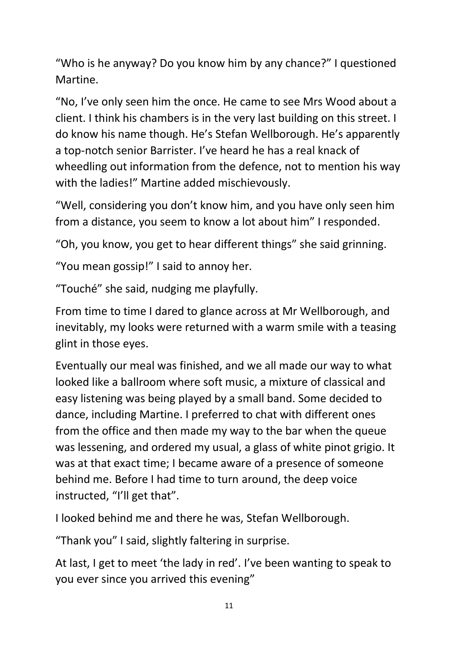"Who is he anyway? Do you know him by any chance?" I questioned Martine.

"No, I've only seen him the once. He came to see Mrs Wood about a client. I think his chambers is in the very last building on this street. I do know his name though. He's Stefan Wellborough. He's apparently a top-notch senior Barrister. I've heard he has a real knack of wheedling out information from the defence, not to mention his way with the ladies!" Martine added mischievously.

"Well, considering you don't know him, and you have only seen him from a distance, you seem to know a lot about him" I responded.

"Oh, you know, you get to hear different things" she said grinning.

"You mean gossip!" I said to annoy her.

"Touché" she said, nudging me playfully.

From time to time I dared to glance across at Mr Wellborough, and inevitably, my looks were returned with a warm smile with a teasing glint in those eyes.

Eventually our meal was finished, and we all made our way to what looked like a ballroom where soft music, a mixture of classical and easy listening was being played by a small band. Some decided to dance, including Martine. I preferred to chat with different ones from the office and then made my way to the bar when the queue was lessening, and ordered my usual, a glass of white pinot grigio. It was at that exact time; I became aware of a presence of someone behind me. Before I had time to turn around, the deep voice instructed, "I'll get that".

I looked behind me and there he was, Stefan Wellborough.

"Thank you" I said, slightly faltering in surprise.

At last, I get to meet 'the lady in red'. I've been wanting to speak to you ever since you arrived this evening"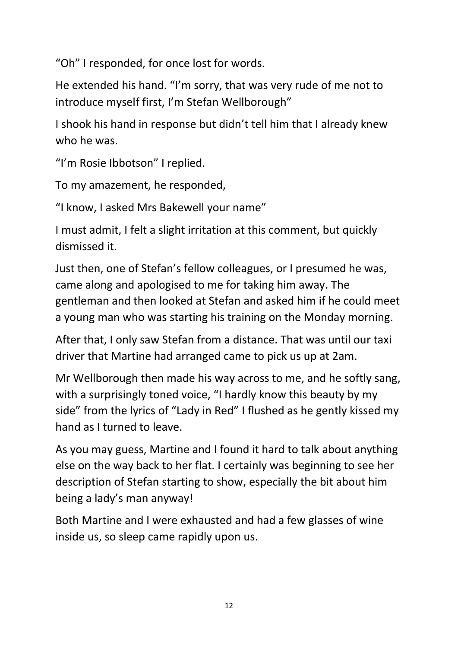"Oh" I responded, for once lost for words.

He extended his hand. "I'm sorry, that was very rude of me not to introduce myself first, I'm Stefan Wellborough"

I shook his hand in response but didn't tell him that I already knew who he was.

"I'm Rosie Ibbotson" I replied.

To my amazement, he responded,

"I know, I asked Mrs Bakewell your name"

I must admit, I felt a slight irritation at this comment, but quickly dismissed it.

Just then, one of Stefan's fellow colleagues, or I presumed he was, came along and apologised to me for taking him away. The gentleman and then looked at Stefan and asked him if he could meet a young man who was starting his training on the Monday morning.

After that, I only saw Stefan from a distance. That was until our taxi driver that Martine had arranged came to pick us up at 2am.

Mr Wellborough then made his way across to me, and he softly sang, with a surprisingly toned voice, "I hardly know this beauty by my side" from the lyrics of "Lady in Red" I flushed as he gently kissed my hand as I turned to leave.

As you may guess, Martine and I found it hard to talk about anything else on the way back to her flat. I certainly was beginning to see her description of Stefan starting to show, especially the bit about him being a lady's man anyway!

Both Martine and I were exhausted and had a few glasses of wine inside us, so sleep came rapidly upon us.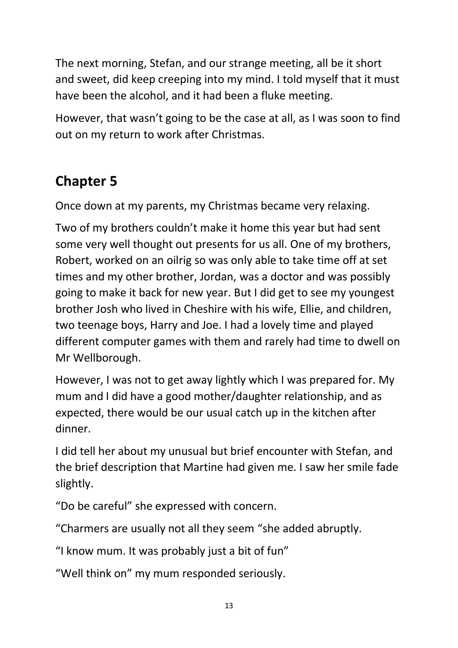The next morning, Stefan, and our strange meeting, all be it short and sweet, did keep creeping into my mind. I told myself that it must have been the alcohol, and it had been a fluke meeting.

However, that wasn't going to be the case at all, as I was soon to find out on my return to work after Christmas.

### **Chapter 5**

Once down at my parents, my Christmas became very relaxing.

Two of my brothers couldn't make it home this year but had sent some very well thought out presents for us all. One of my brothers, Robert, worked on an oilrig so was only able to take time off at set times and my other brother, Jordan, was a doctor and was possibly going to make it back for new year. But I did get to see my youngest brother Josh who lived in Cheshire with his wife, Ellie, and children, two teenage boys, Harry and Joe. I had a lovely time and played different computer games with them and rarely had time to dwell on Mr Wellborough.

However, I was not to get away lightly which I was prepared for. My mum and I did have a good mother/daughter relationship, and as expected, there would be our usual catch up in the kitchen after dinner.

I did tell her about my unusual but brief encounter with Stefan, and the brief description that Martine had given me. I saw her smile fade slightly.

"Do be careful" she expressed with concern.

"Charmers are usually not all they seem "she added abruptly.

"I know mum. It was probably just a bit of fun"

"Well think on" my mum responded seriously.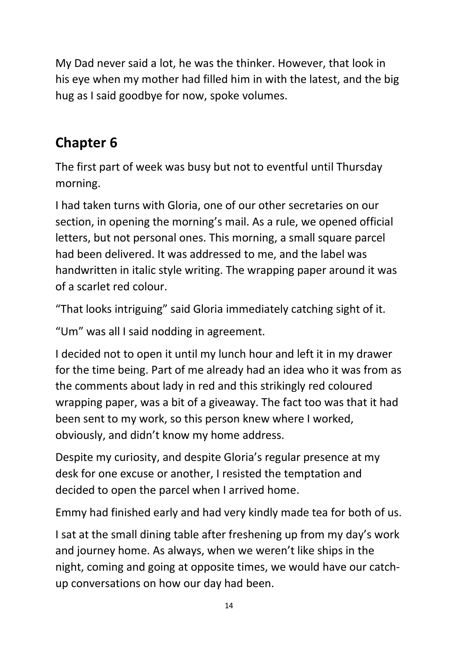My Dad never said a lot, he was the thinker. However, that look in his eye when my mother had filled him in with the latest, and the big hug as I said goodbye for now, spoke volumes.

### **Chapter 6**

The first part of week was busy but not to eventful until Thursday morning.

I had taken turns with Gloria, one of our other secretaries on our section, in opening the morning's mail. As a rule, we opened official letters, but not personal ones. This morning, a small square parcel had been delivered. It was addressed to me, and the label was handwritten in italic style writing. The wrapping paper around it was of a scarlet red colour.

"That looks intriguing" said Gloria immediately catching sight of it.

"Um" was all I said nodding in agreement.

I decided not to open it until my lunch hour and left it in my drawer for the time being. Part of me already had an idea who it was from as the comments about lady in red and this strikingly red coloured wrapping paper, was a bit of a giveaway. The fact too was that it had been sent to my work, so this person knew where I worked, obviously, and didn't know my home address.

Despite my curiosity, and despite Gloria's regular presence at my desk for one excuse or another, I resisted the temptation and decided to open the parcel when I arrived home.

Emmy had finished early and had very kindly made tea for both of us.

I sat at the small dining table after freshening up from my day's work and journey home. As always, when we weren't like ships in the night, coming and going at opposite times, we would have our catchup conversations on how our day had been.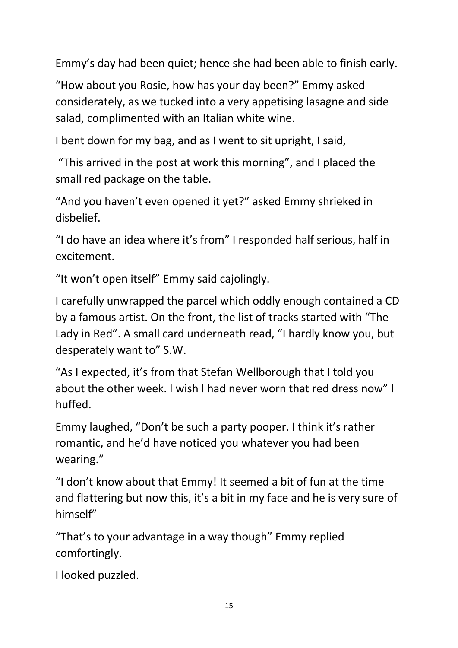Emmy's day had been quiet; hence she had been able to finish early.

"How about you Rosie, how has your day been?" Emmy asked considerately, as we tucked into a very appetising lasagne and side salad, complimented with an Italian white wine.

I bent down for my bag, and as I went to sit upright, I said,

"This arrived in the post at work this morning", and I placed the small red package on the table.

"And you haven't even opened it yet?" asked Emmy shrieked in disbelief.

"I do have an idea where it's from" I responded half serious, half in excitement.

"It won't open itself" Emmy said cajolingly.

I carefully unwrapped the parcel which oddly enough contained a CD by a famous artist. On the front, the list of tracks started with "The Lady in Red". A small card underneath read, "I hardly know you, but desperately want to" S.W.

"As I expected, it's from that Stefan Wellborough that I told you about the other week. I wish I had never worn that red dress now" I huffed.

Emmy laughed, "Don't be such a party pooper. I think it's rather romantic, and he'd have noticed you whatever you had been wearing."

"I don't know about that Emmy! It seemed a bit of fun at the time and flattering but now this, it's a bit in my face and he is very sure of himself"

"That's to your advantage in a way though" Emmy replied comfortingly.

I looked puzzled.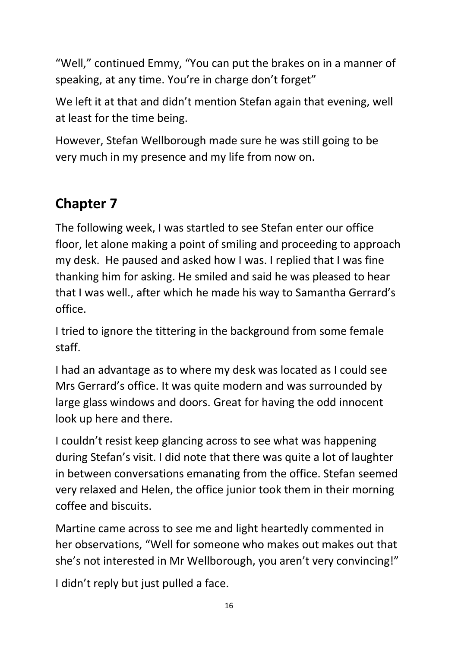"Well," continued Emmy, "You can put the brakes on in a manner of speaking, at any time. You're in charge don't forget"

We left it at that and didn't mention Stefan again that evening, well at least for the time being.

However, Stefan Wellborough made sure he was still going to be very much in my presence and my life from now on.

## **Chapter 7**

The following week, I was startled to see Stefan enter our office floor, let alone making a point of smiling and proceeding to approach my desk. He paused and asked how I was. I replied that I was fine thanking him for asking. He smiled and said he was pleased to hear that I was well., after which he made his way to Samantha Gerrard's office.

I tried to ignore the tittering in the background from some female staff.

I had an advantage as to where my desk was located as I could see Mrs Gerrard's office. It was quite modern and was surrounded by large glass windows and doors. Great for having the odd innocent look up here and there.

I couldn't resist keep glancing across to see what was happening during Stefan's visit. I did note that there was quite a lot of laughter in between conversations emanating from the office. Stefan seemed very relaxed and Helen, the office junior took them in their morning coffee and biscuits.

Martine came across to see me and light heartedly commented in her observations, "Well for someone who makes out makes out that she's not interested in Mr Wellborough, you aren't very convincing!"

I didn't reply but just pulled a face.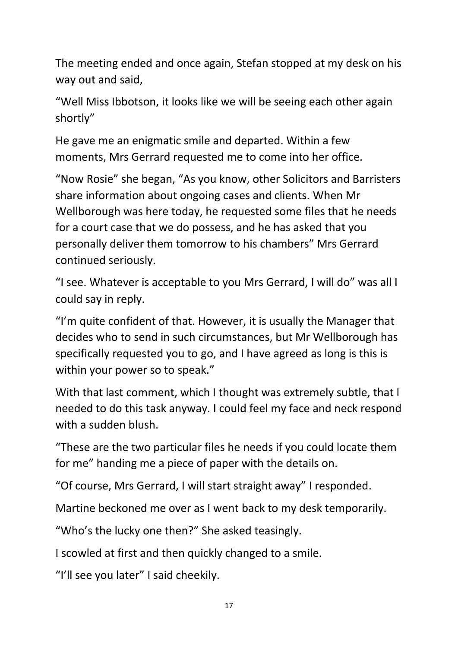The meeting ended and once again, Stefan stopped at my desk on his way out and said,

"Well Miss Ibbotson, it looks like we will be seeing each other again shortly"

He gave me an enigmatic smile and departed. Within a few moments, Mrs Gerrard requested me to come into her office.

"Now Rosie" she began, "As you know, other Solicitors and Barristers share information about ongoing cases and clients. When Mr Wellborough was here today, he requested some files that he needs for a court case that we do possess, and he has asked that you personally deliver them tomorrow to his chambers" Mrs Gerrard continued seriously.

"I see. Whatever is acceptable to you Mrs Gerrard, I will do" was all I could say in reply.

"I'm quite confident of that. However, it is usually the Manager that decides who to send in such circumstances, but Mr Wellborough has specifically requested you to go, and I have agreed as long is this is within your power so to speak."

With that last comment, which I thought was extremely subtle, that I needed to do this task anyway. I could feel my face and neck respond with a sudden blush.

"These are the two particular files he needs if you could locate them for me" handing me a piece of paper with the details on.

"Of course, Mrs Gerrard, I will start straight away" I responded.

Martine beckoned me over as I went back to my desk temporarily.

"Who's the lucky one then?" She asked teasingly.

I scowled at first and then quickly changed to a smile.

"I'll see you later" I said cheekily.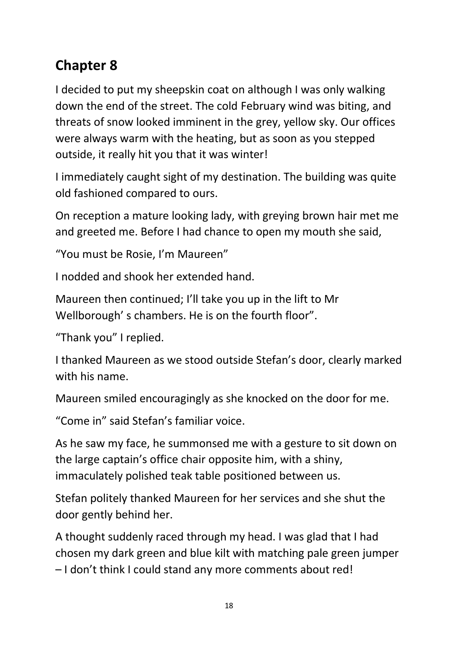## **Chapter 8**

I decided to put my sheepskin coat on although I was only walking down the end of the street. The cold February wind was biting, and threats of snow looked imminent in the grey, yellow sky. Our offices were always warm with the heating, but as soon as you stepped outside, it really hit you that it was winter!

I immediately caught sight of my destination. The building was quite old fashioned compared to ours.

On reception a mature looking lady, with greying brown hair met me and greeted me. Before I had chance to open my mouth she said,

"You must be Rosie, I'm Maureen"

I nodded and shook her extended hand.

Maureen then continued; I'll take you up in the lift to Mr Wellborough' s chambers. He is on the fourth floor".

"Thank you" I replied.

I thanked Maureen as we stood outside Stefan's door, clearly marked with his name.

Maureen smiled encouragingly as she knocked on the door for me.

"Come in" said Stefan's familiar voice.

As he saw my face, he summonsed me with a gesture to sit down on the large captain's office chair opposite him, with a shiny, immaculately polished teak table positioned between us.

Stefan politely thanked Maureen for her services and she shut the door gently behind her.

A thought suddenly raced through my head. I was glad that I had chosen my dark green and blue kilt with matching pale green jumper – I don't think I could stand any more comments about red!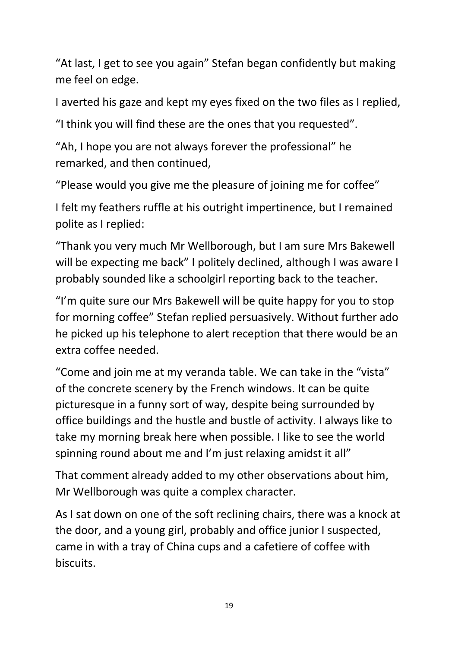"At last, I get to see you again" Stefan began confidently but making me feel on edge.

I averted his gaze and kept my eyes fixed on the two files as I replied,

"I think you will find these are the ones that you requested".

"Ah, I hope you are not always forever the professional" he remarked, and then continued,

"Please would you give me the pleasure of joining me for coffee"

I felt my feathers ruffle at his outright impertinence, but I remained polite as I replied:

"Thank you very much Mr Wellborough, but I am sure Mrs Bakewell will be expecting me back" I politely declined, although I was aware I probably sounded like a schoolgirl reporting back to the teacher.

"I'm quite sure our Mrs Bakewell will be quite happy for you to stop for morning coffee" Stefan replied persuasively. Without further ado he picked up his telephone to alert reception that there would be an extra coffee needed.

"Come and join me at my veranda table. We can take in the "vista" of the concrete scenery by the French windows. It can be quite picturesque in a funny sort of way, despite being surrounded by office buildings and the hustle and bustle of activity. I always like to take my morning break here when possible. I like to see the world spinning round about me and I'm just relaxing amidst it all"

That comment already added to my other observations about him, Mr Wellborough was quite a complex character.

As I sat down on one of the soft reclining chairs, there was a knock at the door, and a young girl, probably and office junior I suspected, came in with a tray of China cups and a cafetiere of coffee with biscuits.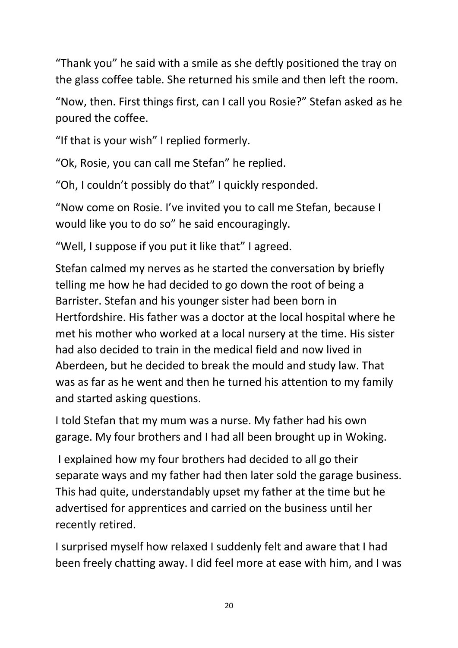"Thank you" he said with a smile as she deftly positioned the tray on the glass coffee table. She returned his smile and then left the room.

"Now, then. First things first, can I call you Rosie?" Stefan asked as he poured the coffee.

"If that is your wish" I replied formerly.

"Ok, Rosie, you can call me Stefan" he replied.

"Oh, I couldn't possibly do that" I quickly responded.

"Now come on Rosie. I've invited you to call me Stefan, because I would like you to do so" he said encouragingly.

"Well, I suppose if you put it like that" I agreed.

Stefan calmed my nerves as he started the conversation by briefly telling me how he had decided to go down the root of being a Barrister. Stefan and his younger sister had been born in Hertfordshire. His father was a doctor at the local hospital where he met his mother who worked at a local nursery at the time. His sister had also decided to train in the medical field and now lived in Aberdeen, but he decided to break the mould and study law. That was as far as he went and then he turned his attention to my family and started asking questions.

I told Stefan that my mum was a nurse. My father had his own garage. My four brothers and I had all been brought up in Woking.

I explained how my four brothers had decided to all go their separate ways and my father had then later sold the garage business. This had quite, understandably upset my father at the time but he advertised for apprentices and carried on the business until her recently retired.

I surprised myself how relaxed I suddenly felt and aware that I had been freely chatting away. I did feel more at ease with him, and I was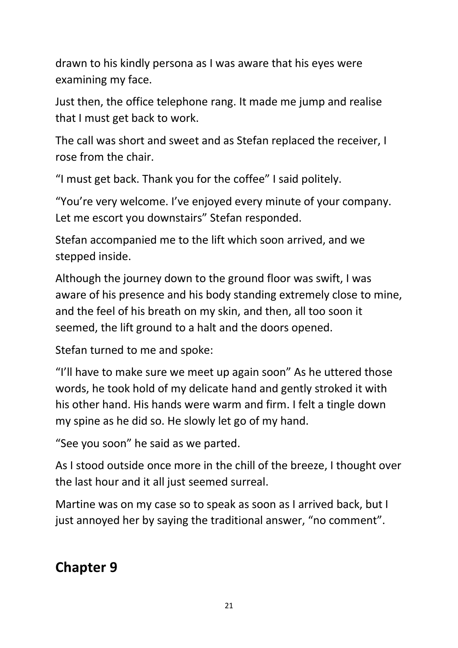drawn to his kindly persona as I was aware that his eyes were examining my face.

Just then, the office telephone rang. It made me jump and realise that I must get back to work.

The call was short and sweet and as Stefan replaced the receiver, I rose from the chair.

"I must get back. Thank you for the coffee" I said politely.

"You're very welcome. I've enjoyed every minute of your company. Let me escort you downstairs" Stefan responded.

Stefan accompanied me to the lift which soon arrived, and we stepped inside.

Although the journey down to the ground floor was swift, I was aware of his presence and his body standing extremely close to mine, and the feel of his breath on my skin, and then, all too soon it seemed, the lift ground to a halt and the doors opened.

Stefan turned to me and spoke:

"I'll have to make sure we meet up again soon" As he uttered those words, he took hold of my delicate hand and gently stroked it with his other hand. His hands were warm and firm. I felt a tingle down my spine as he did so. He slowly let go of my hand.

"See you soon" he said as we parted.

As I stood outside once more in the chill of the breeze, I thought over the last hour and it all just seemed surreal.

Martine was on my case so to speak as soon as I arrived back, but I just annoyed her by saying the traditional answer, "no comment".

**Chapter 9**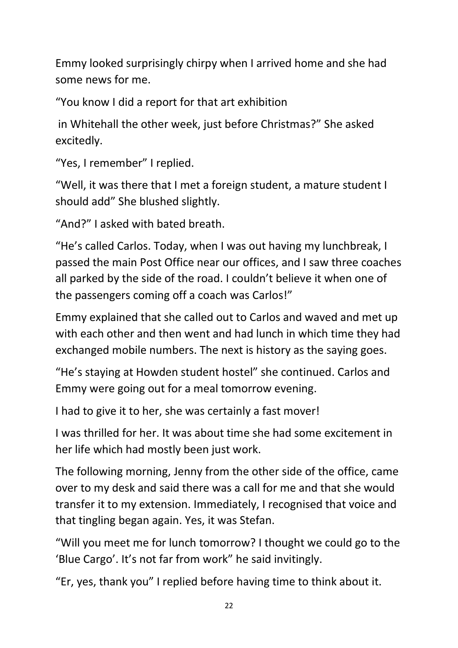Emmy looked surprisingly chirpy when I arrived home and she had some news for me.

"You know I did a report for that art exhibition

in Whitehall the other week, just before Christmas?" She asked excitedly.

"Yes, I remember" I replied.

"Well, it was there that I met a foreign student, a mature student I should add" She blushed slightly.

"And?" I asked with bated breath.

"He's called Carlos. Today, when I was out having my lunchbreak, I passed the main Post Office near our offices, and I saw three coaches all parked by the side of the road. I couldn't believe it when one of the passengers coming off a coach was Carlos!"

Emmy explained that she called out to Carlos and waved and met up with each other and then went and had lunch in which time they had exchanged mobile numbers. The next is history as the saying goes.

"He's staying at Howden student hostel" she continued. Carlos and Emmy were going out for a meal tomorrow evening.

I had to give it to her, she was certainly a fast mover!

I was thrilled for her. It was about time she had some excitement in her life which had mostly been just work.

The following morning, Jenny from the other side of the office, came over to my desk and said there was a call for me and that she would transfer it to my extension. Immediately, I recognised that voice and that tingling began again. Yes, it was Stefan.

"Will you meet me for lunch tomorrow? I thought we could go to the 'Blue Cargo'. It's not far from work" he said invitingly.

"Er, yes, thank you" I replied before having time to think about it.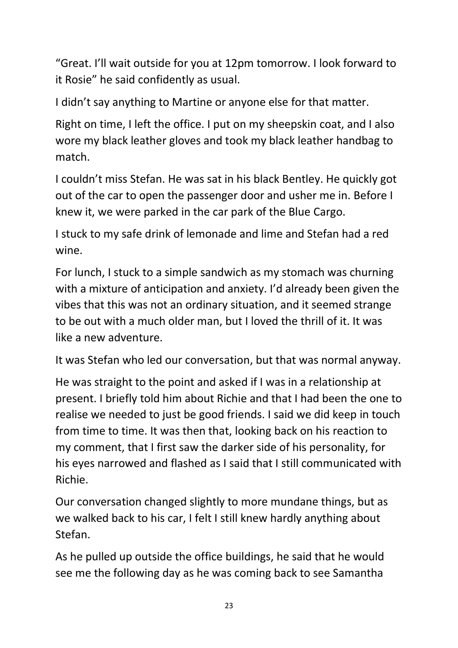"Great. I'll wait outside for you at 12pm tomorrow. I look forward to it Rosie" he said confidently as usual.

I didn't say anything to Martine or anyone else for that matter.

Right on time, I left the office. I put on my sheepskin coat, and I also wore my black leather gloves and took my black leather handbag to match.

I couldn't miss Stefan. He was sat in his black Bentley. He quickly got out of the car to open the passenger door and usher me in. Before I knew it, we were parked in the car park of the Blue Cargo.

I stuck to my safe drink of lemonade and lime and Stefan had a red wine.

For lunch, I stuck to a simple sandwich as my stomach was churning with a mixture of anticipation and anxiety. I'd already been given the vibes that this was not an ordinary situation, and it seemed strange to be out with a much older man, but I loved the thrill of it. It was like a new adventure.

It was Stefan who led our conversation, but that was normal anyway.

He was straight to the point and asked if I was in a relationship at present. I briefly told him about Richie and that I had been the one to realise we needed to just be good friends. I said we did keep in touch from time to time. It was then that, looking back on his reaction to my comment, that I first saw the darker side of his personality, for his eyes narrowed and flashed as I said that I still communicated with Richie.

Our conversation changed slightly to more mundane things, but as we walked back to his car, I felt I still knew hardly anything about Stefan.

As he pulled up outside the office buildings, he said that he would see me the following day as he was coming back to see Samantha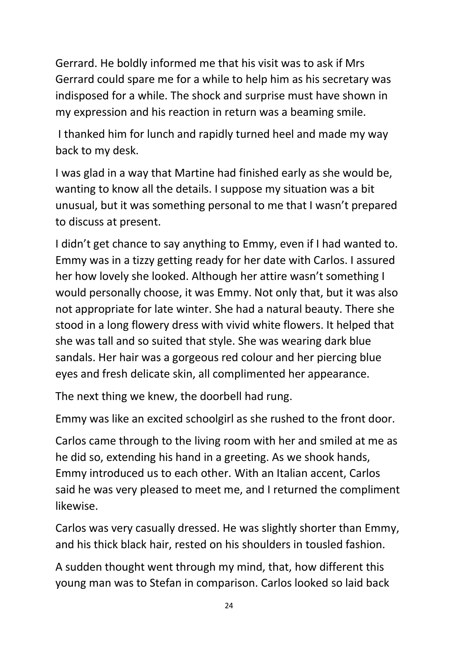Gerrard. He boldly informed me that his visit was to ask if Mrs Gerrard could spare me for a while to help him as his secretary was indisposed for a while. The shock and surprise must have shown in my expression and his reaction in return was a beaming smile.

I thanked him for lunch and rapidly turned heel and made my way back to my desk.

I was glad in a way that Martine had finished early as she would be, wanting to know all the details. I suppose my situation was a bit unusual, but it was something personal to me that I wasn't prepared to discuss at present.

I didn't get chance to say anything to Emmy, even if I had wanted to. Emmy was in a tizzy getting ready for her date with Carlos. I assured her how lovely she looked. Although her attire wasn't something I would personally choose, it was Emmy. Not only that, but it was also not appropriate for late winter. She had a natural beauty. There she stood in a long flowery dress with vivid white flowers. It helped that she was tall and so suited that style. She was wearing dark blue sandals. Her hair was a gorgeous red colour and her piercing blue eyes and fresh delicate skin, all complimented her appearance.

The next thing we knew, the doorbell had rung.

Emmy was like an excited schoolgirl as she rushed to the front door.

Carlos came through to the living room with her and smiled at me as he did so, extending his hand in a greeting. As we shook hands, Emmy introduced us to each other. With an Italian accent, Carlos said he was very pleased to meet me, and I returned the compliment likewise.

Carlos was very casually dressed. He was slightly shorter than Emmy, and his thick black hair, rested on his shoulders in tousled fashion.

A sudden thought went through my mind, that, how different this young man was to Stefan in comparison. Carlos looked so laid back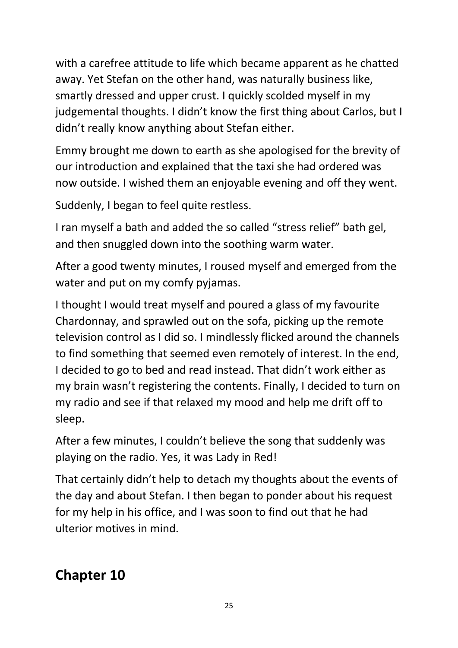with a carefree attitude to life which became apparent as he chatted away. Yet Stefan on the other hand, was naturally business like, smartly dressed and upper crust. I quickly scolded myself in my judgemental thoughts. I didn't know the first thing about Carlos, but I didn't really know anything about Stefan either.

Emmy brought me down to earth as she apologised for the brevity of our introduction and explained that the taxi she had ordered was now outside. I wished them an enjoyable evening and off they went.

Suddenly, I began to feel quite restless.

I ran myself a bath and added the so called "stress relief" bath gel, and then snuggled down into the soothing warm water.

After a good twenty minutes, I roused myself and emerged from the water and put on my comfy pyjamas.

I thought I would treat myself and poured a glass of my favourite Chardonnay, and sprawled out on the sofa, picking up the remote television control as I did so. I mindlessly flicked around the channels to find something that seemed even remotely of interest. In the end, I decided to go to bed and read instead. That didn't work either as my brain wasn't registering the contents. Finally, I decided to turn on my radio and see if that relaxed my mood and help me drift off to sleep.

After a few minutes, I couldn't believe the song that suddenly was playing on the radio. Yes, it was Lady in Red!

That certainly didn't help to detach my thoughts about the events of the day and about Stefan. I then began to ponder about his request for my help in his office, and I was soon to find out that he had ulterior motives in mind.

**Chapter 10**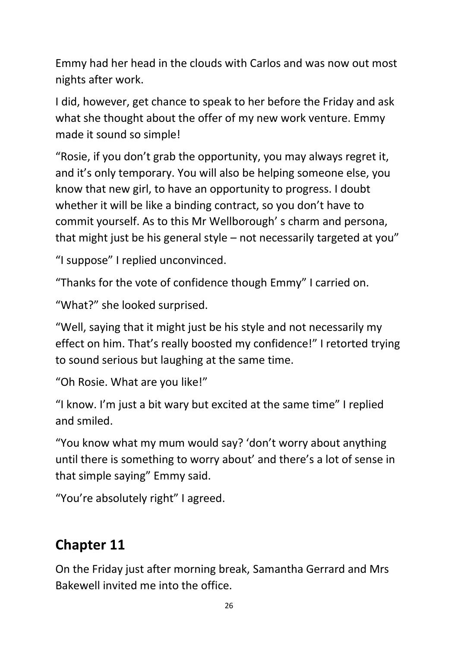Emmy had her head in the clouds with Carlos and was now out most nights after work.

I did, however, get chance to speak to her before the Friday and ask what she thought about the offer of my new work venture. Emmy made it sound so simple!

"Rosie, if you don't grab the opportunity, you may always regret it, and it's only temporary. You will also be helping someone else, you know that new girl, to have an opportunity to progress. I doubt whether it will be like a binding contract, so you don't have to commit yourself. As to this Mr Wellborough' s charm and persona, that might just be his general style – not necessarily targeted at you"

"I suppose" I replied unconvinced.

"Thanks for the vote of confidence though Emmy" I carried on.

"What?" she looked surprised.

"Well, saying that it might just be his style and not necessarily my effect on him. That's really boosted my confidence!" I retorted trying to sound serious but laughing at the same time.

"Oh Rosie. What are you like!"

"I know. I'm just a bit wary but excited at the same time" I replied and smiled.

"You know what my mum would say? 'don't worry about anything until there is something to worry about' and there's a lot of sense in that simple saying" Emmy said.

"You're absolutely right" I agreed.

### **Chapter 11**

On the Friday just after morning break, Samantha Gerrard and Mrs Bakewell invited me into the office.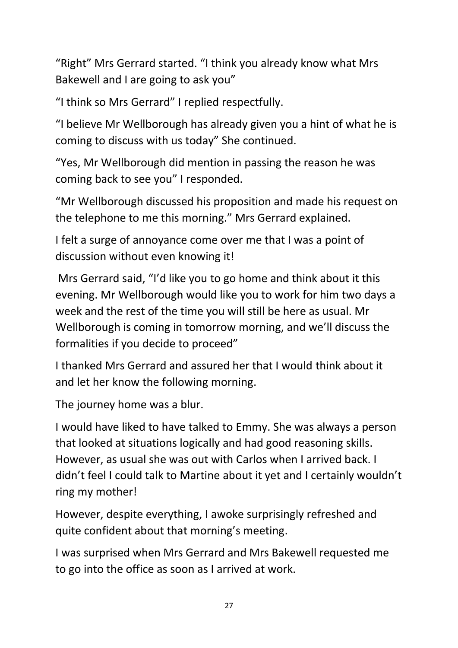"Right" Mrs Gerrard started. "I think you already know what Mrs Bakewell and I are going to ask you"

"I think so Mrs Gerrard" I replied respectfully.

"I believe Mr Wellborough has already given you a hint of what he is coming to discuss with us today" She continued.

"Yes, Mr Wellborough did mention in passing the reason he was coming back to see you" I responded.

"Mr Wellborough discussed his proposition and made his request on the telephone to me this morning." Mrs Gerrard explained.

I felt a surge of annoyance come over me that I was a point of discussion without even knowing it!

Mrs Gerrard said, "I'd like you to go home and think about it this evening. Mr Wellborough would like you to work for him two days a week and the rest of the time you will still be here as usual. Mr Wellborough is coming in tomorrow morning, and we'll discuss the formalities if you decide to proceed"

I thanked Mrs Gerrard and assured her that I would think about it and let her know the following morning.

The journey home was a blur.

I would have liked to have talked to Emmy. She was always a person that looked at situations logically and had good reasoning skills. However, as usual she was out with Carlos when I arrived back. I didn't feel I could talk to Martine about it yet and I certainly wouldn't ring my mother!

However, despite everything, I awoke surprisingly refreshed and quite confident about that morning's meeting.

I was surprised when Mrs Gerrard and Mrs Bakewell requested me to go into the office as soon as I arrived at work.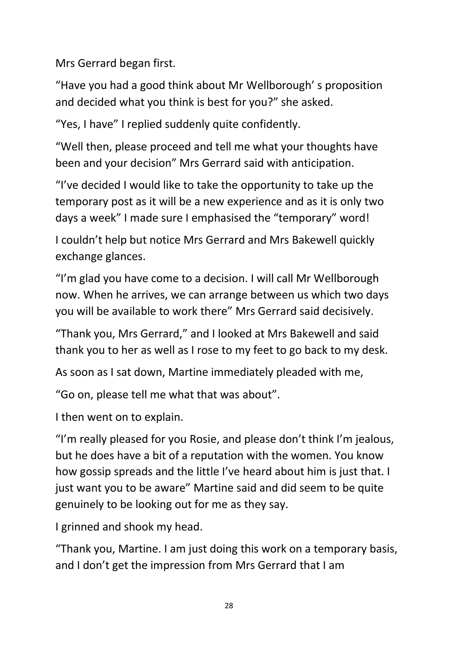Mrs Gerrard began first.

"Have you had a good think about Mr Wellborough' s proposition and decided what you think is best for you?" she asked.

"Yes, I have" I replied suddenly quite confidently.

"Well then, please proceed and tell me what your thoughts have been and your decision" Mrs Gerrard said with anticipation.

"I've decided I would like to take the opportunity to take up the temporary post as it will be a new experience and as it is only two days a week" I made sure I emphasised the "temporary" word!

I couldn't help but notice Mrs Gerrard and Mrs Bakewell quickly exchange glances.

"I'm glad you have come to a decision. I will call Mr Wellborough now. When he arrives, we can arrange between us which two days you will be available to work there" Mrs Gerrard said decisively.

"Thank you, Mrs Gerrard," and I looked at Mrs Bakewell and said thank you to her as well as I rose to my feet to go back to my desk.

As soon as I sat down, Martine immediately pleaded with me,

"Go on, please tell me what that was about".

I then went on to explain.

"I'm really pleased for you Rosie, and please don't think I'm jealous, but he does have a bit of a reputation with the women. You know how gossip spreads and the little I've heard about him is just that. I just want you to be aware" Martine said and did seem to be quite genuinely to be looking out for me as they say.

I grinned and shook my head.

"Thank you, Martine. I am just doing this work on a temporary basis, and I don't get the impression from Mrs Gerrard that I am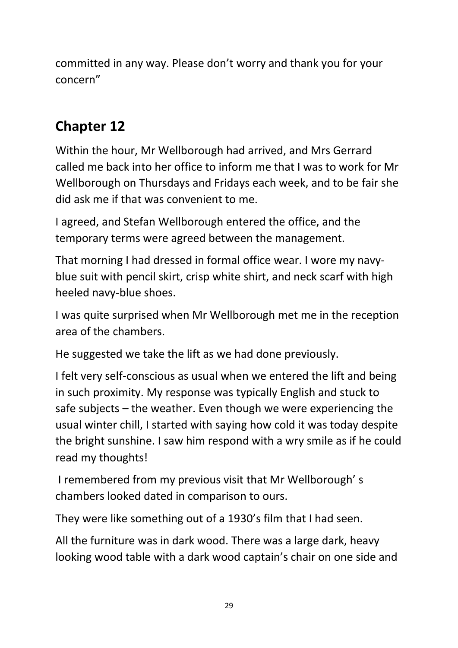committed in any way. Please don't worry and thank you for your concern"

### **Chapter 12**

Within the hour, Mr Wellborough had arrived, and Mrs Gerrard called me back into her office to inform me that I was to work for Mr Wellborough on Thursdays and Fridays each week, and to be fair she did ask me if that was convenient to me.

I agreed, and Stefan Wellborough entered the office, and the temporary terms were agreed between the management.

That morning I had dressed in formal office wear. I wore my navyblue suit with pencil skirt, crisp white shirt, and neck scarf with high heeled navy-blue shoes.

I was quite surprised when Mr Wellborough met me in the reception area of the chambers.

He suggested we take the lift as we had done previously.

I felt very self-conscious as usual when we entered the lift and being in such proximity. My response was typically English and stuck to safe subjects – the weather. Even though we were experiencing the usual winter chill, I started with saying how cold it was today despite the bright sunshine. I saw him respond with a wry smile as if he could read my thoughts!

I remembered from my previous visit that Mr Wellborough' s chambers looked dated in comparison to ours.

They were like something out of a 1930's film that I had seen.

All the furniture was in dark wood. There was a large dark, heavy looking wood table with a dark wood captain's chair on one side and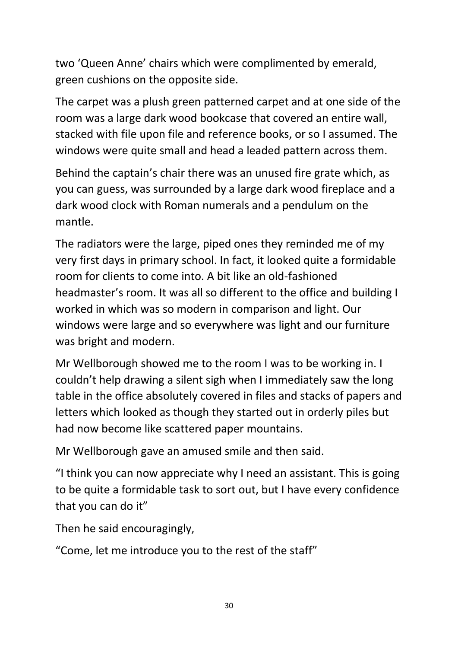two 'Queen Anne' chairs which were complimented by emerald, green cushions on the opposite side.

The carpet was a plush green patterned carpet and at one side of the room was a large dark wood bookcase that covered an entire wall, stacked with file upon file and reference books, or so I assumed. The windows were quite small and head a leaded pattern across them.

Behind the captain's chair there was an unused fire grate which, as you can guess, was surrounded by a large dark wood fireplace and a dark wood clock with Roman numerals and a pendulum on the mantle.

The radiators were the large, piped ones they reminded me of my very first days in primary school. In fact, it looked quite a formidable room for clients to come into. A bit like an old-fashioned headmaster's room. It was all so different to the office and building I worked in which was so modern in comparison and light. Our windows were large and so everywhere was light and our furniture was bright and modern.

Mr Wellborough showed me to the room I was to be working in. I couldn't help drawing a silent sigh when I immediately saw the long table in the office absolutely covered in files and stacks of papers and letters which looked as though they started out in orderly piles but had now become like scattered paper mountains.

Mr Wellborough gave an amused smile and then said.

"I think you can now appreciate why I need an assistant. This is going to be quite a formidable task to sort out, but I have every confidence that you can do it"

Then he said encouragingly,

"Come, let me introduce you to the rest of the staff"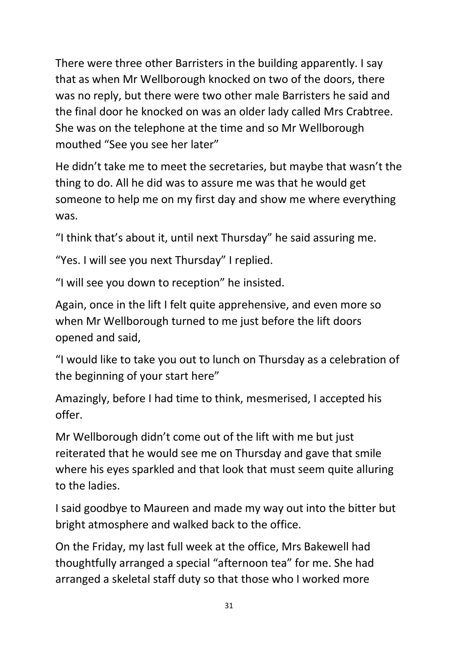There were three other Barristers in the building apparently. I say that as when Mr Wellborough knocked on two of the doors, there was no reply, but there were two other male Barristers he said and the final door he knocked on was an older lady called Mrs Crabtree. She was on the telephone at the time and so Mr Wellborough mouthed "See you see her later"

He didn't take me to meet the secretaries, but maybe that wasn't the thing to do. All he did was to assure me was that he would get someone to help me on my first day and show me where everything was.

"I think that's about it, until next Thursday" he said assuring me.

"Yes. I will see you next Thursday" I replied.

"I will see you down to reception" he insisted.

Again, once in the lift I felt quite apprehensive, and even more so when Mr Wellborough turned to me just before the lift doors opened and said,

"I would like to take you out to lunch on Thursday as a celebration of the beginning of your start here"

Amazingly, before I had time to think, mesmerised, I accepted his offer.

Mr Wellborough didn't come out of the lift with me but just reiterated that he would see me on Thursday and gave that smile where his eyes sparkled and that look that must seem quite alluring to the ladies.

I said goodbye to Maureen and made my way out into the bitter but bright atmosphere and walked back to the office.

On the Friday, my last full week at the office, Mrs Bakewell had thoughtfully arranged a special "afternoon tea" for me. She had arranged a skeletal staff duty so that those who I worked more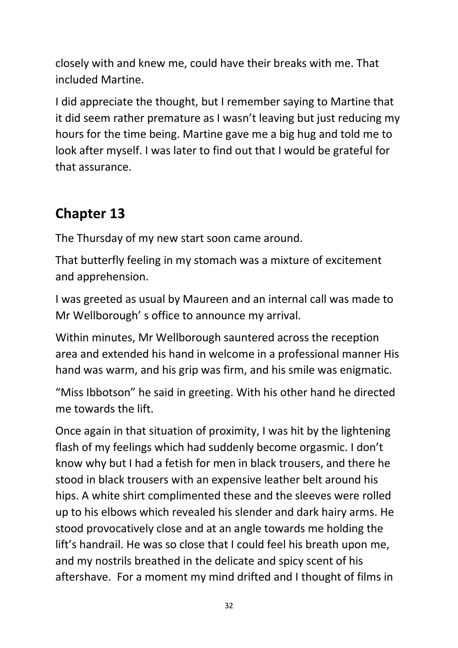closely with and knew me, could have their breaks with me. That included Martine.

I did appreciate the thought, but I remember saying to Martine that it did seem rather premature as I wasn't leaving but just reducing my hours for the time being. Martine gave me a big hug and told me to look after myself. I was later to find out that I would be grateful for that assurance.

### **Chapter 13**

The Thursday of my new start soon came around.

That butterfly feeling in my stomach was a mixture of excitement and apprehension.

I was greeted as usual by Maureen and an internal call was made to Mr Wellborough' s office to announce my arrival.

Within minutes, Mr Wellborough sauntered across the reception area and extended his hand in welcome in a professional manner His hand was warm, and his grip was firm, and his smile was enigmatic.

"Miss Ibbotson" he said in greeting. With his other hand he directed me towards the lift.

Once again in that situation of proximity, I was hit by the lightening flash of my feelings which had suddenly become orgasmic. I don't know why but I had a fetish for men in black trousers, and there he stood in black trousers with an expensive leather belt around his hips. A white shirt complimented these and the sleeves were rolled up to his elbows which revealed his slender and dark hairy arms. He stood provocatively close and at an angle towards me holding the lift's handrail. He was so close that I could feel his breath upon me, and my nostrils breathed in the delicate and spicy scent of his aftershave. For a moment my mind drifted and I thought of films in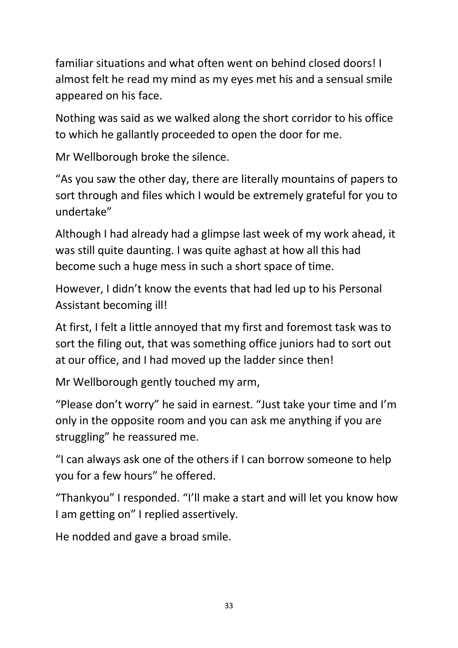familiar situations and what often went on behind closed doors! I almost felt he read my mind as my eyes met his and a sensual smile appeared on his face.

Nothing was said as we walked along the short corridor to his office to which he gallantly proceeded to open the door for me.

Mr Wellborough broke the silence.

"As you saw the other day, there are literally mountains of papers to sort through and files which I would be extremely grateful for you to undertake"

Although I had already had a glimpse last week of my work ahead, it was still quite daunting. I was quite aghast at how all this had become such a huge mess in such a short space of time.

However, I didn't know the events that had led up to his Personal Assistant becoming ill!

At first, I felt a little annoyed that my first and foremost task was to sort the filing out, that was something office juniors had to sort out at our office, and I had moved up the ladder since then!

Mr Wellborough gently touched my arm,

"Please don't worry" he said in earnest. "Just take your time and I'm only in the opposite room and you can ask me anything if you are struggling" he reassured me.

"I can always ask one of the others if I can borrow someone to help you for a few hours" he offered.

"Thankyou" I responded. "I'll make a start and will let you know how I am getting on" I replied assertively.

He nodded and gave a broad smile.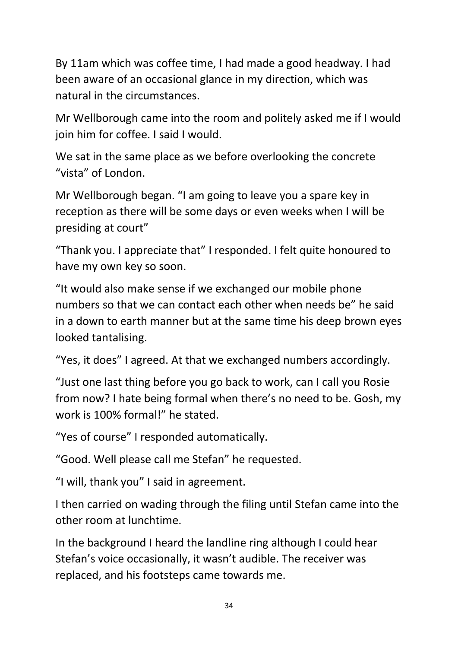By 11am which was coffee time, I had made a good headway. I had been aware of an occasional glance in my direction, which was natural in the circumstances.

Mr Wellborough came into the room and politely asked me if I would join him for coffee. I said I would.

We sat in the same place as we before overlooking the concrete "vista" of London.

Mr Wellborough began. "I am going to leave you a spare key in reception as there will be some days or even weeks when I will be presiding at court"

"Thank you. I appreciate that" I responded. I felt quite honoured to have my own key so soon.

"It would also make sense if we exchanged our mobile phone numbers so that we can contact each other when needs be" he said in a down to earth manner but at the same time his deep brown eyes looked tantalising.

"Yes, it does" I agreed. At that we exchanged numbers accordingly.

"Just one last thing before you go back to work, can I call you Rosie from now? I hate being formal when there's no need to be. Gosh, my work is 100% formal!" he stated.

"Yes of course" I responded automatically.

"Good. Well please call me Stefan" he requested.

"I will, thank you" I said in agreement.

I then carried on wading through the filing until Stefan came into the other room at lunchtime.

In the background I heard the landline ring although I could hear Stefan's voice occasionally, it wasn't audible. The receiver was replaced, and his footsteps came towards me.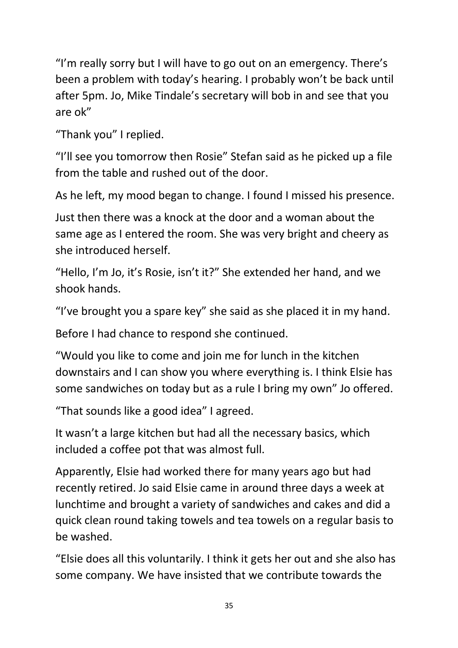"I'm really sorry but I will have to go out on an emergency. There's been a problem with today's hearing. I probably won't be back until after 5pm. Jo, Mike Tindale's secretary will bob in and see that you are ok"

"Thank you" I replied.

"I'll see you tomorrow then Rosie" Stefan said as he picked up a file from the table and rushed out of the door.

As he left, my mood began to change. I found I missed his presence.

Just then there was a knock at the door and a woman about the same age as I entered the room. She was very bright and cheery as she introduced herself.

"Hello, I'm Jo, it's Rosie, isn't it?" She extended her hand, and we shook hands.

"I've brought you a spare key" she said as she placed it in my hand.

Before I had chance to respond she continued.

"Would you like to come and join me for lunch in the kitchen downstairs and I can show you where everything is. I think Elsie has some sandwiches on today but as a rule I bring my own" Jo offered.

"That sounds like a good idea" I agreed.

It wasn't a large kitchen but had all the necessary basics, which included a coffee pot that was almost full.

Apparently, Elsie had worked there for many years ago but had recently retired. Jo said Elsie came in around three days a week at lunchtime and brought a variety of sandwiches and cakes and did a quick clean round taking towels and tea towels on a regular basis to be washed.

"Elsie does all this voluntarily. I think it gets her out and she also has some company. We have insisted that we contribute towards the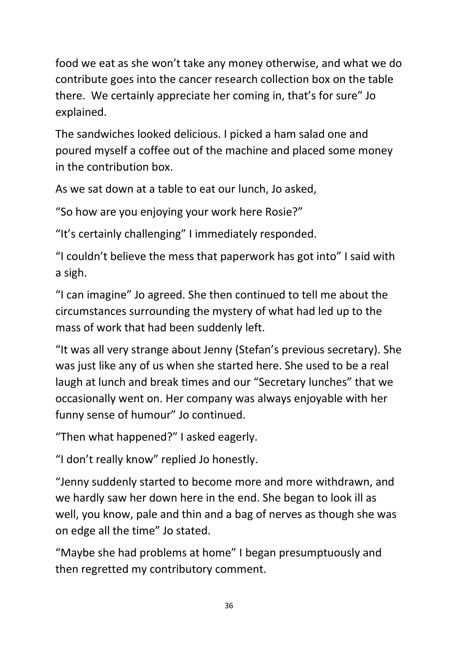food we eat as she won't take any money otherwise, and what we do contribute goes into the cancer research collection box on the table there. We certainly appreciate her coming in, that's for sure" Jo explained.

The sandwiches looked delicious. I picked a ham salad one and poured myself a coffee out of the machine and placed some money in the contribution box.

As we sat down at a table to eat our lunch, Jo asked,

"So how are you enjoying your work here Rosie?"

"It's certainly challenging" I immediately responded.

"I couldn't believe the mess that paperwork has got into" I said with a sigh.

"I can imagine" Jo agreed. She then continued to tell me about the circumstances surrounding the mystery of what had led up to the mass of work that had been suddenly left.

"It was all very strange about Jenny (Stefan's previous secretary). She was just like any of us when she started here. She used to be a real laugh at lunch and break times and our "Secretary lunches" that we occasionally went on. Her company was always enjoyable with her funny sense of humour" Jo continued.

"Then what happened?" I asked eagerly.

"I don't really know" replied Jo honestly.

"Jenny suddenly started to become more and more withdrawn, and we hardly saw her down here in the end. She began to look ill as well, you know, pale and thin and a bag of nerves as though she was on edge all the time" Jo stated.

"Maybe she had problems at home" I began presumptuously and then regretted my contributory comment.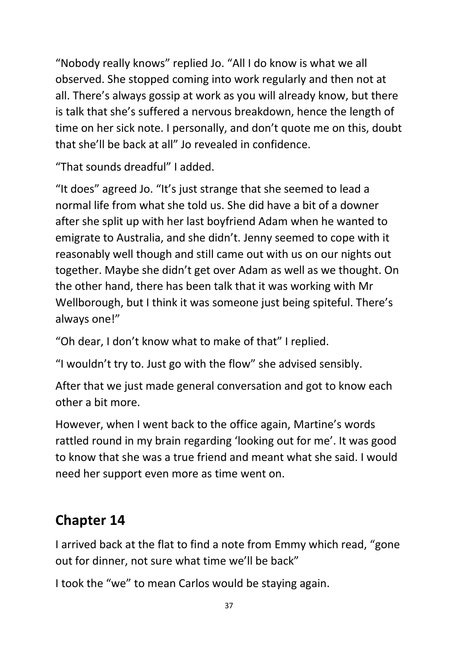"Nobody really knows" replied Jo. "All I do know is what we all observed. She stopped coming into work regularly and then not at all. There's always gossip at work as you will already know, but there is talk that she's suffered a nervous breakdown, hence the length of time on her sick note. I personally, and don't quote me on this, doubt that she'll be back at all" Jo revealed in confidence.

"That sounds dreadful" I added.

"It does" agreed Jo. "It's just strange that she seemed to lead a normal life from what she told us. She did have a bit of a downer after she split up with her last boyfriend Adam when he wanted to emigrate to Australia, and she didn't. Jenny seemed to cope with it reasonably well though and still came out with us on our nights out together. Maybe she didn't get over Adam as well as we thought. On the other hand, there has been talk that it was working with Mr Wellborough, but I think it was someone just being spiteful. There's always one!"

"Oh dear, I don't know what to make of that" I replied.

"I wouldn't try to. Just go with the flow" she advised sensibly.

After that we just made general conversation and got to know each other a bit more.

However, when I went back to the office again, Martine's words rattled round in my brain regarding 'looking out for me'. It was good to know that she was a true friend and meant what she said. I would need her support even more as time went on.

## **Chapter 14**

I arrived back at the flat to find a note from Emmy which read, "gone out for dinner, not sure what time we'll be back"

I took the "we" to mean Carlos would be staying again.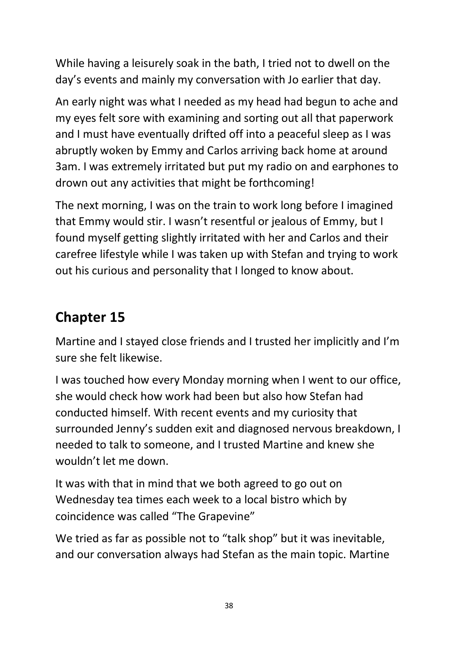While having a leisurely soak in the bath, I tried not to dwell on the day's events and mainly my conversation with Jo earlier that day.

An early night was what I needed as my head had begun to ache and my eyes felt sore with examining and sorting out all that paperwork and I must have eventually drifted off into a peaceful sleep as I was abruptly woken by Emmy and Carlos arriving back home at around 3am. I was extremely irritated but put my radio on and earphones to drown out any activities that might be forthcoming!

The next morning, I was on the train to work long before I imagined that Emmy would stir. I wasn't resentful or jealous of Emmy, but I found myself getting slightly irritated with her and Carlos and their carefree lifestyle while I was taken up with Stefan and trying to work out his curious and personality that I longed to know about.

#### **Chapter 15**

Martine and I stayed close friends and I trusted her implicitly and I'm sure she felt likewise.

I was touched how every Monday morning when I went to our office, she would check how work had been but also how Stefan had conducted himself. With recent events and my curiosity that surrounded Jenny's sudden exit and diagnosed nervous breakdown, I needed to talk to someone, and I trusted Martine and knew she wouldn't let me down.

It was with that in mind that we both agreed to go out on Wednesday tea times each week to a local bistro which by coincidence was called "The Grapevine"

We tried as far as possible not to "talk shop" but it was inevitable, and our conversation always had Stefan as the main topic. Martine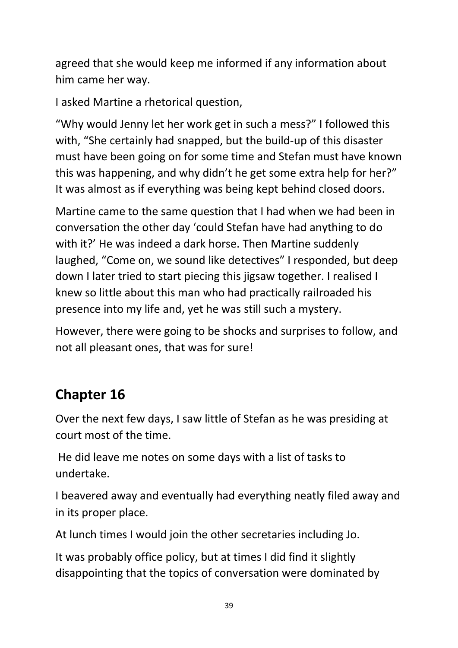agreed that she would keep me informed if any information about him came her way.

I asked Martine a rhetorical question,

"Why would Jenny let her work get in such a mess?" I followed this with, "She certainly had snapped, but the build-up of this disaster must have been going on for some time and Stefan must have known this was happening, and why didn't he get some extra help for her?" It was almost as if everything was being kept behind closed doors.

Martine came to the same question that I had when we had been in conversation the other day 'could Stefan have had anything to do with it?' He was indeed a dark horse. Then Martine suddenly laughed, "Come on, we sound like detectives" I responded, but deep down I later tried to start piecing this jigsaw together. I realised I knew so little about this man who had practically railroaded his presence into my life and, yet he was still such a mystery.

However, there were going to be shocks and surprises to follow, and not all pleasant ones, that was for sure!

# **Chapter 16**

Over the next few days, I saw little of Stefan as he was presiding at court most of the time.

He did leave me notes on some days with a list of tasks to undertake.

I beavered away and eventually had everything neatly filed away and in its proper place.

At lunch times I would join the other secretaries including Jo.

It was probably office policy, but at times I did find it slightly disappointing that the topics of conversation were dominated by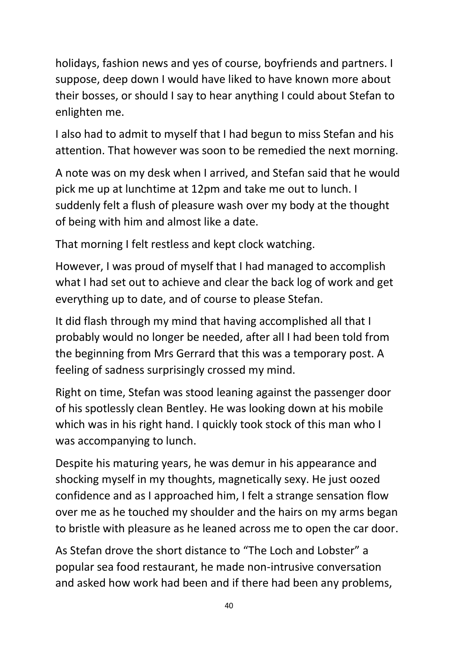holidays, fashion news and yes of course, boyfriends and partners. I suppose, deep down I would have liked to have known more about their bosses, or should I say to hear anything I could about Stefan to enlighten me.

I also had to admit to myself that I had begun to miss Stefan and his attention. That however was soon to be remedied the next morning.

A note was on my desk when I arrived, and Stefan said that he would pick me up at lunchtime at 12pm and take me out to lunch. I suddenly felt a flush of pleasure wash over my body at the thought of being with him and almost like a date.

That morning I felt restless and kept clock watching.

However, I was proud of myself that I had managed to accomplish what I had set out to achieve and clear the back log of work and get everything up to date, and of course to please Stefan.

It did flash through my mind that having accomplished all that I probably would no longer be needed, after all I had been told from the beginning from Mrs Gerrard that this was a temporary post. A feeling of sadness surprisingly crossed my mind.

Right on time, Stefan was stood leaning against the passenger door of his spotlessly clean Bentley. He was looking down at his mobile which was in his right hand. I quickly took stock of this man who I was accompanying to lunch.

Despite his maturing years, he was demur in his appearance and shocking myself in my thoughts, magnetically sexy. He just oozed confidence and as I approached him, I felt a strange sensation flow over me as he touched my shoulder and the hairs on my arms began to bristle with pleasure as he leaned across me to open the car door.

As Stefan drove the short distance to "The Loch and Lobster" a popular sea food restaurant, he made non-intrusive conversation and asked how work had been and if there had been any problems,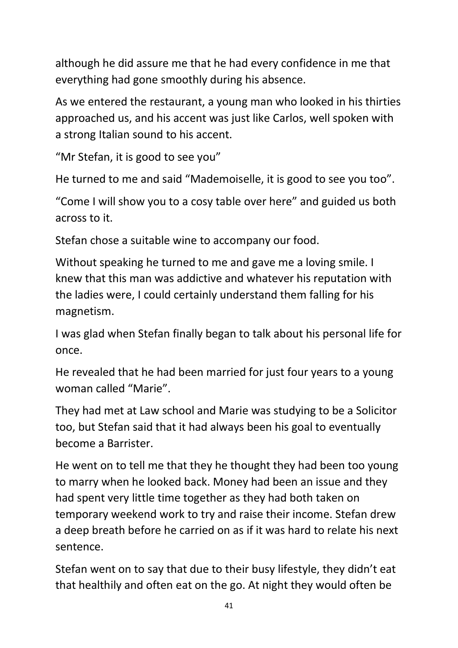although he did assure me that he had every confidence in me that everything had gone smoothly during his absence.

As we entered the restaurant, a young man who looked in his thirties approached us, and his accent was just like Carlos, well spoken with a strong Italian sound to his accent.

"Mr Stefan, it is good to see you"

He turned to me and said "Mademoiselle, it is good to see you too".

"Come I will show you to a cosy table over here" and guided us both across to it.

Stefan chose a suitable wine to accompany our food.

Without speaking he turned to me and gave me a loving smile. I knew that this man was addictive and whatever his reputation with the ladies were, I could certainly understand them falling for his magnetism.

I was glad when Stefan finally began to talk about his personal life for once.

He revealed that he had been married for just four years to a young woman called "Marie".

They had met at Law school and Marie was studying to be a Solicitor too, but Stefan said that it had always been his goal to eventually become a Barrister.

He went on to tell me that they he thought they had been too young to marry when he looked back. Money had been an issue and they had spent very little time together as they had both taken on temporary weekend work to try and raise their income. Stefan drew a deep breath before he carried on as if it was hard to relate his next sentence.

Stefan went on to say that due to their busy lifestyle, they didn't eat that healthily and often eat on the go. At night they would often be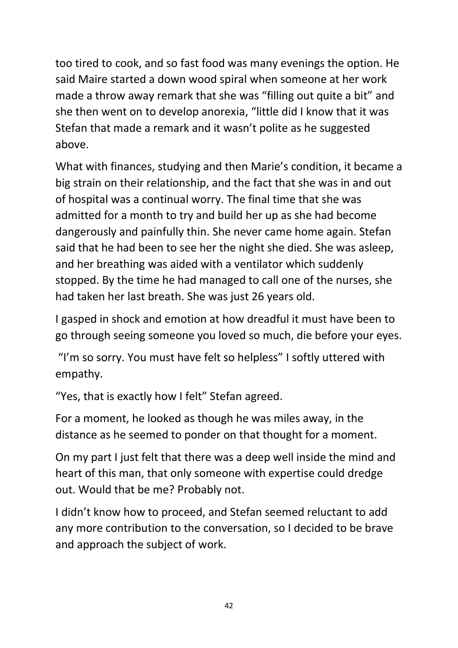too tired to cook, and so fast food was many evenings the option. He said Maire started a down wood spiral when someone at her work made a throw away remark that she was "filling out quite a bit" and she then went on to develop anorexia, "little did I know that it was Stefan that made a remark and it wasn't polite as he suggested above.

What with finances, studying and then Marie's condition, it became a big strain on their relationship, and the fact that she was in and out of hospital was a continual worry. The final time that she was admitted for a month to try and build her up as she had become dangerously and painfully thin. She never came home again. Stefan said that he had been to see her the night she died. She was asleep, and her breathing was aided with a ventilator which suddenly stopped. By the time he had managed to call one of the nurses, she had taken her last breath. She was just 26 years old.

I gasped in shock and emotion at how dreadful it must have been to go through seeing someone you loved so much, die before your eyes.

"I'm so sorry. You must have felt so helpless" I softly uttered with empathy.

"Yes, that is exactly how I felt" Stefan agreed.

For a moment, he looked as though he was miles away, in the distance as he seemed to ponder on that thought for a moment.

On my part I just felt that there was a deep well inside the mind and heart of this man, that only someone with expertise could dredge out. Would that be me? Probably not.

I didn't know how to proceed, and Stefan seemed reluctant to add any more contribution to the conversation, so I decided to be brave and approach the subject of work.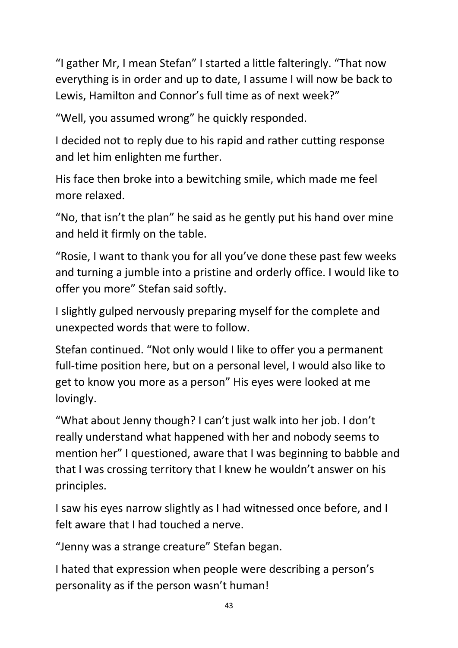"I gather Mr, I mean Stefan" I started a little falteringly. "That now everything is in order and up to date, I assume I will now be back to Lewis, Hamilton and Connor's full time as of next week?"

"Well, you assumed wrong" he quickly responded.

I decided not to reply due to his rapid and rather cutting response and let him enlighten me further.

His face then broke into a bewitching smile, which made me feel more relaxed.

"No, that isn't the plan" he said as he gently put his hand over mine and held it firmly on the table.

"Rosie, I want to thank you for all you've done these past few weeks and turning a jumble into a pristine and orderly office. I would like to offer you more" Stefan said softly.

I slightly gulped nervously preparing myself for the complete and unexpected words that were to follow.

Stefan continued. "Not only would I like to offer you a permanent full-time position here, but on a personal level, I would also like to get to know you more as a person" His eyes were looked at me lovingly.

"What about Jenny though? I can't just walk into her job. I don't really understand what happened with her and nobody seems to mention her" I questioned, aware that I was beginning to babble and that I was crossing territory that I knew he wouldn't answer on his principles.

I saw his eyes narrow slightly as I had witnessed once before, and I felt aware that I had touched a nerve.

"Jenny was a strange creature" Stefan began.

I hated that expression when people were describing a person's personality as if the person wasn't human!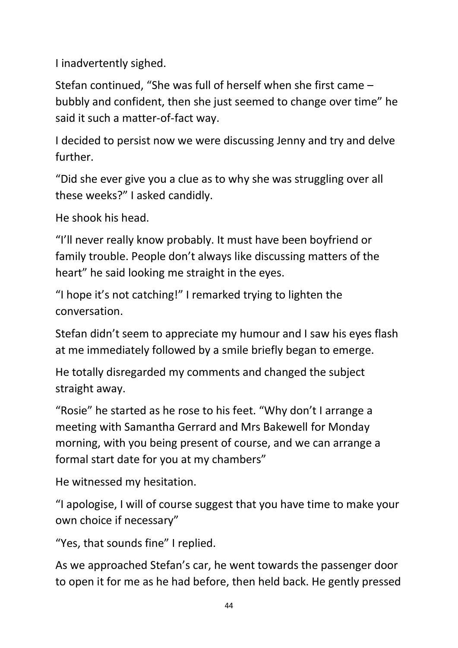I inadvertently sighed.

Stefan continued, "She was full of herself when she first came – bubbly and confident, then she just seemed to change over time" he said it such a matter-of-fact way.

I decided to persist now we were discussing Jenny and try and delve further.

"Did she ever give you a clue as to why she was struggling over all these weeks?" I asked candidly.

He shook his head.

"I'll never really know probably. It must have been boyfriend or family trouble. People don't always like discussing matters of the heart" he said looking me straight in the eyes.

"I hope it's not catching!" I remarked trying to lighten the conversation.

Stefan didn't seem to appreciate my humour and I saw his eyes flash at me immediately followed by a smile briefly began to emerge.

He totally disregarded my comments and changed the subject straight away.

"Rosie" he started as he rose to his feet. "Why don't I arrange a meeting with Samantha Gerrard and Mrs Bakewell for Monday morning, with you being present of course, and we can arrange a formal start date for you at my chambers"

He witnessed my hesitation.

"I apologise, I will of course suggest that you have time to make your own choice if necessary"

"Yes, that sounds fine" I replied.

As we approached Stefan's car, he went towards the passenger door to open it for me as he had before, then held back. He gently pressed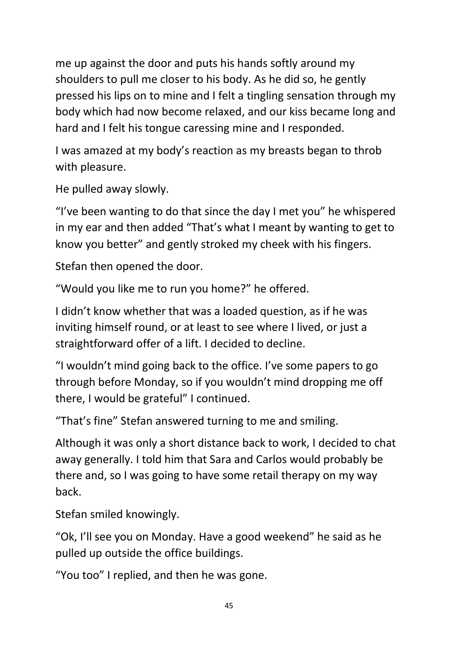me up against the door and puts his hands softly around my shoulders to pull me closer to his body. As he did so, he gently pressed his lips on to mine and I felt a tingling sensation through my body which had now become relaxed, and our kiss became long and hard and I felt his tongue caressing mine and I responded.

I was amazed at my body's reaction as my breasts began to throb with pleasure.

He pulled away slowly.

"I've been wanting to do that since the day I met you" he whispered in my ear and then added "That's what I meant by wanting to get to know you better" and gently stroked my cheek with his fingers.

Stefan then opened the door.

"Would you like me to run you home?" he offered.

I didn't know whether that was a loaded question, as if he was inviting himself round, or at least to see where I lived, or just a straightforward offer of a lift. I decided to decline.

"I wouldn't mind going back to the office. I've some papers to go through before Monday, so if you wouldn't mind dropping me off there, I would be grateful" I continued.

"That's fine" Stefan answered turning to me and smiling.

Although it was only a short distance back to work, I decided to chat away generally. I told him that Sara and Carlos would probably be there and, so I was going to have some retail therapy on my way back.

Stefan smiled knowingly.

"Ok, I'll see you on Monday. Have a good weekend" he said as he pulled up outside the office buildings.

"You too" I replied, and then he was gone.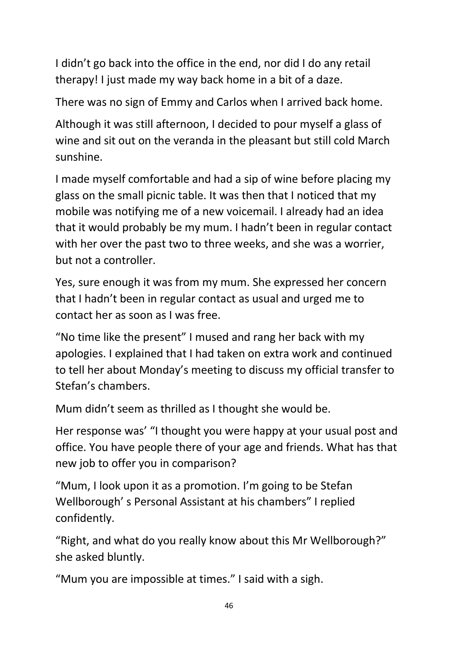I didn't go back into the office in the end, nor did I do any retail therapy! I just made my way back home in a bit of a daze.

There was no sign of Emmy and Carlos when I arrived back home.

Although it was still afternoon, I decided to pour myself a glass of wine and sit out on the veranda in the pleasant but still cold March sunshine.

I made myself comfortable and had a sip of wine before placing my glass on the small picnic table. It was then that I noticed that my mobile was notifying me of a new voicemail. I already had an idea that it would probably be my mum. I hadn't been in regular contact with her over the past two to three weeks, and she was a worrier, but not a controller.

Yes, sure enough it was from my mum. She expressed her concern that I hadn't been in regular contact as usual and urged me to contact her as soon as I was free.

"No time like the present" I mused and rang her back with my apologies. I explained that I had taken on extra work and continued to tell her about Monday's meeting to discuss my official transfer to Stefan's chambers.

Mum didn't seem as thrilled as I thought she would be.

Her response was' "I thought you were happy at your usual post and office. You have people there of your age and friends. What has that new job to offer you in comparison?

"Mum, I look upon it as a promotion. I'm going to be Stefan Wellborough' s Personal Assistant at his chambers" I replied confidently.

"Right, and what do you really know about this Mr Wellborough?" she asked bluntly.

"Mum you are impossible at times." I said with a sigh.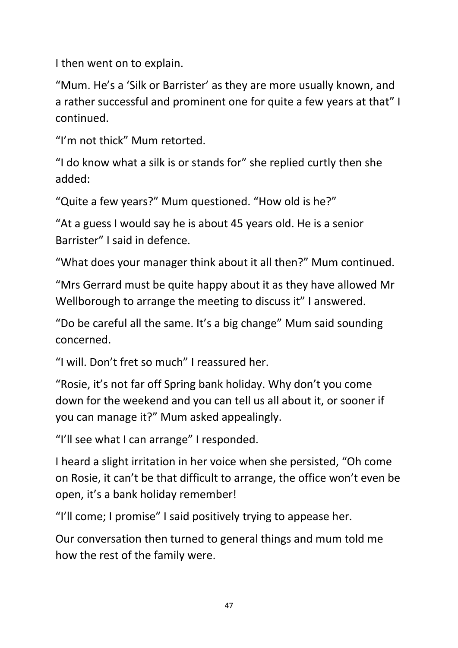I then went on to explain.

"Mum. He's a 'Silk or Barrister' as they are more usually known, and a rather successful and prominent one for quite a few years at that" I continued.

"I'm not thick" Mum retorted.

"I do know what a silk is or stands for" she replied curtly then she added:

"Quite a few years?" Mum questioned. "How old is he?"

"At a guess I would say he is about 45 years old. He is a senior Barrister" I said in defence.

"What does your manager think about it all then?" Mum continued.

"Mrs Gerrard must be quite happy about it as they have allowed Mr Wellborough to arrange the meeting to discuss it" I answered.

"Do be careful all the same. It's a big change" Mum said sounding concerned.

"I will. Don't fret so much" I reassured her.

"Rosie, it's not far off Spring bank holiday. Why don't you come down for the weekend and you can tell us all about it, or sooner if you can manage it?" Mum asked appealingly.

"I'll see what I can arrange" I responded.

I heard a slight irritation in her voice when she persisted, "Oh come on Rosie, it can't be that difficult to arrange, the office won't even be open, it's a bank holiday remember!

"I'll come; I promise" I said positively trying to appease her.

Our conversation then turned to general things and mum told me how the rest of the family were.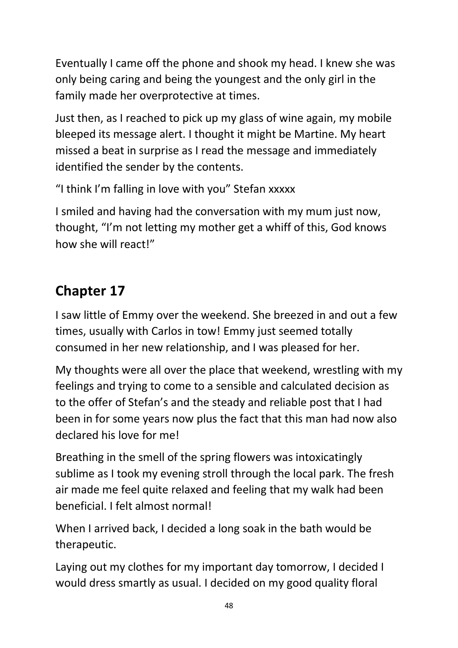Eventually I came off the phone and shook my head. I knew she was only being caring and being the youngest and the only girl in the family made her overprotective at times.

Just then, as I reached to pick up my glass of wine again, my mobile bleeped its message alert. I thought it might be Martine. My heart missed a beat in surprise as I read the message and immediately identified the sender by the contents.

"I think I'm falling in love with you" Stefan xxxxx

I smiled and having had the conversation with my mum just now, thought, "I'm not letting my mother get a whiff of this, God knows how she will react!"

# **Chapter 17**

I saw little of Emmy over the weekend. She breezed in and out a few times, usually with Carlos in tow! Emmy just seemed totally consumed in her new relationship, and I was pleased for her.

My thoughts were all over the place that weekend, wrestling with my feelings and trying to come to a sensible and calculated decision as to the offer of Stefan's and the steady and reliable post that I had been in for some years now plus the fact that this man had now also declared his love for me!

Breathing in the smell of the spring flowers was intoxicatingly sublime as I took my evening stroll through the local park. The fresh air made me feel quite relaxed and feeling that my walk had been beneficial. I felt almost normal!

When I arrived back, I decided a long soak in the bath would be therapeutic.

Laying out my clothes for my important day tomorrow, I decided I would dress smartly as usual. I decided on my good quality floral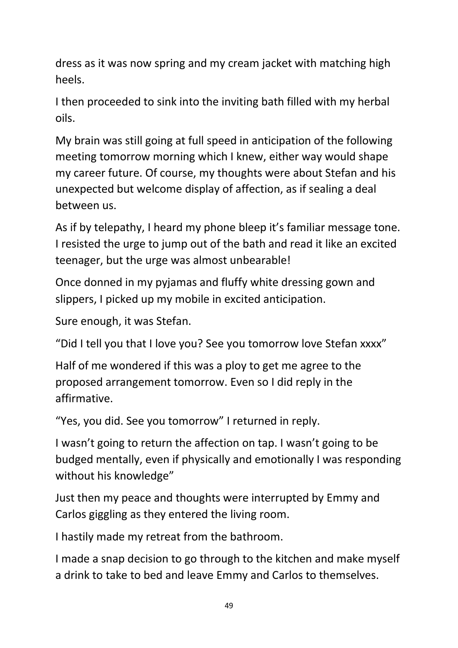dress as it was now spring and my cream jacket with matching high heels.

I then proceeded to sink into the inviting bath filled with my herbal oils.

My brain was still going at full speed in anticipation of the following meeting tomorrow morning which I knew, either way would shape my career future. Of course, my thoughts were about Stefan and his unexpected but welcome display of affection, as if sealing a deal between us.

As if by telepathy, I heard my phone bleep it's familiar message tone. I resisted the urge to jump out of the bath and read it like an excited teenager, but the urge was almost unbearable!

Once donned in my pyjamas and fluffy white dressing gown and slippers, I picked up my mobile in excited anticipation.

Sure enough, it was Stefan.

"Did I tell you that I love you? See you tomorrow love Stefan xxxx"

Half of me wondered if this was a ploy to get me agree to the proposed arrangement tomorrow. Even so I did reply in the affirmative.

"Yes, you did. See you tomorrow" I returned in reply.

I wasn't going to return the affection on tap. I wasn't going to be budged mentally, even if physically and emotionally I was responding without his knowledge"

Just then my peace and thoughts were interrupted by Emmy and Carlos giggling as they entered the living room.

I hastily made my retreat from the bathroom.

I made a snap decision to go through to the kitchen and make myself a drink to take to bed and leave Emmy and Carlos to themselves.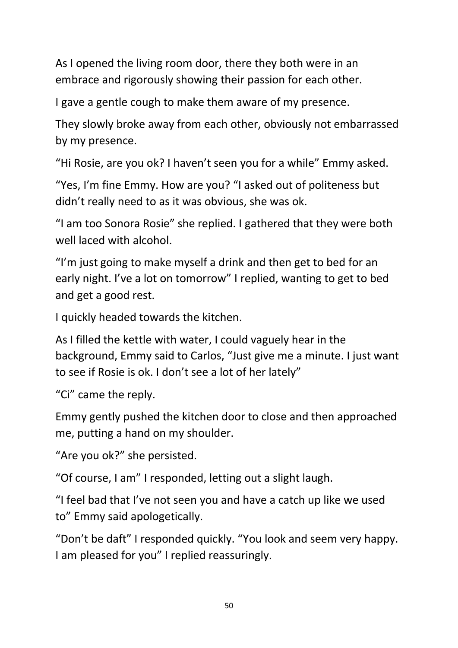As I opened the living room door, there they both were in an embrace and rigorously showing their passion for each other.

I gave a gentle cough to make them aware of my presence.

They slowly broke away from each other, obviously not embarrassed by my presence.

"Hi Rosie, are you ok? I haven't seen you for a while" Emmy asked.

"Yes, I'm fine Emmy. How are you? "I asked out of politeness but didn't really need to as it was obvious, she was ok.

"I am too Sonora Rosie" she replied. I gathered that they were both well laced with alcohol.

"I'm just going to make myself a drink and then get to bed for an early night. I've a lot on tomorrow" I replied, wanting to get to bed and get a good rest.

I quickly headed towards the kitchen.

As I filled the kettle with water, I could vaguely hear in the background, Emmy said to Carlos, "Just give me a minute. I just want to see if Rosie is ok. I don't see a lot of her lately"

"Ci" came the reply.

Emmy gently pushed the kitchen door to close and then approached me, putting a hand on my shoulder.

"Are you ok?" she persisted.

"Of course, I am" I responded, letting out a slight laugh.

"I feel bad that I've not seen you and have a catch up like we used to" Emmy said apologetically.

"Don't be daft" I responded quickly. "You look and seem very happy. I am pleased for you" I replied reassuringly.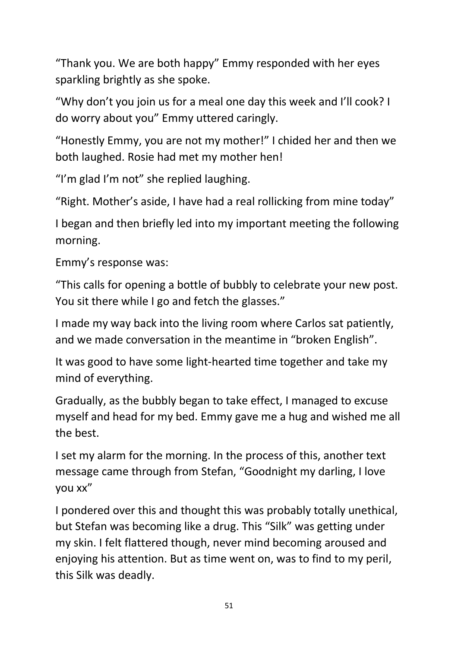"Thank you. We are both happy" Emmy responded with her eyes sparkling brightly as she spoke.

"Why don't you join us for a meal one day this week and I'll cook? I do worry about you" Emmy uttered caringly.

"Honestly Emmy, you are not my mother!" I chided her and then we both laughed. Rosie had met my mother hen!

"I'm glad I'm not" she replied laughing.

"Right. Mother's aside, I have had a real rollicking from mine today"

I began and then briefly led into my important meeting the following morning.

Emmy's response was:

"This calls for opening a bottle of bubbly to celebrate your new post. You sit there while I go and fetch the glasses."

I made my way back into the living room where Carlos sat patiently, and we made conversation in the meantime in "broken English".

It was good to have some light-hearted time together and take my mind of everything.

Gradually, as the bubbly began to take effect, I managed to excuse myself and head for my bed. Emmy gave me a hug and wished me all the best.

I set my alarm for the morning. In the process of this, another text message came through from Stefan, "Goodnight my darling, I love you xx"

I pondered over this and thought this was probably totally unethical, but Stefan was becoming like a drug. This "Silk" was getting under my skin. I felt flattered though, never mind becoming aroused and enjoying his attention. But as time went on, was to find to my peril, this Silk was deadly.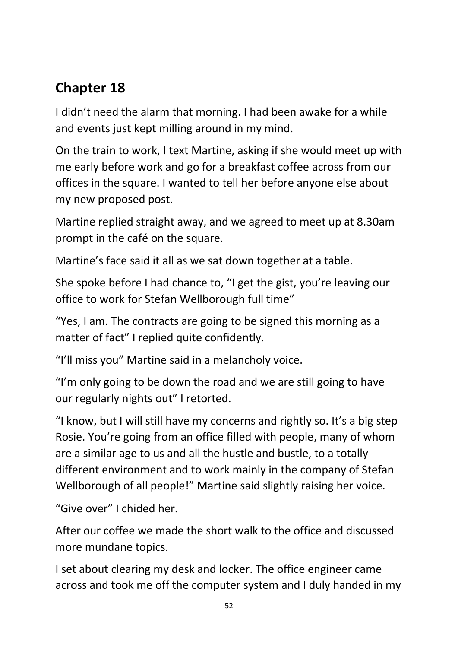## **Chapter 18**

I didn't need the alarm that morning. I had been awake for a while and events just kept milling around in my mind.

On the train to work, I text Martine, asking if she would meet up with me early before work and go for a breakfast coffee across from our offices in the square. I wanted to tell her before anyone else about my new proposed post.

Martine replied straight away, and we agreed to meet up at 8.30am prompt in the café on the square.

Martine's face said it all as we sat down together at a table.

She spoke before I had chance to, "I get the gist, you're leaving our office to work for Stefan Wellborough full time"

"Yes, I am. The contracts are going to be signed this morning as a matter of fact" I replied quite confidently.

"I'll miss you" Martine said in a melancholy voice.

"I'm only going to be down the road and we are still going to have our regularly nights out" I retorted.

"I know, but I will still have my concerns and rightly so. It's a big step Rosie. You're going from an office filled with people, many of whom are a similar age to us and all the hustle and bustle, to a totally different environment and to work mainly in the company of Stefan Wellborough of all people!" Martine said slightly raising her voice.

"Give over" I chided her.

After our coffee we made the short walk to the office and discussed more mundane topics.

I set about clearing my desk and locker. The office engineer came across and took me off the computer system and I duly handed in my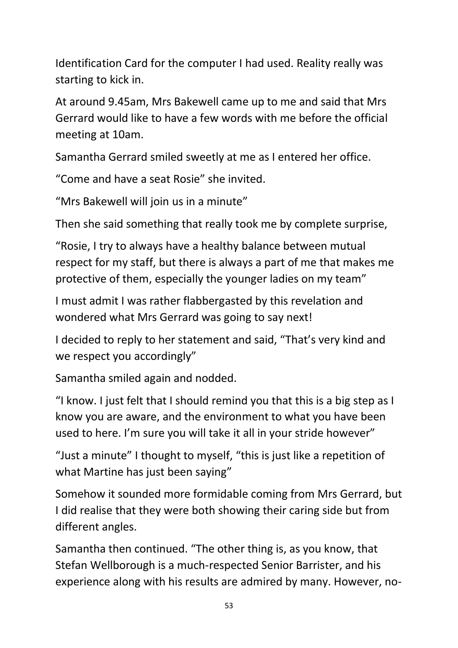Identification Card for the computer I had used. Reality really was starting to kick in.

At around 9.45am, Mrs Bakewell came up to me and said that Mrs Gerrard would like to have a few words with me before the official meeting at 10am.

Samantha Gerrard smiled sweetly at me as I entered her office.

"Come and have a seat Rosie" she invited.

"Mrs Bakewell will join us in a minute"

Then she said something that really took me by complete surprise,

"Rosie, I try to always have a healthy balance between mutual respect for my staff, but there is always a part of me that makes me protective of them, especially the younger ladies on my team"

I must admit I was rather flabbergasted by this revelation and wondered what Mrs Gerrard was going to say next!

I decided to reply to her statement and said, "That's very kind and we respect you accordingly"

Samantha smiled again and nodded.

"I know. I just felt that I should remind you that this is a big step as I know you are aware, and the environment to what you have been used to here. I'm sure you will take it all in your stride however"

"Just a minute" I thought to myself, "this is just like a repetition of what Martine has just been saying"

Somehow it sounded more formidable coming from Mrs Gerrard, but I did realise that they were both showing their caring side but from different angles.

Samantha then continued. "The other thing is, as you know, that Stefan Wellborough is a much-respected Senior Barrister, and his experience along with his results are admired by many. However, no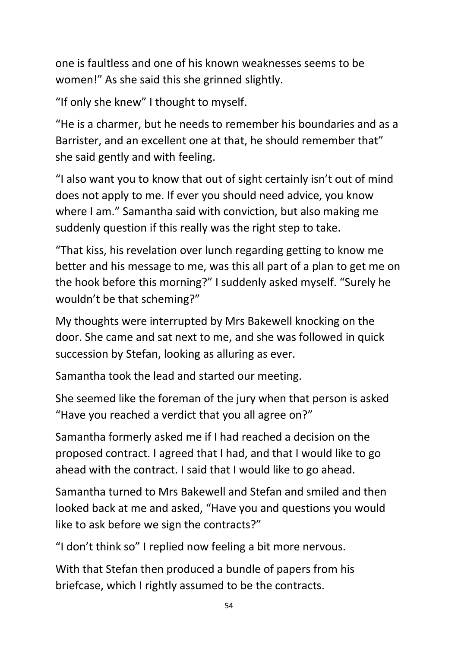one is faultless and one of his known weaknesses seems to be women!" As she said this she grinned slightly.

"If only she knew" I thought to myself.

"He is a charmer, but he needs to remember his boundaries and as a Barrister, and an excellent one at that, he should remember that" she said gently and with feeling.

"I also want you to know that out of sight certainly isn't out of mind does not apply to me. If ever you should need advice, you know where I am." Samantha said with conviction, but also making me suddenly question if this really was the right step to take.

"That kiss, his revelation over lunch regarding getting to know me better and his message to me, was this all part of a plan to get me on the hook before this morning?" I suddenly asked myself. "Surely he wouldn't be that scheming?"

My thoughts were interrupted by Mrs Bakewell knocking on the door. She came and sat next to me, and she was followed in quick succession by Stefan, looking as alluring as ever.

Samantha took the lead and started our meeting.

She seemed like the foreman of the jury when that person is asked "Have you reached a verdict that you all agree on?"

Samantha formerly asked me if I had reached a decision on the proposed contract. I agreed that I had, and that I would like to go ahead with the contract. I said that I would like to go ahead.

Samantha turned to Mrs Bakewell and Stefan and smiled and then looked back at me and asked, "Have you and questions you would like to ask before we sign the contracts?"

"I don't think so" I replied now feeling a bit more nervous.

With that Stefan then produced a bundle of papers from his briefcase, which I rightly assumed to be the contracts.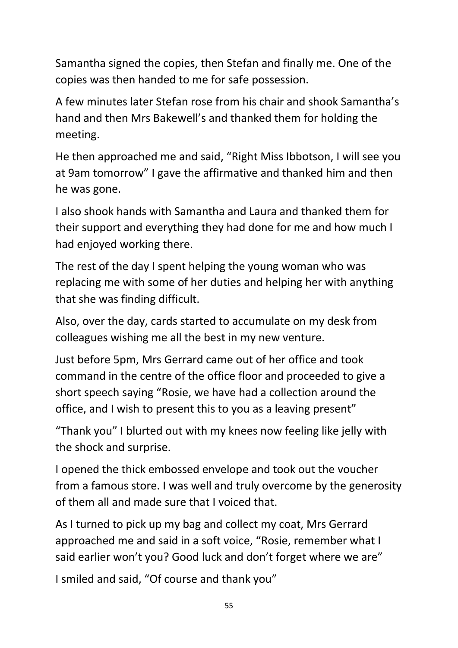Samantha signed the copies, then Stefan and finally me. One of the copies was then handed to me for safe possession.

A few minutes later Stefan rose from his chair and shook Samantha's hand and then Mrs Bakewell's and thanked them for holding the meeting.

He then approached me and said, "Right Miss Ibbotson, I will see you at 9am tomorrow" I gave the affirmative and thanked him and then he was gone.

I also shook hands with Samantha and Laura and thanked them for their support and everything they had done for me and how much I had enjoyed working there.

The rest of the day I spent helping the young woman who was replacing me with some of her duties and helping her with anything that she was finding difficult.

Also, over the day, cards started to accumulate on my desk from colleagues wishing me all the best in my new venture.

Just before 5pm, Mrs Gerrard came out of her office and took command in the centre of the office floor and proceeded to give a short speech saying "Rosie, we have had a collection around the office, and I wish to present this to you as a leaving present"

"Thank you" I blurted out with my knees now feeling like jelly with the shock and surprise.

I opened the thick embossed envelope and took out the voucher from a famous store. I was well and truly overcome by the generosity of them all and made sure that I voiced that.

As I turned to pick up my bag and collect my coat, Mrs Gerrard approached me and said in a soft voice, "Rosie, remember what I said earlier won't you? Good luck and don't forget where we are"

I smiled and said, "Of course and thank you"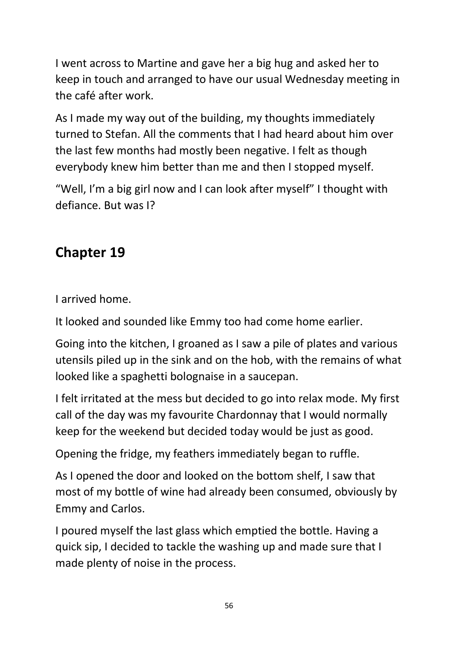I went across to Martine and gave her a big hug and asked her to keep in touch and arranged to have our usual Wednesday meeting in the café after work.

As I made my way out of the building, my thoughts immediately turned to Stefan. All the comments that I had heard about him over the last few months had mostly been negative. I felt as though everybody knew him better than me and then I stopped myself.

"Well, I'm a big girl now and I can look after myself" I thought with defiance. But was I?

# **Chapter 19**

I arrived home.

It looked and sounded like Emmy too had come home earlier.

Going into the kitchen, I groaned as I saw a pile of plates and various utensils piled up in the sink and on the hob, with the remains of what looked like a spaghetti bolognaise in a saucepan.

I felt irritated at the mess but decided to go into relax mode. My first call of the day was my favourite Chardonnay that I would normally keep for the weekend but decided today would be just as good.

Opening the fridge, my feathers immediately began to ruffle.

As I opened the door and looked on the bottom shelf, I saw that most of my bottle of wine had already been consumed, obviously by Emmy and Carlos.

I poured myself the last glass which emptied the bottle. Having a quick sip, I decided to tackle the washing up and made sure that I made plenty of noise in the process.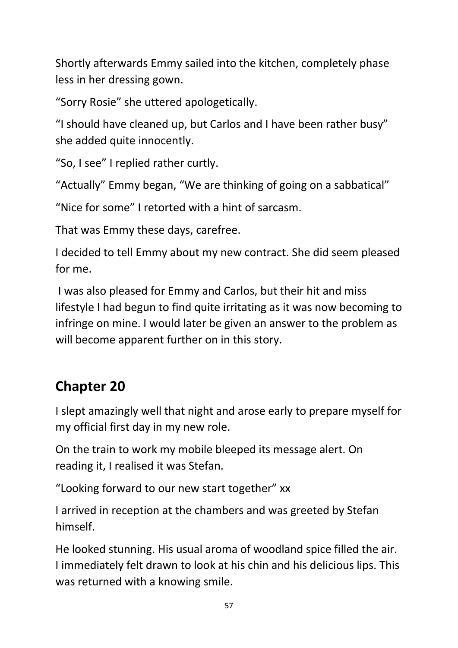Shortly afterwards Emmy sailed into the kitchen, completely phase less in her dressing gown.

"Sorry Rosie" she uttered apologetically.

"I should have cleaned up, but Carlos and I have been rather busy" she added quite innocently.

"So, I see" I replied rather curtly.

"Actually" Emmy began, "We are thinking of going on a sabbatical"

"Nice for some" I retorted with a hint of sarcasm.

That was Emmy these days, carefree.

I decided to tell Emmy about my new contract. She did seem pleased for me.

I was also pleased for Emmy and Carlos, but their hit and miss lifestyle I had begun to find quite irritating as it was now becoming to infringe on mine. I would later be given an answer to the problem as will become apparent further on in this story.

## **Chapter 20**

I slept amazingly well that night and arose early to prepare myself for my official first day in my new role.

On the train to work my mobile bleeped its message alert. On reading it, I realised it was Stefan.

"Looking forward to our new start together" xx

I arrived in reception at the chambers and was greeted by Stefan himself.

He looked stunning. His usual aroma of woodland spice filled the air. I immediately felt drawn to look at his chin and his delicious lips. This was returned with a knowing smile.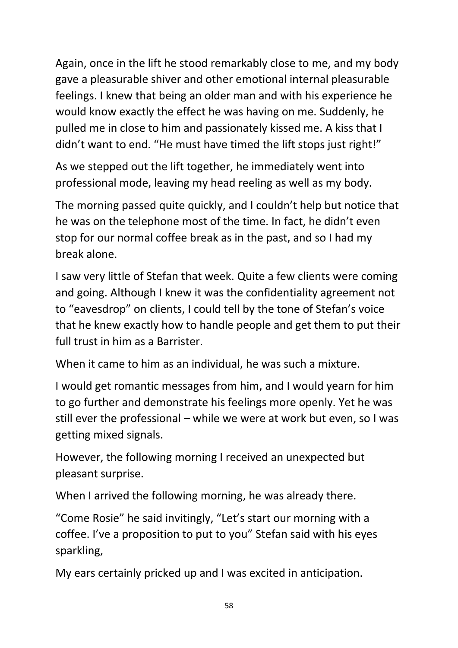Again, once in the lift he stood remarkably close to me, and my body gave a pleasurable shiver and other emotional internal pleasurable feelings. I knew that being an older man and with his experience he would know exactly the effect he was having on me. Suddenly, he pulled me in close to him and passionately kissed me. A kiss that I didn't want to end. "He must have timed the lift stops just right!"

As we stepped out the lift together, he immediately went into professional mode, leaving my head reeling as well as my body.

The morning passed quite quickly, and I couldn't help but notice that he was on the telephone most of the time. In fact, he didn't even stop for our normal coffee break as in the past, and so I had my break alone.

I saw very little of Stefan that week. Quite a few clients were coming and going. Although I knew it was the confidentiality agreement not to "eavesdrop" on clients, I could tell by the tone of Stefan's voice that he knew exactly how to handle people and get them to put their full trust in him as a Barrister.

When it came to him as an individual, he was such a mixture.

I would get romantic messages from him, and I would yearn for him to go further and demonstrate his feelings more openly. Yet he was still ever the professional – while we were at work but even, so I was getting mixed signals.

However, the following morning I received an unexpected but pleasant surprise.

When I arrived the following morning, he was already there.

"Come Rosie" he said invitingly, "Let's start our morning with a coffee. I've a proposition to put to you" Stefan said with his eyes sparkling,

My ears certainly pricked up and I was excited in anticipation.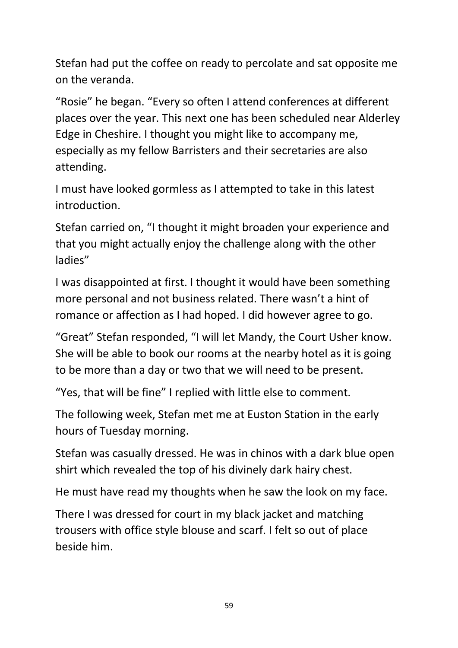Stefan had put the coffee on ready to percolate and sat opposite me on the veranda.

"Rosie" he began. "Every so often I attend conferences at different places over the year. This next one has been scheduled near Alderley Edge in Cheshire. I thought you might like to accompany me, especially as my fellow Barristers and their secretaries are also attending.

I must have looked gormless as I attempted to take in this latest introduction.

Stefan carried on, "I thought it might broaden your experience and that you might actually enjoy the challenge along with the other ladies"

I was disappointed at first. I thought it would have been something more personal and not business related. There wasn't a hint of romance or affection as I had hoped. I did however agree to go.

"Great" Stefan responded, "I will let Mandy, the Court Usher know. She will be able to book our rooms at the nearby hotel as it is going to be more than a day or two that we will need to be present.

"Yes, that will be fine" I replied with little else to comment.

The following week, Stefan met me at Euston Station in the early hours of Tuesday morning.

Stefan was casually dressed. He was in chinos with a dark blue open shirt which revealed the top of his divinely dark hairy chest.

He must have read my thoughts when he saw the look on my face.

There I was dressed for court in my black jacket and matching trousers with office style blouse and scarf. I felt so out of place beside him.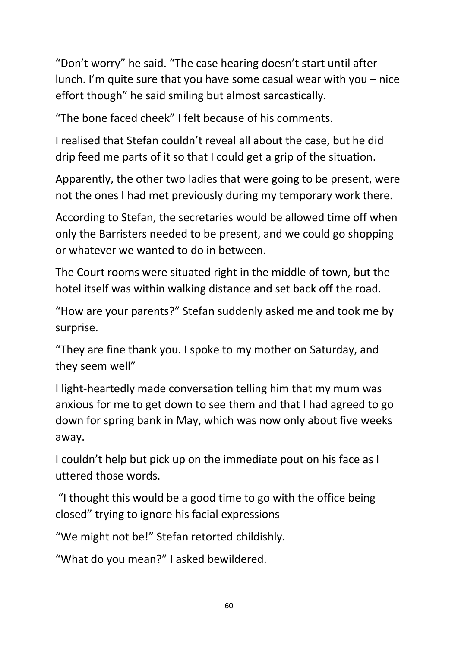"Don't worry" he said. "The case hearing doesn't start until after lunch. I'm quite sure that you have some casual wear with you – nice effort though" he said smiling but almost sarcastically.

"The bone faced cheek" I felt because of his comments.

I realised that Stefan couldn't reveal all about the case, but he did drip feed me parts of it so that I could get a grip of the situation.

Apparently, the other two ladies that were going to be present, were not the ones I had met previously during my temporary work there.

According to Stefan, the secretaries would be allowed time off when only the Barristers needed to be present, and we could go shopping or whatever we wanted to do in between.

The Court rooms were situated right in the middle of town, but the hotel itself was within walking distance and set back off the road.

"How are your parents?" Stefan suddenly asked me and took me by surprise.

"They are fine thank you. I spoke to my mother on Saturday, and they seem well"

I light-heartedly made conversation telling him that my mum was anxious for me to get down to see them and that I had agreed to go down for spring bank in May, which was now only about five weeks away.

I couldn't help but pick up on the immediate pout on his face as I uttered those words.

"I thought this would be a good time to go with the office being closed" trying to ignore his facial expressions

"We might not be!" Stefan retorted childishly.

"What do you mean?" I asked bewildered.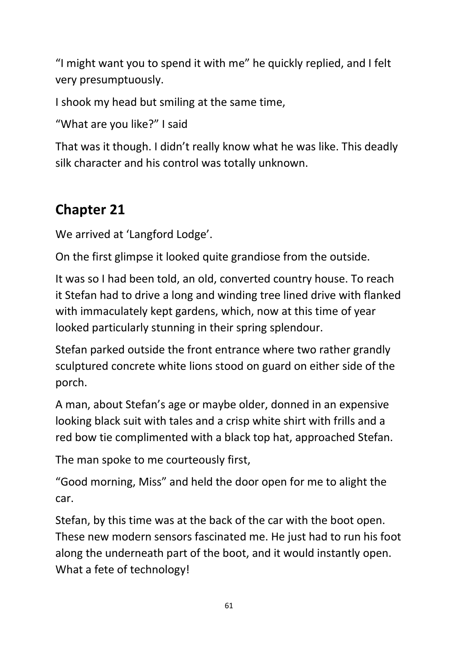"I might want you to spend it with me" he quickly replied, and I felt very presumptuously.

I shook my head but smiling at the same time,

"What are you like?" I said

That was it though. I didn't really know what he was like. This deadly silk character and his control was totally unknown.

## **Chapter 21**

We arrived at 'Langford Lodge'.

On the first glimpse it looked quite grandiose from the outside.

It was so I had been told, an old, converted country house. To reach it Stefan had to drive a long and winding tree lined drive with flanked with immaculately kept gardens, which, now at this time of year looked particularly stunning in their spring splendour.

Stefan parked outside the front entrance where two rather grandly sculptured concrete white lions stood on guard on either side of the porch.

A man, about Stefan's age or maybe older, donned in an expensive looking black suit with tales and a crisp white shirt with frills and a red bow tie complimented with a black top hat, approached Stefan.

The man spoke to me courteously first,

"Good morning, Miss" and held the door open for me to alight the car.

Stefan, by this time was at the back of the car with the boot open. These new modern sensors fascinated me. He just had to run his foot along the underneath part of the boot, and it would instantly open. What a fete of technology!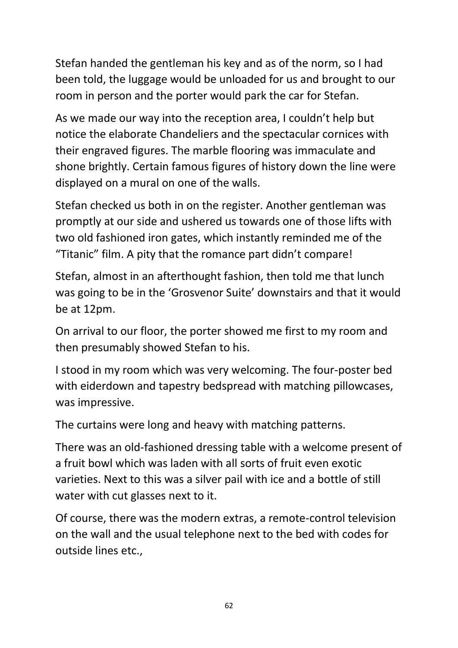Stefan handed the gentleman his key and as of the norm, so I had been told, the luggage would be unloaded for us and brought to our room in person and the porter would park the car for Stefan.

As we made our way into the reception area, I couldn't help but notice the elaborate Chandeliers and the spectacular cornices with their engraved figures. The marble flooring was immaculate and shone brightly. Certain famous figures of history down the line were displayed on a mural on one of the walls.

Stefan checked us both in on the register. Another gentleman was promptly at our side and ushered us towards one of those lifts with two old fashioned iron gates, which instantly reminded me of the "Titanic" film. A pity that the romance part didn't compare!

Stefan, almost in an afterthought fashion, then told me that lunch was going to be in the 'Grosvenor Suite' downstairs and that it would be at 12pm.

On arrival to our floor, the porter showed me first to my room and then presumably showed Stefan to his.

I stood in my room which was very welcoming. The four-poster bed with eiderdown and tapestry bedspread with matching pillowcases, was impressive.

The curtains were long and heavy with matching patterns.

There was an old-fashioned dressing table with a welcome present of a fruit bowl which was laden with all sorts of fruit even exotic varieties. Next to this was a silver pail with ice and a bottle of still water with cut glasses next to it.

Of course, there was the modern extras, a remote-control television on the wall and the usual telephone next to the bed with codes for outside lines etc.,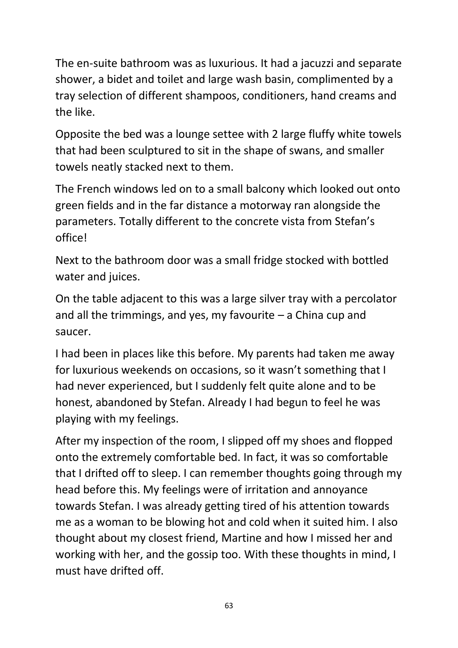The en-suite bathroom was as luxurious. It had a jacuzzi and separate shower, a bidet and toilet and large wash basin, complimented by a tray selection of different shampoos, conditioners, hand creams and the like.

Opposite the bed was a lounge settee with 2 large fluffy white towels that had been sculptured to sit in the shape of swans, and smaller towels neatly stacked next to them.

The French windows led on to a small balcony which looked out onto green fields and in the far distance a motorway ran alongside the parameters. Totally different to the concrete vista from Stefan's office!

Next to the bathroom door was a small fridge stocked with bottled water and juices.

On the table adjacent to this was a large silver tray with a percolator and all the trimmings, and yes, my favourite  $-$  a China cup and saucer.

I had been in places like this before. My parents had taken me away for luxurious weekends on occasions, so it wasn't something that I had never experienced, but I suddenly felt quite alone and to be honest, abandoned by Stefan. Already I had begun to feel he was playing with my feelings.

After my inspection of the room, I slipped off my shoes and flopped onto the extremely comfortable bed. In fact, it was so comfortable that I drifted off to sleep. I can remember thoughts going through my head before this. My feelings were of irritation and annoyance towards Stefan. I was already getting tired of his attention towards me as a woman to be blowing hot and cold when it suited him. I also thought about my closest friend, Martine and how I missed her and working with her, and the gossip too. With these thoughts in mind, I must have drifted off.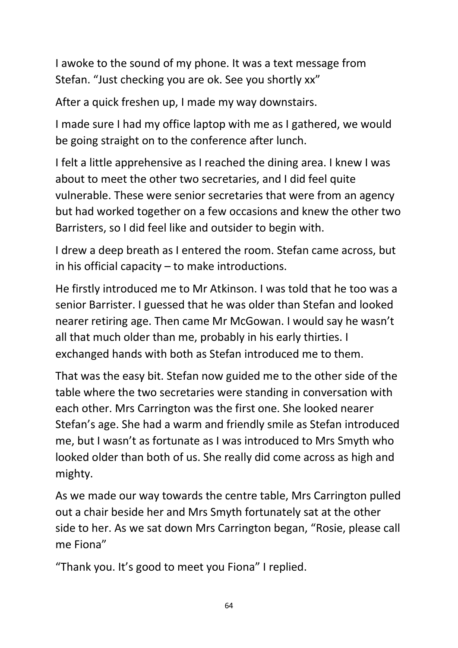I awoke to the sound of my phone. It was a text message from Stefan. "Just checking you are ok. See you shortly xx"

After a quick freshen up, I made my way downstairs.

I made sure I had my office laptop with me as I gathered, we would be going straight on to the conference after lunch.

I felt a little apprehensive as I reached the dining area. I knew I was about to meet the other two secretaries, and I did feel quite vulnerable. These were senior secretaries that were from an agency but had worked together on a few occasions and knew the other two Barristers, so I did feel like and outsider to begin with.

I drew a deep breath as I entered the room. Stefan came across, but in his official capacity – to make introductions.

He firstly introduced me to Mr Atkinson. I was told that he too was a senior Barrister. I guessed that he was older than Stefan and looked nearer retiring age. Then came Mr McGowan. I would say he wasn't all that much older than me, probably in his early thirties. I exchanged hands with both as Stefan introduced me to them.

That was the easy bit. Stefan now guided me to the other side of the table where the two secretaries were standing in conversation with each other. Mrs Carrington was the first one. She looked nearer Stefan's age. She had a warm and friendly smile as Stefan introduced me, but I wasn't as fortunate as I was introduced to Mrs Smyth who looked older than both of us. She really did come across as high and mighty.

As we made our way towards the centre table, Mrs Carrington pulled out a chair beside her and Mrs Smyth fortunately sat at the other side to her. As we sat down Mrs Carrington began, "Rosie, please call me Fiona"

"Thank you. It's good to meet you Fiona" I replied.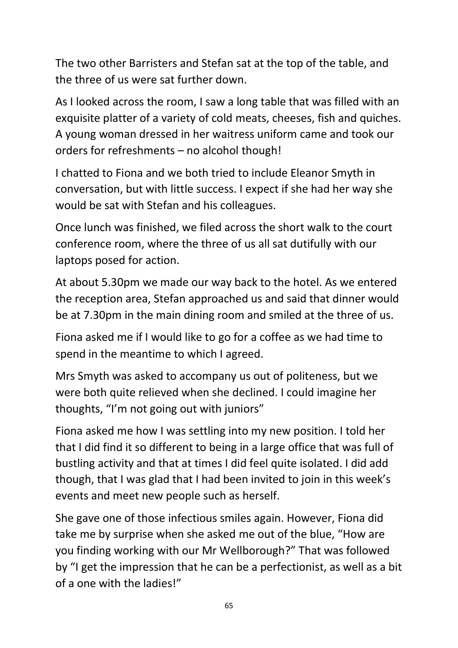The two other Barristers and Stefan sat at the top of the table, and the three of us were sat further down.

As I looked across the room, I saw a long table that was filled with an exquisite platter of a variety of cold meats, cheeses, fish and quiches. A young woman dressed in her waitress uniform came and took our orders for refreshments – no alcohol though!

I chatted to Fiona and we both tried to include Eleanor Smyth in conversation, but with little success. I expect if she had her way she would be sat with Stefan and his colleagues.

Once lunch was finished, we filed across the short walk to the court conference room, where the three of us all sat dutifully with our laptops posed for action.

At about 5.30pm we made our way back to the hotel. As we entered the reception area, Stefan approached us and said that dinner would be at 7.30pm in the main dining room and smiled at the three of us.

Fiona asked me if I would like to go for a coffee as we had time to spend in the meantime to which I agreed.

Mrs Smyth was asked to accompany us out of politeness, but we were both quite relieved when she declined. I could imagine her thoughts, "I'm not going out with juniors"

Fiona asked me how I was settling into my new position. I told her that I did find it so different to being in a large office that was full of bustling activity and that at times I did feel quite isolated. I did add though, that I was glad that I had been invited to join in this week's events and meet new people such as herself.

She gave one of those infectious smiles again. However, Fiona did take me by surprise when she asked me out of the blue, "How are you finding working with our Mr Wellborough?" That was followed by "I get the impression that he can be a perfectionist, as well as a bit of a one with the ladies!"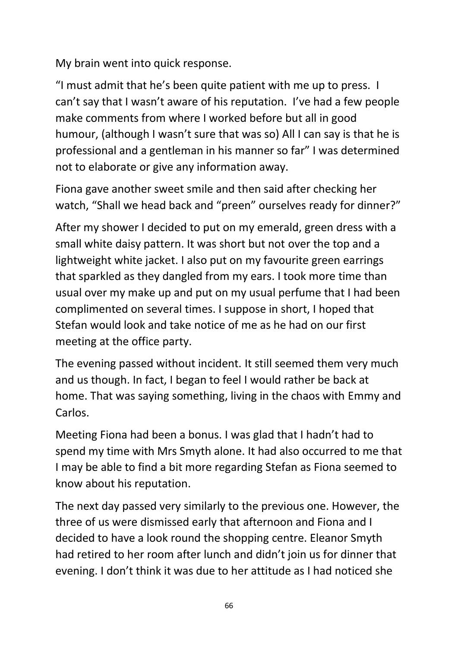My brain went into quick response.

"I must admit that he's been quite patient with me up to press. I can't say that I wasn't aware of his reputation. I've had a few people make comments from where I worked before but all in good humour, (although I wasn't sure that was so) All I can say is that he is professional and a gentleman in his manner so far" I was determined not to elaborate or give any information away.

Fiona gave another sweet smile and then said after checking her watch, "Shall we head back and "preen" ourselves ready for dinner?"

After my shower I decided to put on my emerald, green dress with a small white daisy pattern. It was short but not over the top and a lightweight white jacket. I also put on my favourite green earrings that sparkled as they dangled from my ears. I took more time than usual over my make up and put on my usual perfume that I had been complimented on several times. I suppose in short, I hoped that Stefan would look and take notice of me as he had on our first meeting at the office party.

The evening passed without incident. It still seemed them very much and us though. In fact, I began to feel I would rather be back at home. That was saying something, living in the chaos with Emmy and Carlos.

Meeting Fiona had been a bonus. I was glad that I hadn't had to spend my time with Mrs Smyth alone. It had also occurred to me that I may be able to find a bit more regarding Stefan as Fiona seemed to know about his reputation.

The next day passed very similarly to the previous one. However, the three of us were dismissed early that afternoon and Fiona and I decided to have a look round the shopping centre. Eleanor Smyth had retired to her room after lunch and didn't join us for dinner that evening. I don't think it was due to her attitude as I had noticed she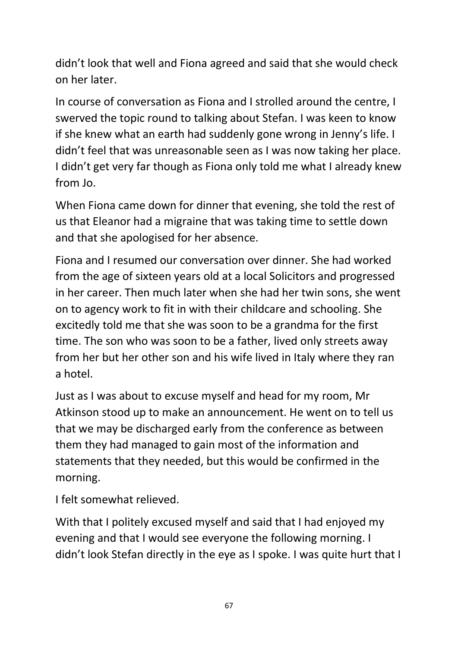didn't look that well and Fiona agreed and said that she would check on her later.

In course of conversation as Fiona and I strolled around the centre, I swerved the topic round to talking about Stefan. I was keen to know if she knew what an earth had suddenly gone wrong in Jenny's life. I didn't feel that was unreasonable seen as I was now taking her place. I didn't get very far though as Fiona only told me what I already knew from Jo.

When Fiona came down for dinner that evening, she told the rest of us that Eleanor had a migraine that was taking time to settle down and that she apologised for her absence.

Fiona and I resumed our conversation over dinner. She had worked from the age of sixteen years old at a local Solicitors and progressed in her career. Then much later when she had her twin sons, she went on to agency work to fit in with their childcare and schooling. She excitedly told me that she was soon to be a grandma for the first time. The son who was soon to be a father, lived only streets away from her but her other son and his wife lived in Italy where they ran a hotel.

Just as I was about to excuse myself and head for my room, Mr Atkinson stood up to make an announcement. He went on to tell us that we may be discharged early from the conference as between them they had managed to gain most of the information and statements that they needed, but this would be confirmed in the morning.

I felt somewhat relieved.

With that I politely excused myself and said that I had enjoyed my evening and that I would see everyone the following morning. I didn't look Stefan directly in the eye as I spoke. I was quite hurt that I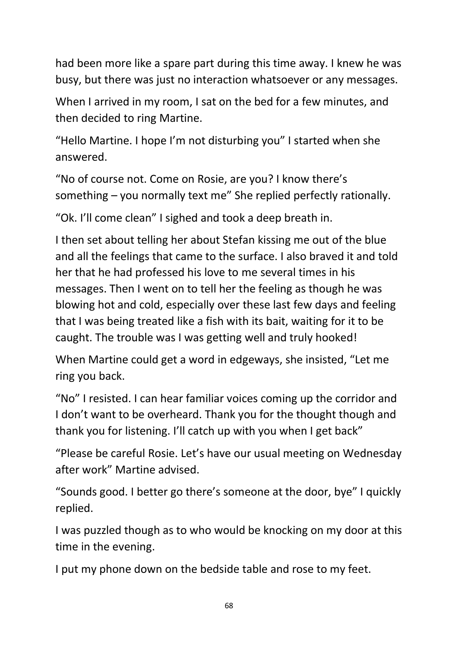had been more like a spare part during this time away. I knew he was busy, but there was just no interaction whatsoever or any messages.

When I arrived in my room, I sat on the bed for a few minutes, and then decided to ring Martine.

"Hello Martine. I hope I'm not disturbing you" I started when she answered.

"No of course not. Come on Rosie, are you? I know there's something – you normally text me" She replied perfectly rationally.

"Ok. I'll come clean" I sighed and took a deep breath in.

I then set about telling her about Stefan kissing me out of the blue and all the feelings that came to the surface. I also braved it and told her that he had professed his love to me several times in his messages. Then I went on to tell her the feeling as though he was blowing hot and cold, especially over these last few days and feeling that I was being treated like a fish with its bait, waiting for it to be caught. The trouble was I was getting well and truly hooked!

When Martine could get a word in edgeways, she insisted, "Let me ring you back.

"No" I resisted. I can hear familiar voices coming up the corridor and I don't want to be overheard. Thank you for the thought though and thank you for listening. I'll catch up with you when I get back"

"Please be careful Rosie. Let's have our usual meeting on Wednesday after work" Martine advised.

"Sounds good. I better go there's someone at the door, bye" I quickly replied.

I was puzzled though as to who would be knocking on my door at this time in the evening.

I put my phone down on the bedside table and rose to my feet.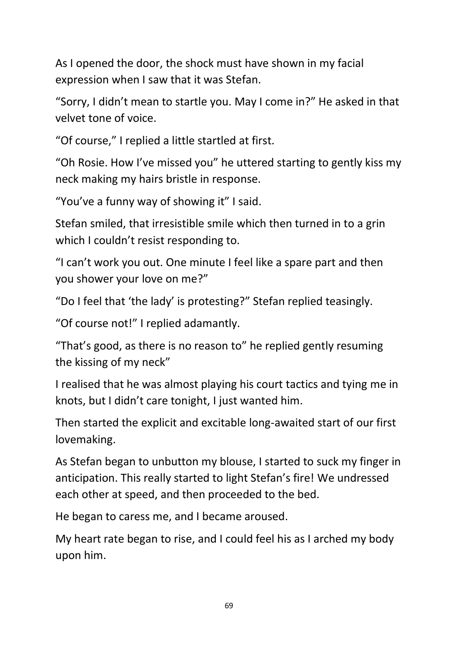As I opened the door, the shock must have shown in my facial expression when I saw that it was Stefan.

"Sorry, I didn't mean to startle you. May I come in?" He asked in that velvet tone of voice.

"Of course," I replied a little startled at first.

"Oh Rosie. How I've missed you" he uttered starting to gently kiss my neck making my hairs bristle in response.

"You've a funny way of showing it" I said.

Stefan smiled, that irresistible smile which then turned in to a grin which I couldn't resist responding to.

"I can't work you out. One minute I feel like a spare part and then you shower your love on me?"

"Do I feel that 'the lady' is protesting?" Stefan replied teasingly.

"Of course not!" I replied adamantly.

"That's good, as there is no reason to" he replied gently resuming the kissing of my neck"

I realised that he was almost playing his court tactics and tying me in knots, but I didn't care tonight, I just wanted him.

Then started the explicit and excitable long-awaited start of our first lovemaking.

As Stefan began to unbutton my blouse, I started to suck my finger in anticipation. This really started to light Stefan's fire! We undressed each other at speed, and then proceeded to the bed.

He began to caress me, and I became aroused.

My heart rate began to rise, and I could feel his as I arched my body upon him.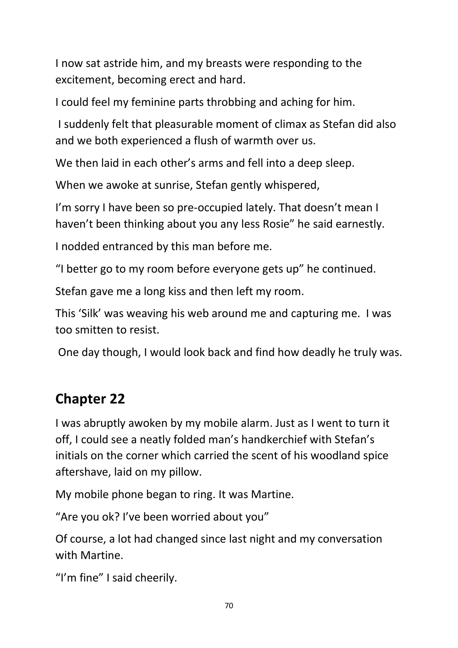I now sat astride him, and my breasts were responding to the excitement, becoming erect and hard.

I could feel my feminine parts throbbing and aching for him.

I suddenly felt that pleasurable moment of climax as Stefan did also and we both experienced a flush of warmth over us.

We then laid in each other's arms and fell into a deep sleep.

When we awoke at sunrise, Stefan gently whispered,

I'm sorry I have been so pre-occupied lately. That doesn't mean I haven't been thinking about you any less Rosie" he said earnestly.

I nodded entranced by this man before me.

"I better go to my room before everyone gets up" he continued.

Stefan gave me a long kiss and then left my room.

This 'Silk' was weaving his web around me and capturing me. I was too smitten to resist.

One day though, I would look back and find how deadly he truly was.

#### **Chapter 22**

I was abruptly awoken by my mobile alarm. Just as I went to turn it off, I could see a neatly folded man's handkerchief with Stefan's initials on the corner which carried the scent of his woodland spice aftershave, laid on my pillow.

My mobile phone began to ring. It was Martine.

"Are you ok? I've been worried about you"

Of course, a lot had changed since last night and my conversation with Martine.

"I'm fine" I said cheerily.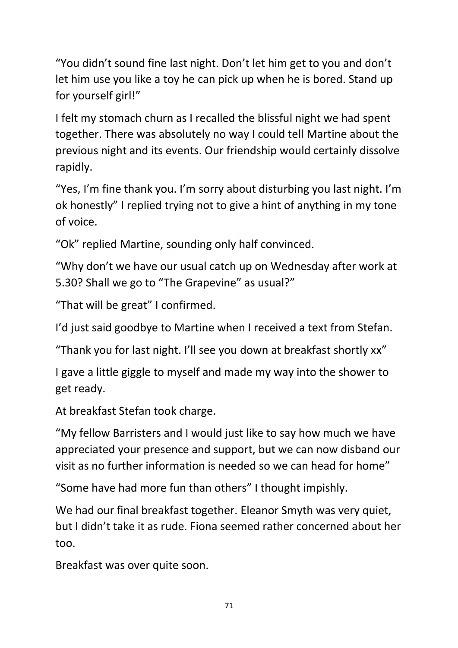"You didn't sound fine last night. Don't let him get to you and don't let him use you like a toy he can pick up when he is bored. Stand up for yourself girl!"

I felt my stomach churn as I recalled the blissful night we had spent together. There was absolutely no way I could tell Martine about the previous night and its events. Our friendship would certainly dissolve rapidly.

"Yes, I'm fine thank you. I'm sorry about disturbing you last night. I'm ok honestly" I replied trying not to give a hint of anything in my tone of voice.

"Ok" replied Martine, sounding only half convinced.

"Why don't we have our usual catch up on Wednesday after work at 5.30? Shall we go to "The Grapevine" as usual?"

"That will be great" I confirmed.

I'd just said goodbye to Martine when I received a text from Stefan.

"Thank you for last night. I'll see you down at breakfast shortly xx"

I gave a little giggle to myself and made my way into the shower to get ready.

At breakfast Stefan took charge.

"My fellow Barristers and I would just like to say how much we have appreciated your presence and support, but we can now disband our visit as no further information is needed so we can head for home"

"Some have had more fun than others" I thought impishly.

We had our final breakfast together. Eleanor Smyth was very quiet, but I didn't take it as rude. Fiona seemed rather concerned about her too.

Breakfast was over quite soon.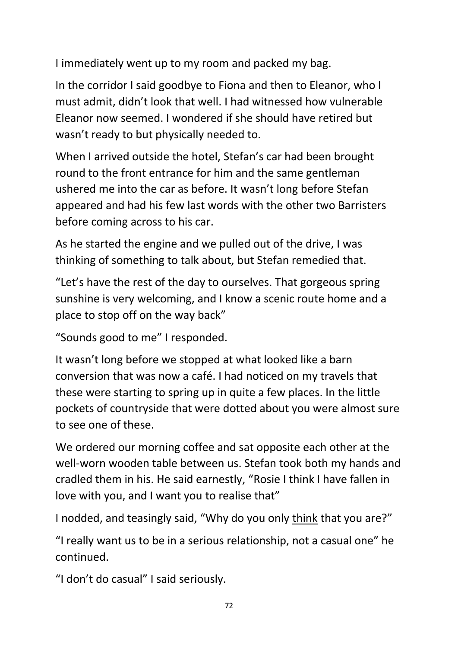I immediately went up to my room and packed my bag.

In the corridor I said goodbye to Fiona and then to Eleanor, who I must admit, didn't look that well. I had witnessed how vulnerable Eleanor now seemed. I wondered if she should have retired but wasn't ready to but physically needed to.

When I arrived outside the hotel, Stefan's car had been brought round to the front entrance for him and the same gentleman ushered me into the car as before. It wasn't long before Stefan appeared and had his few last words with the other two Barristers before coming across to his car.

As he started the engine and we pulled out of the drive, I was thinking of something to talk about, but Stefan remedied that.

"Let's have the rest of the day to ourselves. That gorgeous spring sunshine is very welcoming, and I know a scenic route home and a place to stop off on the way back"

"Sounds good to me" I responded.

It wasn't long before we stopped at what looked like a barn conversion that was now a café. I had noticed on my travels that these were starting to spring up in quite a few places. In the little pockets of countryside that were dotted about you were almost sure to see one of these.

We ordered our morning coffee and sat opposite each other at the well-worn wooden table between us. Stefan took both my hands and cradled them in his. He said earnestly, "Rosie I think I have fallen in love with you, and I want you to realise that"

I nodded, and teasingly said, "Why do you only think that you are?"

"I really want us to be in a serious relationship, not a casual one" he continued.

"I don't do casual" I said seriously.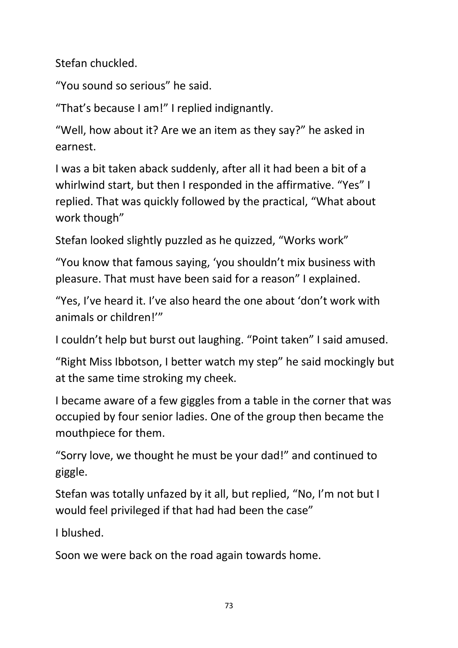Stefan chuckled.

"You sound so serious" he said.

"That's because I am!" I replied indignantly.

"Well, how about it? Are we an item as they say?" he asked in earnest.

I was a bit taken aback suddenly, after all it had been a bit of a whirlwind start, but then I responded in the affirmative. "Yes" I replied. That was quickly followed by the practical, "What about work though"

Stefan looked slightly puzzled as he quizzed, "Works work"

"You know that famous saying, 'you shouldn't mix business with pleasure. That must have been said for a reason" I explained.

"Yes, I've heard it. I've also heard the one about 'don't work with animals or children!'"

I couldn't help but burst out laughing. "Point taken" I said amused.

"Right Miss Ibbotson, I better watch my step" he said mockingly but at the same time stroking my cheek.

I became aware of a few giggles from a table in the corner that was occupied by four senior ladies. One of the group then became the mouthpiece for them.

"Sorry love, we thought he must be your dad!" and continued to giggle.

Stefan was totally unfazed by it all, but replied, "No, I'm not but I would feel privileged if that had had been the case"

I blushed.

Soon we were back on the road again towards home.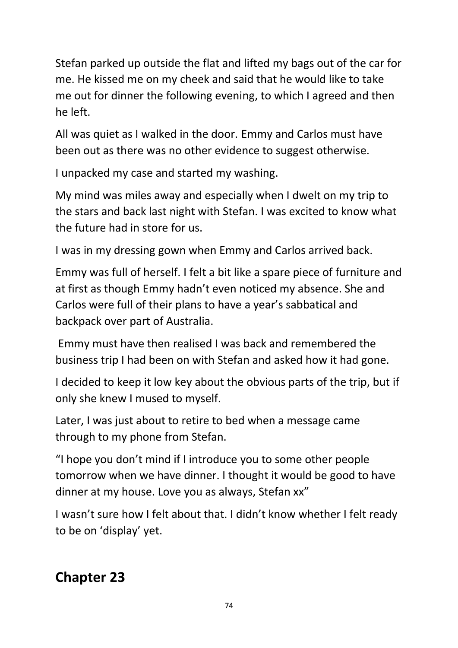Stefan parked up outside the flat and lifted my bags out of the car for me. He kissed me on my cheek and said that he would like to take me out for dinner the following evening, to which I agreed and then he left.

All was quiet as I walked in the door. Emmy and Carlos must have been out as there was no other evidence to suggest otherwise.

I unpacked my case and started my washing.

My mind was miles away and especially when I dwelt on my trip to the stars and back last night with Stefan. I was excited to know what the future had in store for us.

I was in my dressing gown when Emmy and Carlos arrived back.

Emmy was full of herself. I felt a bit like a spare piece of furniture and at first as though Emmy hadn't even noticed my absence. She and Carlos were full of their plans to have a year's sabbatical and backpack over part of Australia.

Emmy must have then realised I was back and remembered the business trip I had been on with Stefan and asked how it had gone.

I decided to keep it low key about the obvious parts of the trip, but if only she knew I mused to myself.

Later, I was just about to retire to bed when a message came through to my phone from Stefan.

"I hope you don't mind if I introduce you to some other people tomorrow when we have dinner. I thought it would be good to have dinner at my house. Love you as always, Stefan xx"

I wasn't sure how I felt about that. I didn't know whether I felt ready to be on 'display' yet.

### **Chapter 23**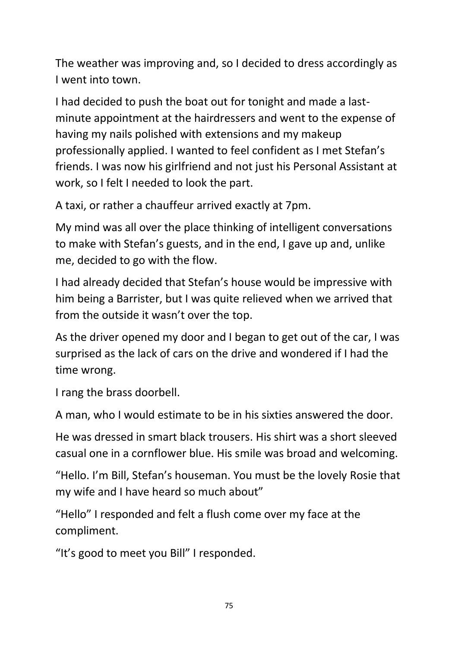The weather was improving and, so I decided to dress accordingly as I went into town.

I had decided to push the boat out for tonight and made a lastminute appointment at the hairdressers and went to the expense of having my nails polished with extensions and my makeup professionally applied. I wanted to feel confident as I met Stefan's friends. I was now his girlfriend and not just his Personal Assistant at work, so I felt I needed to look the part.

A taxi, or rather a chauffeur arrived exactly at 7pm.

My mind was all over the place thinking of intelligent conversations to make with Stefan's guests, and in the end, I gave up and, unlike me, decided to go with the flow.

I had already decided that Stefan's house would be impressive with him being a Barrister, but I was quite relieved when we arrived that from the outside it wasn't over the top.

As the driver opened my door and I began to get out of the car, I was surprised as the lack of cars on the drive and wondered if I had the time wrong.

I rang the brass doorbell.

A man, who I would estimate to be in his sixties answered the door.

He was dressed in smart black trousers. His shirt was a short sleeved casual one in a cornflower blue. His smile was broad and welcoming.

"Hello. I'm Bill, Stefan's houseman. You must be the lovely Rosie that my wife and I have heard so much about"

"Hello" I responded and felt a flush come over my face at the compliment.

"It's good to meet you Bill" I responded.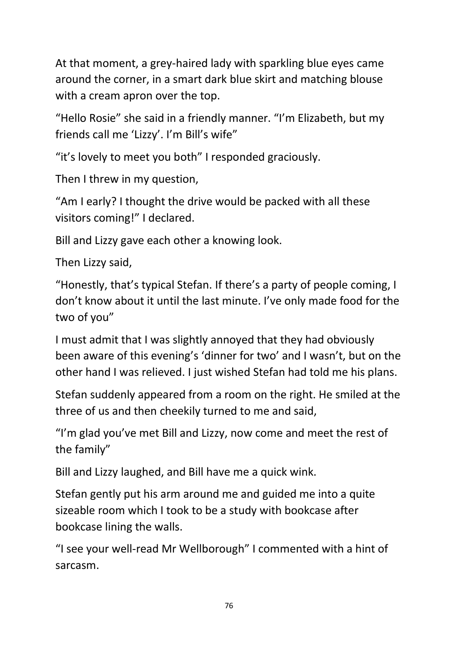At that moment, a grey-haired lady with sparkling blue eyes came around the corner, in a smart dark blue skirt and matching blouse with a cream apron over the top.

"Hello Rosie" she said in a friendly manner. "I'm Elizabeth, but my friends call me 'Lizzy'. I'm Bill's wife"

"it's lovely to meet you both" I responded graciously.

Then I threw in my question,

"Am I early? I thought the drive would be packed with all these visitors coming!" I declared.

Bill and Lizzy gave each other a knowing look.

Then Lizzy said,

"Honestly, that's typical Stefan. If there's a party of people coming, I don't know about it until the last minute. I've only made food for the two of you"

I must admit that I was slightly annoyed that they had obviously been aware of this evening's 'dinner for two' and I wasn't, but on the other hand I was relieved. I just wished Stefan had told me his plans.

Stefan suddenly appeared from a room on the right. He smiled at the three of us and then cheekily turned to me and said,

"I'm glad you've met Bill and Lizzy, now come and meet the rest of the family"

Bill and Lizzy laughed, and Bill have me a quick wink.

Stefan gently put his arm around me and guided me into a quite sizeable room which I took to be a study with bookcase after bookcase lining the walls.

"I see your well-read Mr Wellborough" I commented with a hint of sarcasm.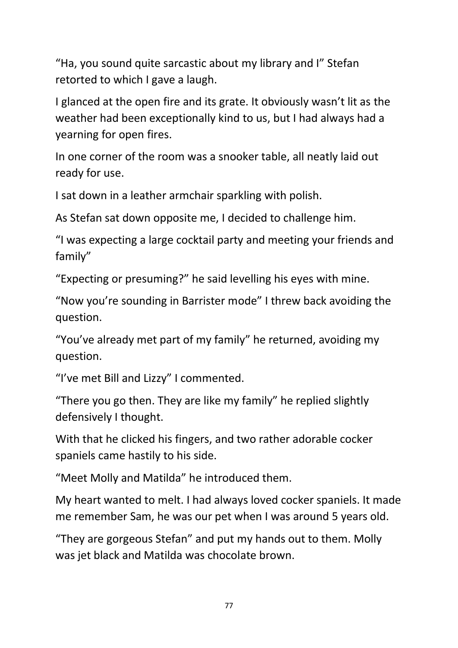"Ha, you sound quite sarcastic about my library and I" Stefan retorted to which I gave a laugh.

I glanced at the open fire and its grate. It obviously wasn't lit as the weather had been exceptionally kind to us, but I had always had a yearning for open fires.

In one corner of the room was a snooker table, all neatly laid out ready for use.

I sat down in a leather armchair sparkling with polish.

As Stefan sat down opposite me, I decided to challenge him.

"I was expecting a large cocktail party and meeting your friends and family"

"Expecting or presuming?" he said levelling his eyes with mine.

"Now you're sounding in Barrister mode" I threw back avoiding the question.

"You've already met part of my family" he returned, avoiding my question.

"I've met Bill and Lizzy" I commented.

"There you go then. They are like my family" he replied slightly defensively I thought.

With that he clicked his fingers, and two rather adorable cocker spaniels came hastily to his side.

"Meet Molly and Matilda" he introduced them.

My heart wanted to melt. I had always loved cocker spaniels. It made me remember Sam, he was our pet when I was around 5 years old.

"They are gorgeous Stefan" and put my hands out to them. Molly was jet black and Matilda was chocolate brown.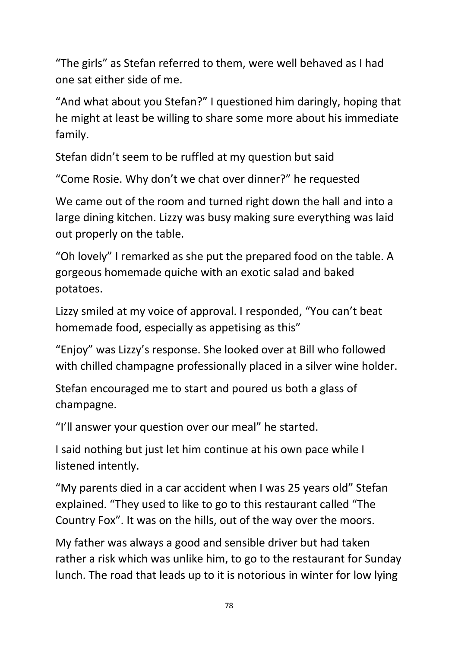"The girls" as Stefan referred to them, were well behaved as I had one sat either side of me.

"And what about you Stefan?" I questioned him daringly, hoping that he might at least be willing to share some more about his immediate family.

Stefan didn't seem to be ruffled at my question but said

"Come Rosie. Why don't we chat over dinner?" he requested

We came out of the room and turned right down the hall and into a large dining kitchen. Lizzy was busy making sure everything was laid out properly on the table.

"Oh lovely" I remarked as she put the prepared food on the table. A gorgeous homemade quiche with an exotic salad and baked potatoes.

Lizzy smiled at my voice of approval. I responded, "You can't beat homemade food, especially as appetising as this"

"Enjoy" was Lizzy's response. She looked over at Bill who followed with chilled champagne professionally placed in a silver wine holder.

Stefan encouraged me to start and poured us both a glass of champagne.

"I'll answer your question over our meal" he started.

I said nothing but just let him continue at his own pace while I listened intently.

"My parents died in a car accident when I was 25 years old" Stefan explained. "They used to like to go to this restaurant called "The Country Fox". It was on the hills, out of the way over the moors.

My father was always a good and sensible driver but had taken rather a risk which was unlike him, to go to the restaurant for Sunday lunch. The road that leads up to it is notorious in winter for low lying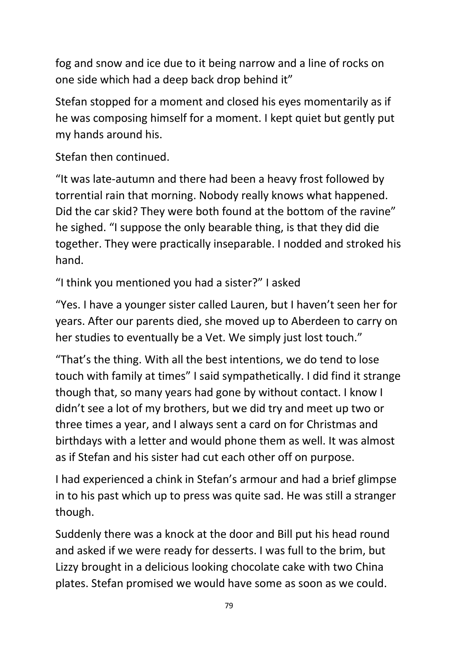fog and snow and ice due to it being narrow and a line of rocks on one side which had a deep back drop behind it"

Stefan stopped for a moment and closed his eyes momentarily as if he was composing himself for a moment. I kept quiet but gently put my hands around his.

Stefan then continued.

"It was late-autumn and there had been a heavy frost followed by torrential rain that morning. Nobody really knows what happened. Did the car skid? They were both found at the bottom of the ravine" he sighed. "I suppose the only bearable thing, is that they did die together. They were practically inseparable. I nodded and stroked his hand.

"I think you mentioned you had a sister?" I asked

"Yes. I have a younger sister called Lauren, but I haven't seen her for years. After our parents died, she moved up to Aberdeen to carry on her studies to eventually be a Vet. We simply just lost touch."

"That's the thing. With all the best intentions, we do tend to lose touch with family at times" I said sympathetically. I did find it strange though that, so many years had gone by without contact. I know I didn't see a lot of my brothers, but we did try and meet up two or three times a year, and I always sent a card on for Christmas and birthdays with a letter and would phone them as well. It was almost as if Stefan and his sister had cut each other off on purpose.

I had experienced a chink in Stefan's armour and had a brief glimpse in to his past which up to press was quite sad. He was still a stranger though.

Suddenly there was a knock at the door and Bill put his head round and asked if we were ready for desserts. I was full to the brim, but Lizzy brought in a delicious looking chocolate cake with two China plates. Stefan promised we would have some as soon as we could.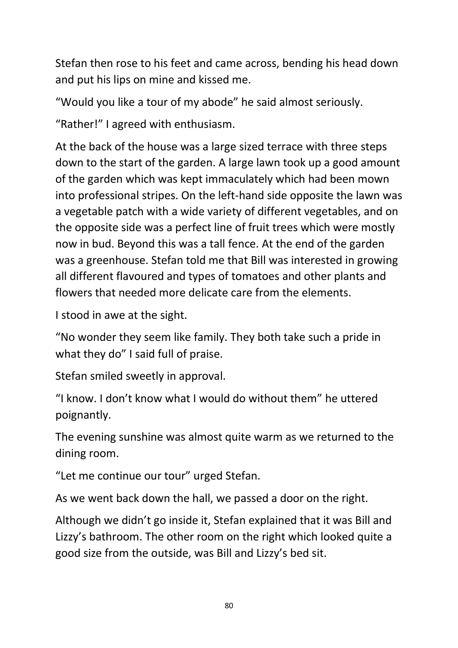Stefan then rose to his feet and came across, bending his head down and put his lips on mine and kissed me.

"Would you like a tour of my abode" he said almost seriously.

"Rather!" I agreed with enthusiasm.

At the back of the house was a large sized terrace with three steps down to the start of the garden. A large lawn took up a good amount of the garden which was kept immaculately which had been mown into professional stripes. On the left-hand side opposite the lawn was a vegetable patch with a wide variety of different vegetables, and on the opposite side was a perfect line of fruit trees which were mostly now in bud. Beyond this was a tall fence. At the end of the garden was a greenhouse. Stefan told me that Bill was interested in growing all different flavoured and types of tomatoes and other plants and flowers that needed more delicate care from the elements.

I stood in awe at the sight.

"No wonder they seem like family. They both take such a pride in what they do" I said full of praise.

Stefan smiled sweetly in approval.

"I know. I don't know what I would do without them" he uttered poignantly.

The evening sunshine was almost quite warm as we returned to the dining room.

"Let me continue our tour" urged Stefan.

As we went back down the hall, we passed a door on the right.

Although we didn't go inside it, Stefan explained that it was Bill and Lizzy's bathroom. The other room on the right which looked quite a good size from the outside, was Bill and Lizzy's bed sit.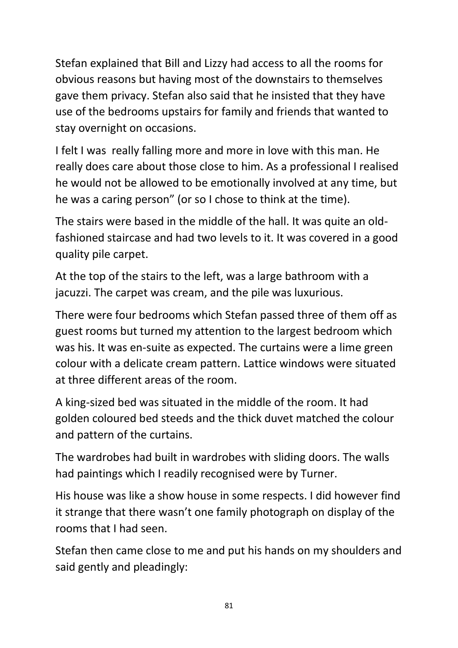Stefan explained that Bill and Lizzy had access to all the rooms for obvious reasons but having most of the downstairs to themselves gave them privacy. Stefan also said that he insisted that they have use of the bedrooms upstairs for family and friends that wanted to stay overnight on occasions.

I felt I was really falling more and more in love with this man. He really does care about those close to him. As a professional I realised he would not be allowed to be emotionally involved at any time, but he was a caring person" (or so I chose to think at the time).

The stairs were based in the middle of the hall. It was quite an oldfashioned staircase and had two levels to it. It was covered in a good quality pile carpet.

At the top of the stairs to the left, was a large bathroom with a jacuzzi. The carpet was cream, and the pile was luxurious.

There were four bedrooms which Stefan passed three of them off as guest rooms but turned my attention to the largest bedroom which was his. It was en-suite as expected. The curtains were a lime green colour with a delicate cream pattern. Lattice windows were situated at three different areas of the room.

A king-sized bed was situated in the middle of the room. It had golden coloured bed steeds and the thick duvet matched the colour and pattern of the curtains.

The wardrobes had built in wardrobes with sliding doors. The walls had paintings which I readily recognised were by Turner.

His house was like a show house in some respects. I did however find it strange that there wasn't one family photograph on display of the rooms that I had seen.

Stefan then came close to me and put his hands on my shoulders and said gently and pleadingly: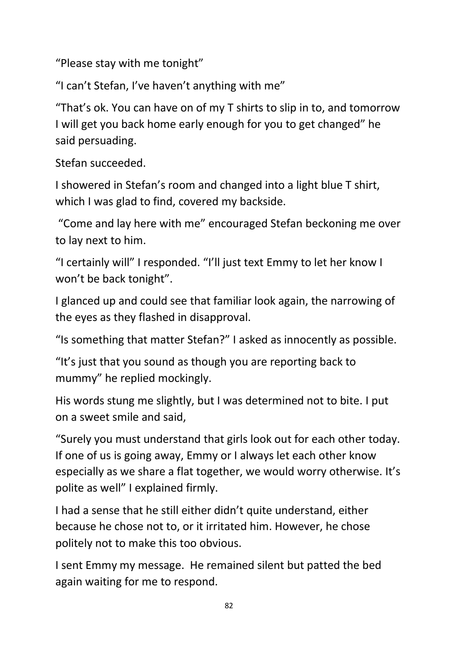"Please stay with me tonight"

"I can't Stefan, I've haven't anything with me"

"That's ok. You can have on of my T shirts to slip in to, and tomorrow I will get you back home early enough for you to get changed" he said persuading.

Stefan succeeded.

I showered in Stefan's room and changed into a light blue T shirt, which I was glad to find, covered my backside.

"Come and lay here with me" encouraged Stefan beckoning me over to lay next to him.

"I certainly will" I responded. "I'll just text Emmy to let her know I won't be back tonight".

I glanced up and could see that familiar look again, the narrowing of the eyes as they flashed in disapproval.

"Is something that matter Stefan?" I asked as innocently as possible.

"It's just that you sound as though you are reporting back to mummy" he replied mockingly.

His words stung me slightly, but I was determined not to bite. I put on a sweet smile and said,

"Surely you must understand that girls look out for each other today. If one of us is going away, Emmy or I always let each other know especially as we share a flat together, we would worry otherwise. It's polite as well" I explained firmly.

I had a sense that he still either didn't quite understand, either because he chose not to, or it irritated him. However, he chose politely not to make this too obvious.

I sent Emmy my message. He remained silent but patted the bed again waiting for me to respond.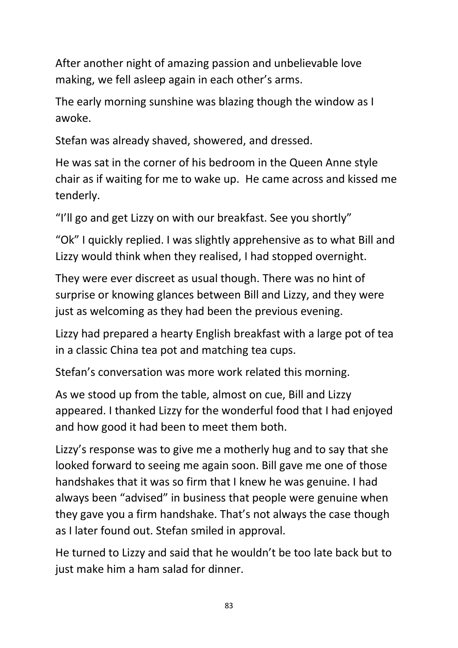After another night of amazing passion and unbelievable love making, we fell asleep again in each other's arms.

The early morning sunshine was blazing though the window as I awoke.

Stefan was already shaved, showered, and dressed.

He was sat in the corner of his bedroom in the Queen Anne style chair as if waiting for me to wake up. He came across and kissed me tenderly.

"I'll go and get Lizzy on with our breakfast. See you shortly"

"Ok" I quickly replied. I was slightly apprehensive as to what Bill and Lizzy would think when they realised, I had stopped overnight.

They were ever discreet as usual though. There was no hint of surprise or knowing glances between Bill and Lizzy, and they were just as welcoming as they had been the previous evening.

Lizzy had prepared a hearty English breakfast with a large pot of tea in a classic China tea pot and matching tea cups.

Stefan's conversation was more work related this morning.

As we stood up from the table, almost on cue, Bill and Lizzy appeared. I thanked Lizzy for the wonderful food that I had enjoyed and how good it had been to meet them both.

Lizzy's response was to give me a motherly hug and to say that she looked forward to seeing me again soon. Bill gave me one of those handshakes that it was so firm that I knew he was genuine. I had always been "advised" in business that people were genuine when they gave you a firm handshake. That's not always the case though as I later found out. Stefan smiled in approval.

He turned to Lizzy and said that he wouldn't be too late back but to just make him a ham salad for dinner.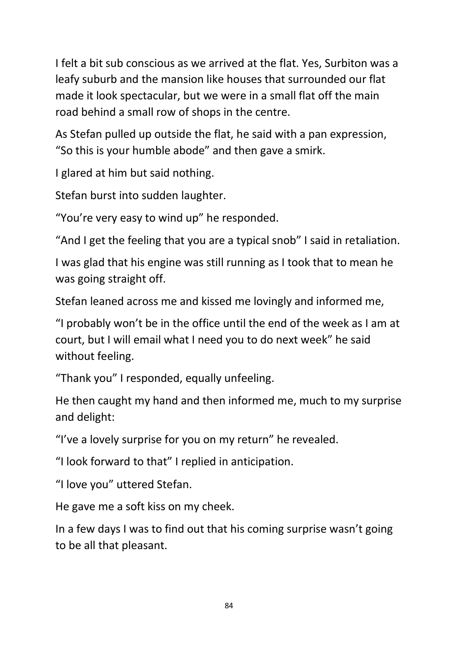I felt a bit sub conscious as we arrived at the flat. Yes, Surbiton was a leafy suburb and the mansion like houses that surrounded our flat made it look spectacular, but we were in a small flat off the main road behind a small row of shops in the centre.

As Stefan pulled up outside the flat, he said with a pan expression, "So this is your humble abode" and then gave a smirk.

I glared at him but said nothing.

Stefan burst into sudden laughter.

"You're very easy to wind up" he responded.

"And I get the feeling that you are a typical snob" I said in retaliation.

I was glad that his engine was still running as I took that to mean he was going straight off.

Stefan leaned across me and kissed me lovingly and informed me,

"I probably won't be in the office until the end of the week as I am at court, but I will email what I need you to do next week" he said without feeling.

"Thank you" I responded, equally unfeeling.

He then caught my hand and then informed me, much to my surprise and delight:

"I've a lovely surprise for you on my return" he revealed.

"I look forward to that" I replied in anticipation.

"I love you" uttered Stefan.

He gave me a soft kiss on my cheek.

In a few days I was to find out that his coming surprise wasn't going to be all that pleasant.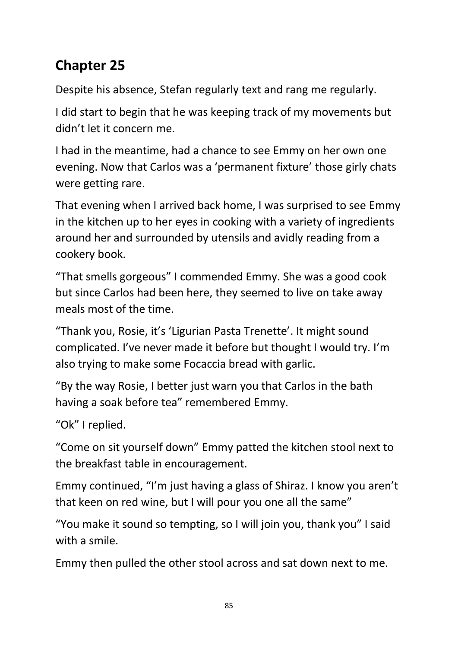## **Chapter 25**

Despite his absence, Stefan regularly text and rang me regularly.

I did start to begin that he was keeping track of my movements but didn't let it concern me.

I had in the meantime, had a chance to see Emmy on her own one evening. Now that Carlos was a 'permanent fixture' those girly chats were getting rare.

That evening when I arrived back home, I was surprised to see Emmy in the kitchen up to her eyes in cooking with a variety of ingredients around her and surrounded by utensils and avidly reading from a cookery book.

"That smells gorgeous" I commended Emmy. She was a good cook but since Carlos had been here, they seemed to live on take away meals most of the time.

"Thank you, Rosie, it's 'Ligurian Pasta Trenette'. It might sound complicated. I've never made it before but thought I would try. I'm also trying to make some Focaccia bread with garlic.

"By the way Rosie, I better just warn you that Carlos in the bath having a soak before tea" remembered Emmy.

"Ok" I replied.

"Come on sit yourself down" Emmy patted the kitchen stool next to the breakfast table in encouragement.

Emmy continued, "I'm just having a glass of Shiraz. I know you aren't that keen on red wine, but I will pour you one all the same"

"You make it sound so tempting, so I will join you, thank you" I said with a smile.

Emmy then pulled the other stool across and sat down next to me.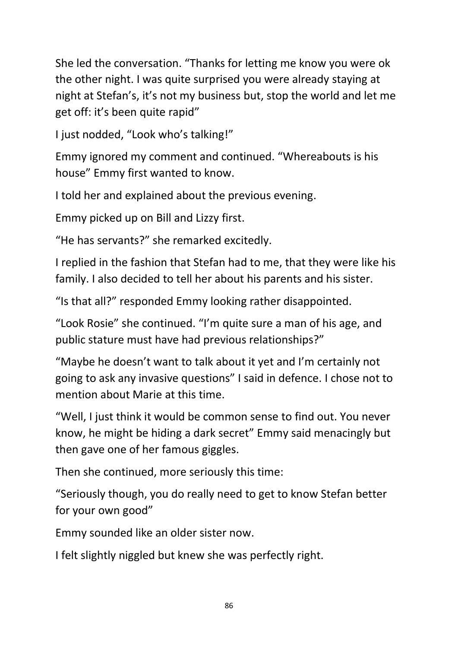She led the conversation. "Thanks for letting me know you were ok the other night. I was quite surprised you were already staying at night at Stefan's, it's not my business but, stop the world and let me get off: it's been quite rapid"

I just nodded, "Look who's talking!"

Emmy ignored my comment and continued. "Whereabouts is his house" Emmy first wanted to know.

I told her and explained about the previous evening.

Emmy picked up on Bill and Lizzy first.

"He has servants?" she remarked excitedly.

I replied in the fashion that Stefan had to me, that they were like his family. I also decided to tell her about his parents and his sister.

"Is that all?" responded Emmy looking rather disappointed.

"Look Rosie" she continued. "I'm quite sure a man of his age, and public stature must have had previous relationships?"

"Maybe he doesn't want to talk about it yet and I'm certainly not going to ask any invasive questions" I said in defence. I chose not to mention about Marie at this time.

"Well, I just think it would be common sense to find out. You never know, he might be hiding a dark secret" Emmy said menacingly but then gave one of her famous giggles.

Then she continued, more seriously this time:

"Seriously though, you do really need to get to know Stefan better for your own good"

Emmy sounded like an older sister now.

I felt slightly niggled but knew she was perfectly right.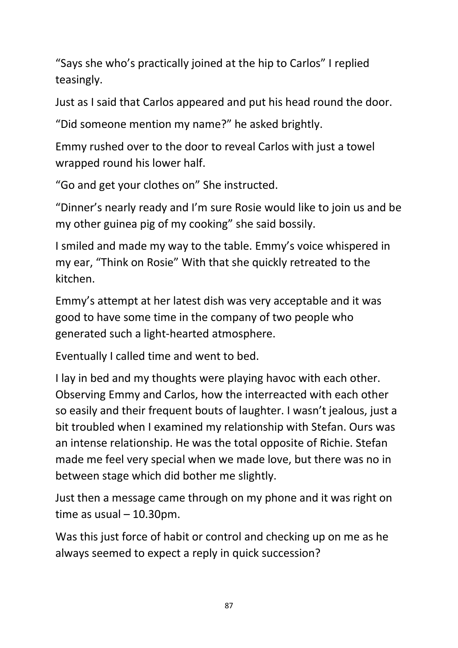"Says she who's practically joined at the hip to Carlos" I replied teasingly.

Just as I said that Carlos appeared and put his head round the door.

"Did someone mention my name?" he asked brightly.

Emmy rushed over to the door to reveal Carlos with just a towel wrapped round his lower half.

"Go and get your clothes on" She instructed.

"Dinner's nearly ready and I'm sure Rosie would like to join us and be my other guinea pig of my cooking" she said bossily.

I smiled and made my way to the table. Emmy's voice whispered in my ear, "Think on Rosie" With that she quickly retreated to the kitchen.

Emmy's attempt at her latest dish was very acceptable and it was good to have some time in the company of two people who generated such a light-hearted atmosphere.

Eventually I called time and went to bed.

I lay in bed and my thoughts were playing havoc with each other. Observing Emmy and Carlos, how the interreacted with each other so easily and their frequent bouts of laughter. I wasn't jealous, just a bit troubled when I examined my relationship with Stefan. Ours was an intense relationship. He was the total opposite of Richie. Stefan made me feel very special when we made love, but there was no in between stage which did bother me slightly.

Just then a message came through on my phone and it was right on time as usual – 10.30pm.

Was this just force of habit or control and checking up on me as he always seemed to expect a reply in quick succession?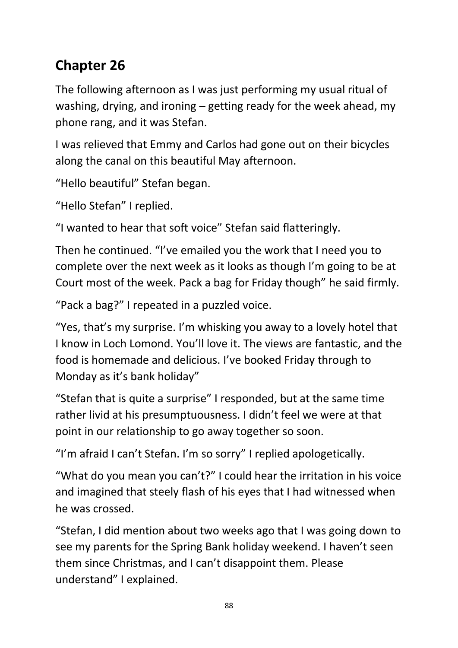## **Chapter 26**

The following afternoon as I was just performing my usual ritual of washing, drying, and ironing – getting ready for the week ahead, my phone rang, and it was Stefan.

I was relieved that Emmy and Carlos had gone out on their bicycles along the canal on this beautiful May afternoon.

"Hello beautiful" Stefan began.

"Hello Stefan" I replied.

"I wanted to hear that soft voice" Stefan said flatteringly.

Then he continued. "I've emailed you the work that I need you to complete over the next week as it looks as though I'm going to be at Court most of the week. Pack a bag for Friday though" he said firmly.

"Pack a bag?" I repeated in a puzzled voice.

"Yes, that's my surprise. I'm whisking you away to a lovely hotel that I know in Loch Lomond. You'll love it. The views are fantastic, and the food is homemade and delicious. I've booked Friday through to Monday as it's bank holiday"

"Stefan that is quite a surprise" I responded, but at the same time rather livid at his presumptuousness. I didn't feel we were at that point in our relationship to go away together so soon.

"I'm afraid I can't Stefan. I'm so sorry" I replied apologetically.

"What do you mean you can't?" I could hear the irritation in his voice and imagined that steely flash of his eyes that I had witnessed when he was crossed.

"Stefan, I did mention about two weeks ago that I was going down to see my parents for the Spring Bank holiday weekend. I haven't seen them since Christmas, and I can't disappoint them. Please understand" I explained.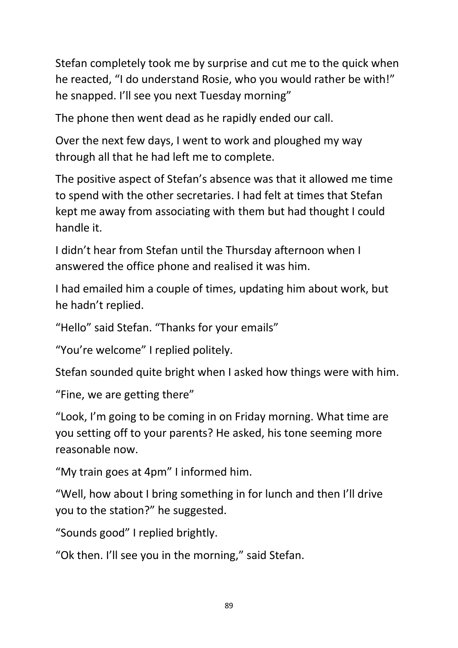Stefan completely took me by surprise and cut me to the quick when he reacted, "I do understand Rosie, who you would rather be with!" he snapped. I'll see you next Tuesday morning"

The phone then went dead as he rapidly ended our call.

Over the next few days, I went to work and ploughed my way through all that he had left me to complete.

The positive aspect of Stefan's absence was that it allowed me time to spend with the other secretaries. I had felt at times that Stefan kept me away from associating with them but had thought I could handle it.

I didn't hear from Stefan until the Thursday afternoon when I answered the office phone and realised it was him.

I had emailed him a couple of times, updating him about work, but he hadn't replied.

"Hello" said Stefan. "Thanks for your emails"

"You're welcome" I replied politely.

Stefan sounded quite bright when I asked how things were with him.

"Fine, we are getting there"

"Look, I'm going to be coming in on Friday morning. What time are you setting off to your parents? He asked, his tone seeming more reasonable now.

"My train goes at 4pm" I informed him.

"Well, how about I bring something in for lunch and then I'll drive you to the station?" he suggested.

"Sounds good" I replied brightly.

"Ok then. I'll see you in the morning," said Stefan.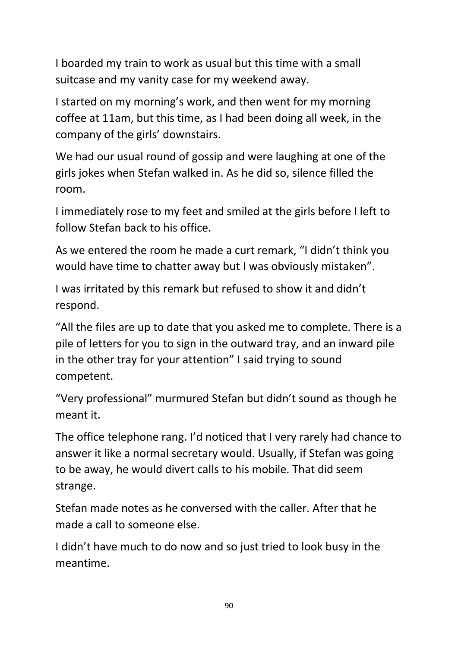I boarded my train to work as usual but this time with a small suitcase and my vanity case for my weekend away.

I started on my morning's work, and then went for my morning coffee at 11am, but this time, as I had been doing all week, in the company of the girls' downstairs.

We had our usual round of gossip and were laughing at one of the girls jokes when Stefan walked in. As he did so, silence filled the room.

I immediately rose to my feet and smiled at the girls before I left to follow Stefan back to his office.

As we entered the room he made a curt remark, "I didn't think you would have time to chatter away but I was obviously mistaken".

I was irritated by this remark but refused to show it and didn't respond.

"All the files are up to date that you asked me to complete. There is a pile of letters for you to sign in the outward tray, and an inward pile in the other tray for your attention" I said trying to sound competent.

"Very professional" murmured Stefan but didn't sound as though he meant it.

The office telephone rang. I'd noticed that I very rarely had chance to answer it like a normal secretary would. Usually, if Stefan was going to be away, he would divert calls to his mobile. That did seem strange.

Stefan made notes as he conversed with the caller. After that he made a call to someone else.

I didn't have much to do now and so just tried to look busy in the meantime.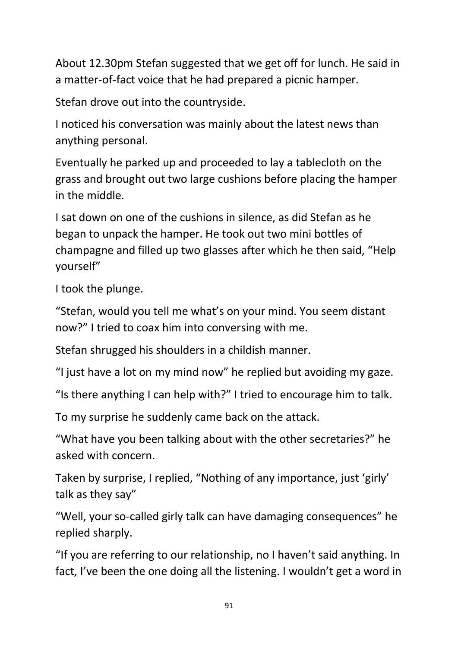About 12.30pm Stefan suggested that we get off for lunch. He said in a matter-of-fact voice that he had prepared a picnic hamper.

Stefan drove out into the countryside.

I noticed his conversation was mainly about the latest news than anything personal.

Eventually he parked up and proceeded to lay a tablecloth on the grass and brought out two large cushions before placing the hamper in the middle.

I sat down on one of the cushions in silence, as did Stefan as he began to unpack the hamper. He took out two mini bottles of champagne and filled up two glasses after which he then said, "Help yourself"

I took the plunge.

"Stefan, would you tell me what's on your mind. You seem distant now?" I tried to coax him into conversing with me.

Stefan shrugged his shoulders in a childish manner.

"I just have a lot on my mind now" he replied but avoiding my gaze.

"Is there anything I can help with?" I tried to encourage him to talk.

To my surprise he suddenly came back on the attack.

"What have you been talking about with the other secretaries?" he asked with concern.

Taken by surprise, I replied, "Nothing of any importance, just 'girly' talk as they say"

"Well, your so-called girly talk can have damaging consequences" he replied sharply.

"If you are referring to our relationship, no I haven't said anything. In fact, I've been the one doing all the listening. I wouldn't get a word in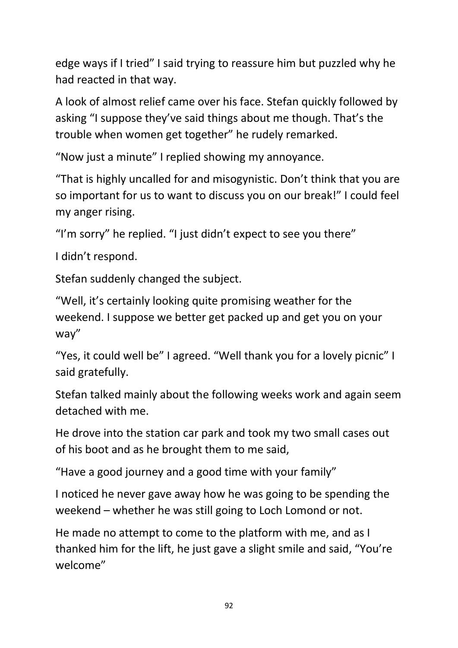edge ways if I tried" I said trying to reassure him but puzzled why he had reacted in that way.

A look of almost relief came over his face. Stefan quickly followed by asking "I suppose they've said things about me though. That's the trouble when women get together" he rudely remarked.

"Now just a minute" I replied showing my annoyance.

"That is highly uncalled for and misogynistic. Don't think that you are so important for us to want to discuss you on our break!" I could feel my anger rising.

"I'm sorry" he replied. "I just didn't expect to see you there"

I didn't respond.

Stefan suddenly changed the subject.

"Well, it's certainly looking quite promising weather for the weekend. I suppose we better get packed up and get you on your way"

"Yes, it could well be" I agreed. "Well thank you for a lovely picnic" I said gratefully.

Stefan talked mainly about the following weeks work and again seem detached with me.

He drove into the station car park and took my two small cases out of his boot and as he brought them to me said,

"Have a good journey and a good time with your family"

I noticed he never gave away how he was going to be spending the weekend – whether he was still going to Loch Lomond or not.

He made no attempt to come to the platform with me, and as I thanked him for the lift, he just gave a slight smile and said, "You're welcome"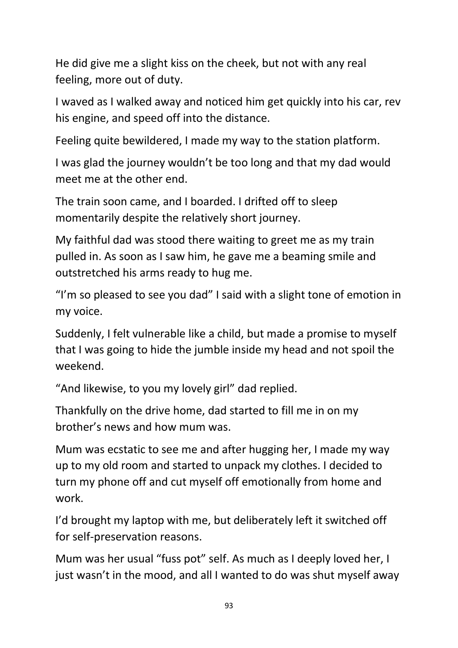He did give me a slight kiss on the cheek, but not with any real feeling, more out of duty.

I waved as I walked away and noticed him get quickly into his car, rev his engine, and speed off into the distance.

Feeling quite bewildered, I made my way to the station platform.

I was glad the journey wouldn't be too long and that my dad would meet me at the other end.

The train soon came, and I boarded. I drifted off to sleep momentarily despite the relatively short journey.

My faithful dad was stood there waiting to greet me as my train pulled in. As soon as I saw him, he gave me a beaming smile and outstretched his arms ready to hug me.

"I'm so pleased to see you dad" I said with a slight tone of emotion in my voice.

Suddenly, I felt vulnerable like a child, but made a promise to myself that I was going to hide the jumble inside my head and not spoil the weekend.

"And likewise, to you my lovely girl" dad replied.

Thankfully on the drive home, dad started to fill me in on my brother's news and how mum was.

Mum was ecstatic to see me and after hugging her, I made my way up to my old room and started to unpack my clothes. I decided to turn my phone off and cut myself off emotionally from home and work.

I'd brought my laptop with me, but deliberately left it switched off for self-preservation reasons.

Mum was her usual "fuss pot" self. As much as I deeply loved her, I just wasn't in the mood, and all I wanted to do was shut myself away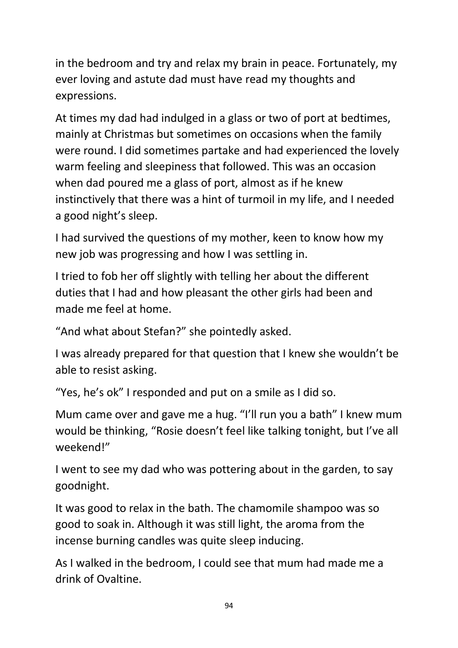in the bedroom and try and relax my brain in peace. Fortunately, my ever loving and astute dad must have read my thoughts and expressions.

At times my dad had indulged in a glass or two of port at bedtimes, mainly at Christmas but sometimes on occasions when the family were round. I did sometimes partake and had experienced the lovely warm feeling and sleepiness that followed. This was an occasion when dad poured me a glass of port, almost as if he knew instinctively that there was a hint of turmoil in my life, and I needed a good night's sleep.

I had survived the questions of my mother, keen to know how my new job was progressing and how I was settling in.

I tried to fob her off slightly with telling her about the different duties that I had and how pleasant the other girls had been and made me feel at home.

"And what about Stefan?" she pointedly asked.

I was already prepared for that question that I knew she wouldn't be able to resist asking.

"Yes, he's ok" I responded and put on a smile as I did so.

Mum came over and gave me a hug. "I'll run you a bath" I knew mum would be thinking, "Rosie doesn't feel like talking tonight, but I've all weekend!"

I went to see my dad who was pottering about in the garden, to say goodnight.

It was good to relax in the bath. The chamomile shampoo was so good to soak in. Although it was still light, the aroma from the incense burning candles was quite sleep inducing.

As I walked in the bedroom, I could see that mum had made me a drink of Ovaltine.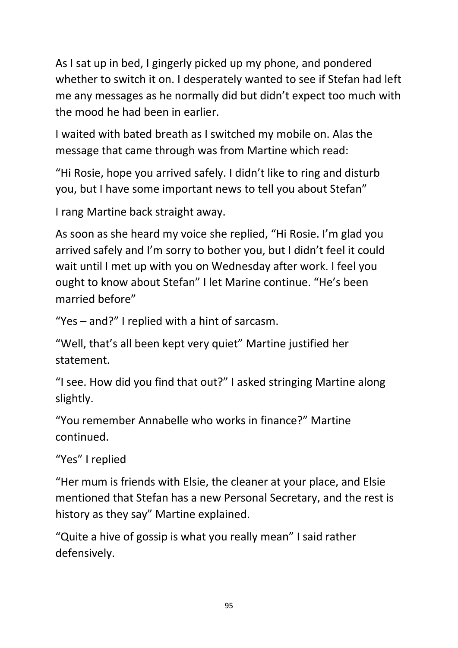As I sat up in bed, I gingerly picked up my phone, and pondered whether to switch it on. I desperately wanted to see if Stefan had left me any messages as he normally did but didn't expect too much with the mood he had been in earlier.

I waited with bated breath as I switched my mobile on. Alas the message that came through was from Martine which read:

"Hi Rosie, hope you arrived safely. I didn't like to ring and disturb you, but I have some important news to tell you about Stefan"

I rang Martine back straight away.

As soon as she heard my voice she replied, "Hi Rosie. I'm glad you arrived safely and I'm sorry to bother you, but I didn't feel it could wait until I met up with you on Wednesday after work. I feel you ought to know about Stefan" I let Marine continue. "He's been married before"

"Yes – and?" I replied with a hint of sarcasm.

"Well, that's all been kept very quiet" Martine justified her statement.

"I see. How did you find that out?" I asked stringing Martine along slightly.

"You remember Annabelle who works in finance?" Martine continued.

"Yes" I replied

"Her mum is friends with Elsie, the cleaner at your place, and Elsie mentioned that Stefan has a new Personal Secretary, and the rest is history as they say" Martine explained.

"Quite a hive of gossip is what you really mean" I said rather defensively.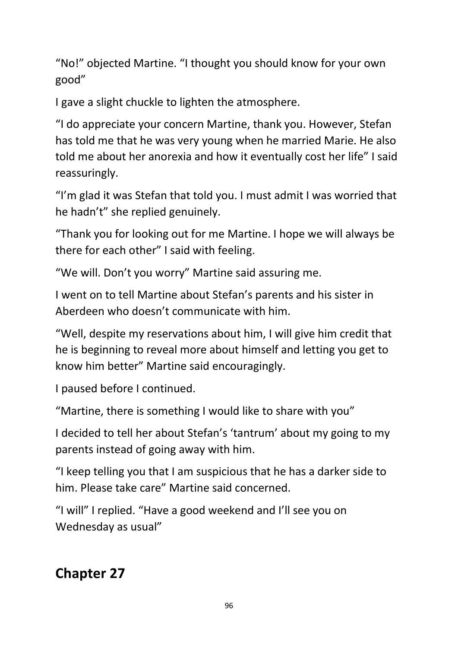"No!" objected Martine. "I thought you should know for your own good"

I gave a slight chuckle to lighten the atmosphere.

"I do appreciate your concern Martine, thank you. However, Stefan has told me that he was very young when he married Marie. He also told me about her anorexia and how it eventually cost her life" I said reassuringly.

"I'm glad it was Stefan that told you. I must admit I was worried that he hadn't" she replied genuinely.

"Thank you for looking out for me Martine. I hope we will always be there for each other" I said with feeling.

"We will. Don't you worry" Martine said assuring me.

I went on to tell Martine about Stefan's parents and his sister in Aberdeen who doesn't communicate with him.

"Well, despite my reservations about him, I will give him credit that he is beginning to reveal more about himself and letting you get to know him better" Martine said encouragingly.

I paused before I continued.

"Martine, there is something I would like to share with you"

I decided to tell her about Stefan's 'tantrum' about my going to my parents instead of going away with him.

"I keep telling you that I am suspicious that he has a darker side to him. Please take care" Martine said concerned.

"I will" I replied. "Have a good weekend and I'll see you on Wednesday as usual"

#### **Chapter 27**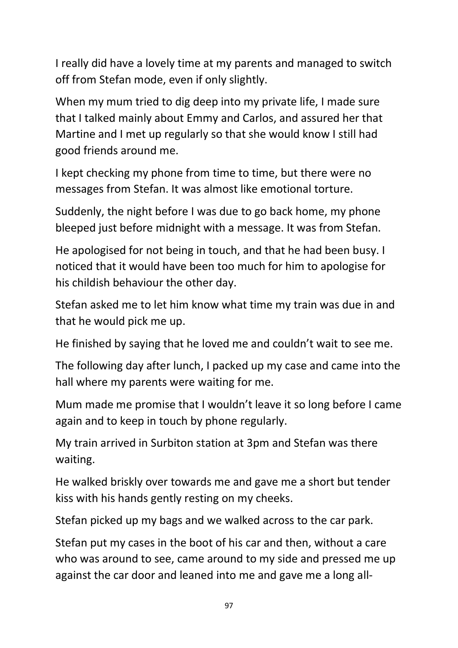I really did have a lovely time at my parents and managed to switch off from Stefan mode, even if only slightly.

When my mum tried to dig deep into my private life, I made sure that I talked mainly about Emmy and Carlos, and assured her that Martine and I met up regularly so that she would know I still had good friends around me.

I kept checking my phone from time to time, but there were no messages from Stefan. It was almost like emotional torture.

Suddenly, the night before I was due to go back home, my phone bleeped just before midnight with a message. It was from Stefan.

He apologised for not being in touch, and that he had been busy. I noticed that it would have been too much for him to apologise for his childish behaviour the other day.

Stefan asked me to let him know what time my train was due in and that he would pick me up.

He finished by saying that he loved me and couldn't wait to see me.

The following day after lunch, I packed up my case and came into the hall where my parents were waiting for me.

Mum made me promise that I wouldn't leave it so long before I came again and to keep in touch by phone regularly.

My train arrived in Surbiton station at 3pm and Stefan was there waiting.

He walked briskly over towards me and gave me a short but tender kiss with his hands gently resting on my cheeks.

Stefan picked up my bags and we walked across to the car park.

Stefan put my cases in the boot of his car and then, without a care who was around to see, came around to my side and pressed me up against the car door and leaned into me and gave me a long all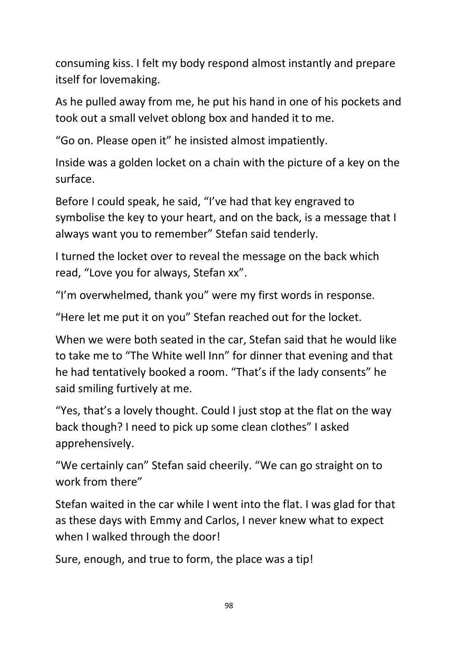consuming kiss. I felt my body respond almost instantly and prepare itself for lovemaking.

As he pulled away from me, he put his hand in one of his pockets and took out a small velvet oblong box and handed it to me.

"Go on. Please open it" he insisted almost impatiently.

Inside was a golden locket on a chain with the picture of a key on the surface.

Before I could speak, he said, "I've had that key engraved to symbolise the key to your heart, and on the back, is a message that I always want you to remember" Stefan said tenderly.

I turned the locket over to reveal the message on the back which read, "Love you for always, Stefan xx".

"I'm overwhelmed, thank you" were my first words in response.

"Here let me put it on you" Stefan reached out for the locket.

When we were both seated in the car, Stefan said that he would like to take me to "The White well Inn" for dinner that evening and that he had tentatively booked a room. "That's if the lady consents" he said smiling furtively at me.

"Yes, that's a lovely thought. Could I just stop at the flat on the way back though? I need to pick up some clean clothes" I asked apprehensively.

"We certainly can" Stefan said cheerily. "We can go straight on to work from there"

Stefan waited in the car while I went into the flat. I was glad for that as these days with Emmy and Carlos, I never knew what to expect when I walked through the door!

Sure, enough, and true to form, the place was a tip!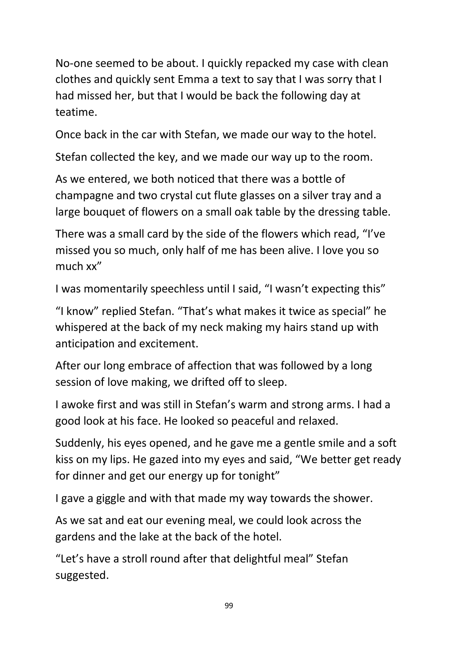No-one seemed to be about. I quickly repacked my case with clean clothes and quickly sent Emma a text to say that I was sorry that I had missed her, but that I would be back the following day at teatime.

Once back in the car with Stefan, we made our way to the hotel.

Stefan collected the key, and we made our way up to the room.

As we entered, we both noticed that there was a bottle of champagne and two crystal cut flute glasses on a silver tray and a large bouquet of flowers on a small oak table by the dressing table.

There was a small card by the side of the flowers which read, "I've missed you so much, only half of me has been alive. I love you so much xx"

I was momentarily speechless until I said, "I wasn't expecting this"

"I know" replied Stefan. "That's what makes it twice as special" he whispered at the back of my neck making my hairs stand up with anticipation and excitement.

After our long embrace of affection that was followed by a long session of love making, we drifted off to sleep.

I awoke first and was still in Stefan's warm and strong arms. I had a good look at his face. He looked so peaceful and relaxed.

Suddenly, his eyes opened, and he gave me a gentle smile and a soft kiss on my lips. He gazed into my eyes and said, "We better get ready for dinner and get our energy up for tonight"

I gave a giggle and with that made my way towards the shower.

As we sat and eat our evening meal, we could look across the gardens and the lake at the back of the hotel.

"Let's have a stroll round after that delightful meal" Stefan suggested.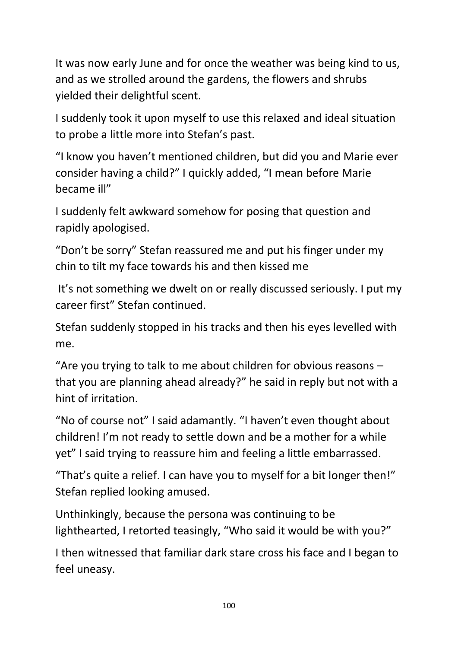It was now early June and for once the weather was being kind to us, and as we strolled around the gardens, the flowers and shrubs yielded their delightful scent.

I suddenly took it upon myself to use this relaxed and ideal situation to probe a little more into Stefan's past.

"I know you haven't mentioned children, but did you and Marie ever consider having a child?" I quickly added, "I mean before Marie became ill"

I suddenly felt awkward somehow for posing that question and rapidly apologised.

"Don't be sorry" Stefan reassured me and put his finger under my chin to tilt my face towards his and then kissed me

It's not something we dwelt on or really discussed seriously. I put my career first" Stefan continued.

Stefan suddenly stopped in his tracks and then his eyes levelled with me.

"Are you trying to talk to me about children for obvious reasons – that you are planning ahead already?" he said in reply but not with a hint of irritation.

"No of course not" I said adamantly. "I haven't even thought about children! I'm not ready to settle down and be a mother for a while yet" I said trying to reassure him and feeling a little embarrassed.

"That's quite a relief. I can have you to myself for a bit longer then!" Stefan replied looking amused.

Unthinkingly, because the persona was continuing to be lighthearted, I retorted teasingly, "Who said it would be with you?"

I then witnessed that familiar dark stare cross his face and I began to feel uneasy.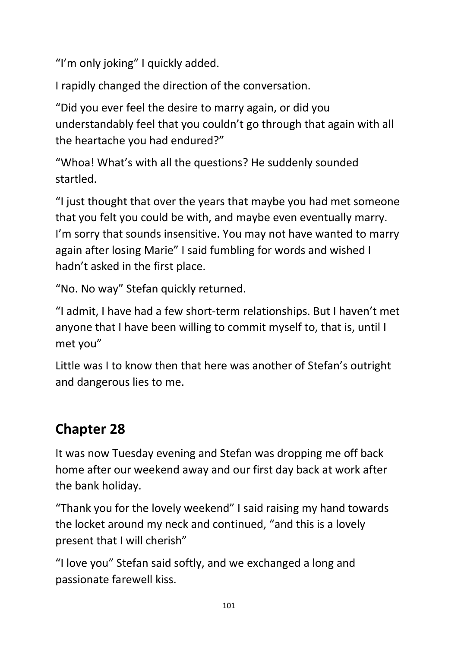"I'm only joking" I quickly added.

I rapidly changed the direction of the conversation.

"Did you ever feel the desire to marry again, or did you understandably feel that you couldn't go through that again with all the heartache you had endured?"

"Whoa! What's with all the questions? He suddenly sounded startled.

"I just thought that over the years that maybe you had met someone that you felt you could be with, and maybe even eventually marry. I'm sorry that sounds insensitive. You may not have wanted to marry again after losing Marie" I said fumbling for words and wished I hadn't asked in the first place.

"No. No way" Stefan quickly returned.

"I admit, I have had a few short-term relationships. But I haven't met anyone that I have been willing to commit myself to, that is, until I met you"

Little was I to know then that here was another of Stefan's outright and dangerous lies to me.

# **Chapter 28**

It was now Tuesday evening and Stefan was dropping me off back home after our weekend away and our first day back at work after the bank holiday.

"Thank you for the lovely weekend" I said raising my hand towards the locket around my neck and continued, "and this is a lovely present that I will cherish"

"I love you" Stefan said softly, and we exchanged a long and passionate farewell kiss.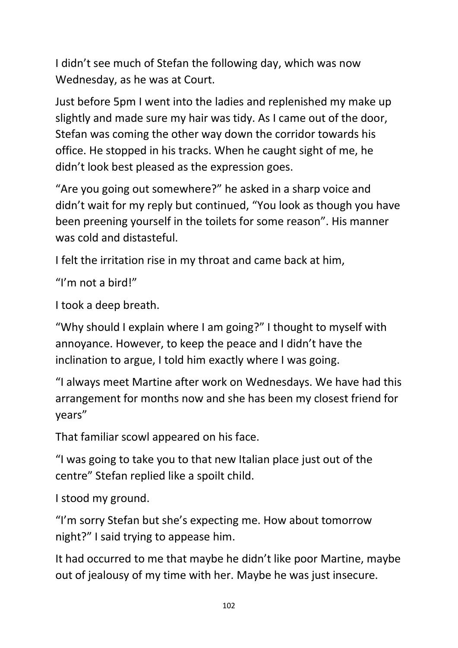I didn't see much of Stefan the following day, which was now Wednesday, as he was at Court.

Just before 5pm I went into the ladies and replenished my make up slightly and made sure my hair was tidy. As I came out of the door, Stefan was coming the other way down the corridor towards his office. He stopped in his tracks. When he caught sight of me, he didn't look best pleased as the expression goes.

"Are you going out somewhere?" he asked in a sharp voice and didn't wait for my reply but continued, "You look as though you have been preening yourself in the toilets for some reason". His manner was cold and distasteful.

I felt the irritation rise in my throat and came back at him,

"I'm not a bird!"

I took a deep breath.

"Why should I explain where I am going?" I thought to myself with annoyance. However, to keep the peace and I didn't have the inclination to argue, I told him exactly where I was going.

"I always meet Martine after work on Wednesdays. We have had this arrangement for months now and she has been my closest friend for years"

That familiar scowl appeared on his face.

"I was going to take you to that new Italian place just out of the centre" Stefan replied like a spoilt child.

I stood my ground.

"I'm sorry Stefan but she's expecting me. How about tomorrow night?" I said trying to appease him.

It had occurred to me that maybe he didn't like poor Martine, maybe out of jealousy of my time with her. Maybe he was just insecure.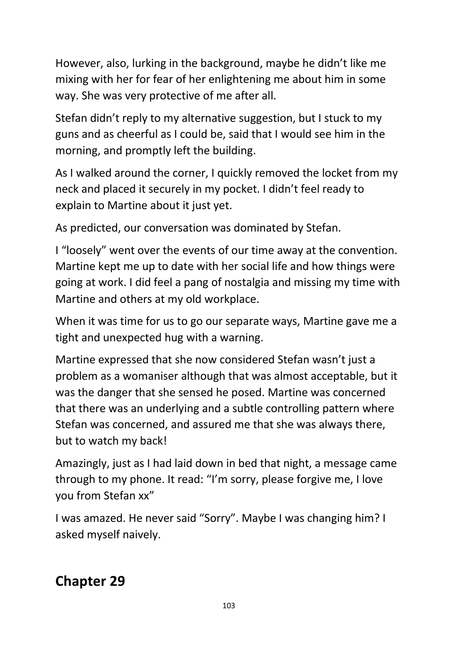However, also, lurking in the background, maybe he didn't like me mixing with her for fear of her enlightening me about him in some way. She was very protective of me after all.

Stefan didn't reply to my alternative suggestion, but I stuck to my guns and as cheerful as I could be, said that I would see him in the morning, and promptly left the building.

As I walked around the corner, I quickly removed the locket from my neck and placed it securely in my pocket. I didn't feel ready to explain to Martine about it just yet.

As predicted, our conversation was dominated by Stefan.

I "loosely" went over the events of our time away at the convention. Martine kept me up to date with her social life and how things were going at work. I did feel a pang of nostalgia and missing my time with Martine and others at my old workplace.

When it was time for us to go our separate ways, Martine gave me a tight and unexpected hug with a warning.

Martine expressed that she now considered Stefan wasn't just a problem as a womaniser although that was almost acceptable, but it was the danger that she sensed he posed. Martine was concerned that there was an underlying and a subtle controlling pattern where Stefan was concerned, and assured me that she was always there, but to watch my back!

Amazingly, just as I had laid down in bed that night, a message came through to my phone. It read: "I'm sorry, please forgive me, I love you from Stefan xx"

I was amazed. He never said "Sorry". Maybe I was changing him? I asked myself naively.

**Chapter 29**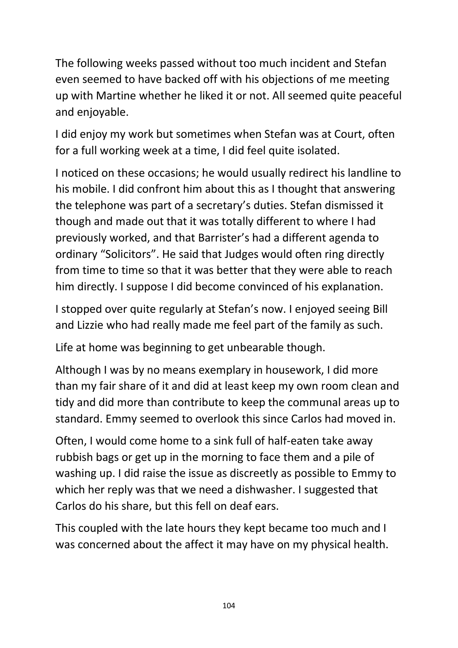The following weeks passed without too much incident and Stefan even seemed to have backed off with his objections of me meeting up with Martine whether he liked it or not. All seemed quite peaceful and enjoyable.

I did enjoy my work but sometimes when Stefan was at Court, often for a full working week at a time, I did feel quite isolated.

I noticed on these occasions; he would usually redirect his landline to his mobile. I did confront him about this as I thought that answering the telephone was part of a secretary's duties. Stefan dismissed it though and made out that it was totally different to where I had previously worked, and that Barrister's had a different agenda to ordinary "Solicitors". He said that Judges would often ring directly from time to time so that it was better that they were able to reach him directly. I suppose I did become convinced of his explanation.

I stopped over quite regularly at Stefan's now. I enjoyed seeing Bill and Lizzie who had really made me feel part of the family as such.

Life at home was beginning to get unbearable though.

Although I was by no means exemplary in housework, I did more than my fair share of it and did at least keep my own room clean and tidy and did more than contribute to keep the communal areas up to standard. Emmy seemed to overlook this since Carlos had moved in.

Often, I would come home to a sink full of half-eaten take away rubbish bags or get up in the morning to face them and a pile of washing up. I did raise the issue as discreetly as possible to Emmy to which her reply was that we need a dishwasher. I suggested that Carlos do his share, but this fell on deaf ears.

This coupled with the late hours they kept became too much and I was concerned about the affect it may have on my physical health.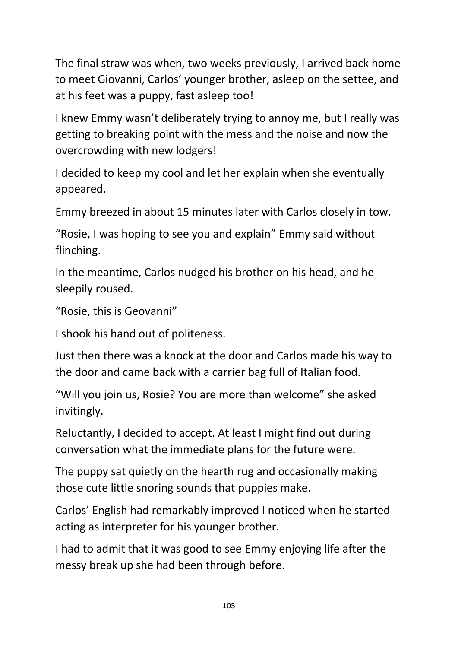The final straw was when, two weeks previously, I arrived back home to meet Giovanni, Carlos' younger brother, asleep on the settee, and at his feet was a puppy, fast asleep too!

I knew Emmy wasn't deliberately trying to annoy me, but I really was getting to breaking point with the mess and the noise and now the overcrowding with new lodgers!

I decided to keep my cool and let her explain when she eventually appeared.

Emmy breezed in about 15 minutes later with Carlos closely in tow.

"Rosie, I was hoping to see you and explain" Emmy said without flinching.

In the meantime, Carlos nudged his brother on his head, and he sleepily roused.

```
"Rosie, this is Geovanni"
```
I shook his hand out of politeness.

Just then there was a knock at the door and Carlos made his way to the door and came back with a carrier bag full of Italian food.

"Will you join us, Rosie? You are more than welcome" she asked invitingly.

Reluctantly, I decided to accept. At least I might find out during conversation what the immediate plans for the future were.

The puppy sat quietly on the hearth rug and occasionally making those cute little snoring sounds that puppies make.

Carlos' English had remarkably improved I noticed when he started acting as interpreter for his younger brother.

I had to admit that it was good to see Emmy enjoying life after the messy break up she had been through before.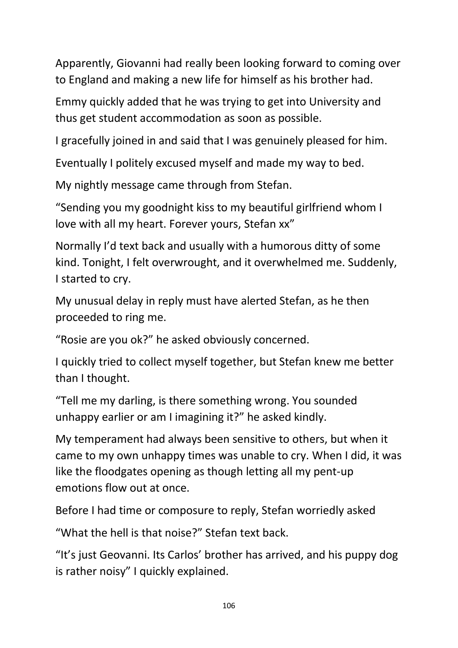Apparently, Giovanni had really been looking forward to coming over to England and making a new life for himself as his brother had.

Emmy quickly added that he was trying to get into University and thus get student accommodation as soon as possible.

I gracefully joined in and said that I was genuinely pleased for him.

Eventually I politely excused myself and made my way to bed.

My nightly message came through from Stefan.

"Sending you my goodnight kiss to my beautiful girlfriend whom I love with all my heart. Forever yours, Stefan xx"

Normally I'd text back and usually with a humorous ditty of some kind. Tonight, I felt overwrought, and it overwhelmed me. Suddenly, I started to cry.

My unusual delay in reply must have alerted Stefan, as he then proceeded to ring me.

"Rosie are you ok?" he asked obviously concerned.

I quickly tried to collect myself together, but Stefan knew me better than I thought.

"Tell me my darling, is there something wrong. You sounded unhappy earlier or am I imagining it?" he asked kindly.

My temperament had always been sensitive to others, but when it came to my own unhappy times was unable to cry. When I did, it was like the floodgates opening as though letting all my pent-up emotions flow out at once.

Before I had time or composure to reply, Stefan worriedly asked

"What the hell is that noise?" Stefan text back.

"It's just Geovanni. Its Carlos' brother has arrived, and his puppy dog is rather noisy" I quickly explained.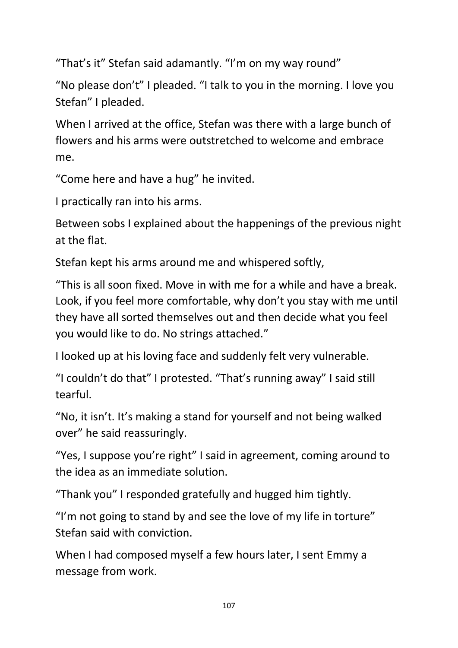"That's it" Stefan said adamantly. "I'm on my way round"

"No please don't" I pleaded. "I talk to you in the morning. I love you Stefan" I pleaded.

When I arrived at the office, Stefan was there with a large bunch of flowers and his arms were outstretched to welcome and embrace me.

"Come here and have a hug" he invited.

I practically ran into his arms.

Between sobs I explained about the happenings of the previous night at the flat.

Stefan kept his arms around me and whispered softly,

"This is all soon fixed. Move in with me for a while and have a break. Look, if you feel more comfortable, why don't you stay with me until they have all sorted themselves out and then decide what you feel you would like to do. No strings attached."

I looked up at his loving face and suddenly felt very vulnerable.

"I couldn't do that" I protested. "That's running away" I said still tearful.

"No, it isn't. It's making a stand for yourself and not being walked over" he said reassuringly.

"Yes, I suppose you're right" I said in agreement, coming around to the idea as an immediate solution.

"Thank you" I responded gratefully and hugged him tightly.

"I'm not going to stand by and see the love of my life in torture" Stefan said with conviction.

When I had composed myself a few hours later, I sent Emmy a message from work.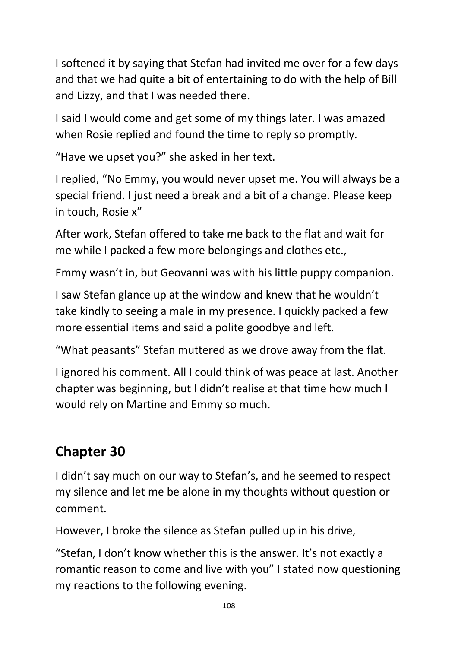I softened it by saying that Stefan had invited me over for a few days and that we had quite a bit of entertaining to do with the help of Bill and Lizzy, and that I was needed there.

I said I would come and get some of my things later. I was amazed when Rosie replied and found the time to reply so promptly.

"Have we upset you?" she asked in her text.

I replied, "No Emmy, you would never upset me. You will always be a special friend. I just need a break and a bit of a change. Please keep in touch, Rosie x"

After work, Stefan offered to take me back to the flat and wait for me while I packed a few more belongings and clothes etc.,

Emmy wasn't in, but Geovanni was with his little puppy companion.

I saw Stefan glance up at the window and knew that he wouldn't take kindly to seeing a male in my presence. I quickly packed a few more essential items and said a polite goodbye and left.

"What peasants" Stefan muttered as we drove away from the flat.

I ignored his comment. All I could think of was peace at last. Another chapter was beginning, but I didn't realise at that time how much I would rely on Martine and Emmy so much.

## **Chapter 30**

I didn't say much on our way to Stefan's, and he seemed to respect my silence and let me be alone in my thoughts without question or comment.

However, I broke the silence as Stefan pulled up in his drive,

"Stefan, I don't know whether this is the answer. It's not exactly a romantic reason to come and live with you" I stated now questioning my reactions to the following evening.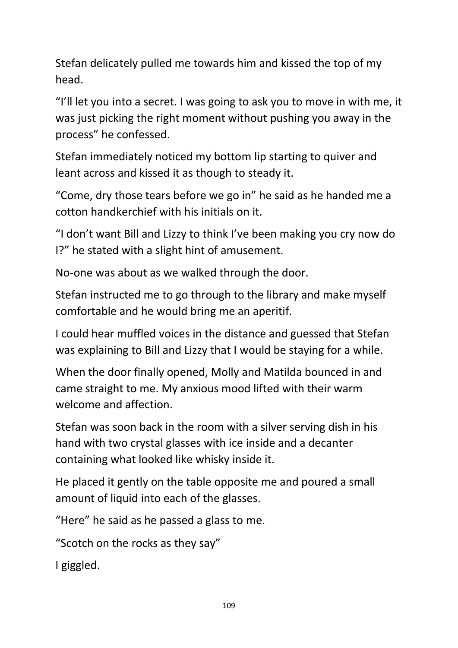Stefan delicately pulled me towards him and kissed the top of my head.

"I'll let you into a secret. I was going to ask you to move in with me, it was just picking the right moment without pushing you away in the process" he confessed.

Stefan immediately noticed my bottom lip starting to quiver and leant across and kissed it as though to steady it.

"Come, dry those tears before we go in" he said as he handed me a cotton handkerchief with his initials on it.

"I don't want Bill and Lizzy to think I've been making you cry now do I?" he stated with a slight hint of amusement.

No-one was about as we walked through the door.

Stefan instructed me to go through to the library and make myself comfortable and he would bring me an aperitif.

I could hear muffled voices in the distance and guessed that Stefan was explaining to Bill and Lizzy that I would be staying for a while.

When the door finally opened, Molly and Matilda bounced in and came straight to me. My anxious mood lifted with their warm welcome and affection.

Stefan was soon back in the room with a silver serving dish in his hand with two crystal glasses with ice inside and a decanter containing what looked like whisky inside it.

He placed it gently on the table opposite me and poured a small amount of liquid into each of the glasses.

"Here" he said as he passed a glass to me.

"Scotch on the rocks as they say"

I giggled.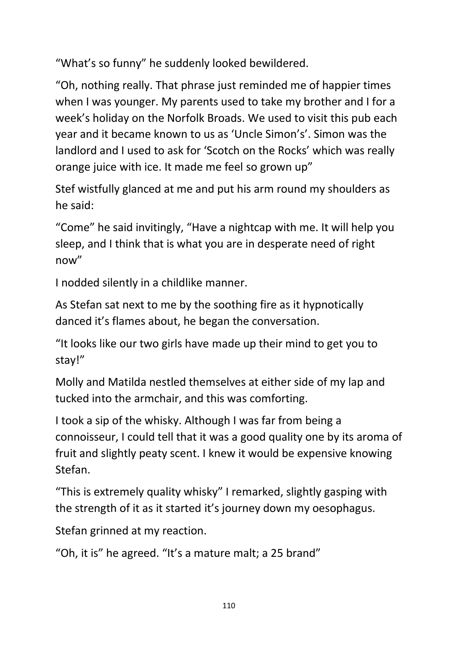"What's so funny" he suddenly looked bewildered.

"Oh, nothing really. That phrase just reminded me of happier times when I was younger. My parents used to take my brother and I for a week's holiday on the Norfolk Broads. We used to visit this pub each year and it became known to us as 'Uncle Simon's'. Simon was the landlord and I used to ask for 'Scotch on the Rocks' which was really orange juice with ice. It made me feel so grown up"

Stef wistfully glanced at me and put his arm round my shoulders as he said:

"Come" he said invitingly, "Have a nightcap with me. It will help you sleep, and I think that is what you are in desperate need of right now"

I nodded silently in a childlike manner.

As Stefan sat next to me by the soothing fire as it hypnotically danced it's flames about, he began the conversation.

"It looks like our two girls have made up their mind to get you to stay!"

Molly and Matilda nestled themselves at either side of my lap and tucked into the armchair, and this was comforting.

I took a sip of the whisky. Although I was far from being a connoisseur, I could tell that it was a good quality one by its aroma of fruit and slightly peaty scent. I knew it would be expensive knowing Stefan.

"This is extremely quality whisky" I remarked, slightly gasping with the strength of it as it started it's journey down my oesophagus.

Stefan grinned at my reaction.

"Oh, it is" he agreed. "It's a mature malt; a 25 brand"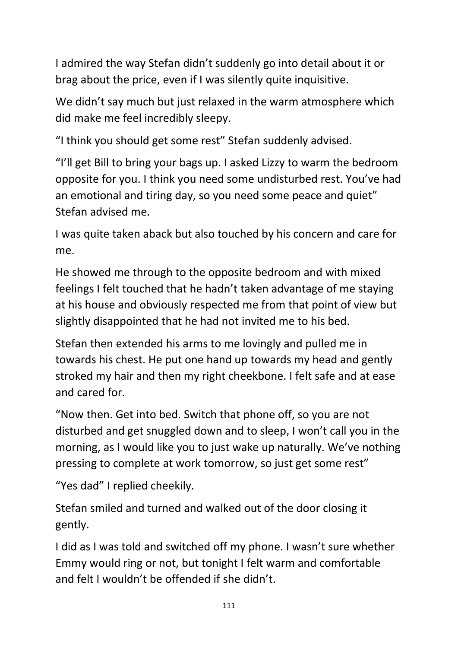I admired the way Stefan didn't suddenly go into detail about it or brag about the price, even if I was silently quite inquisitive.

We didn't say much but just relaxed in the warm atmosphere which did make me feel incredibly sleepy.

"I think you should get some rest" Stefan suddenly advised.

"I'll get Bill to bring your bags up. I asked Lizzy to warm the bedroom opposite for you. I think you need some undisturbed rest. You've had an emotional and tiring day, so you need some peace and quiet" Stefan advised me.

I was quite taken aback but also touched by his concern and care for me.

He showed me through to the opposite bedroom and with mixed feelings I felt touched that he hadn't taken advantage of me staying at his house and obviously respected me from that point of view but slightly disappointed that he had not invited me to his bed.

Stefan then extended his arms to me lovingly and pulled me in towards his chest. He put one hand up towards my head and gently stroked my hair and then my right cheekbone. I felt safe and at ease and cared for.

"Now then. Get into bed. Switch that phone off, so you are not disturbed and get snuggled down and to sleep, I won't call you in the morning, as I would like you to just wake up naturally. We've nothing pressing to complete at work tomorrow, so just get some rest"

"Yes dad" I replied cheekily.

Stefan smiled and turned and walked out of the door closing it gently.

I did as I was told and switched off my phone. I wasn't sure whether Emmy would ring or not, but tonight I felt warm and comfortable and felt I wouldn't be offended if she didn't.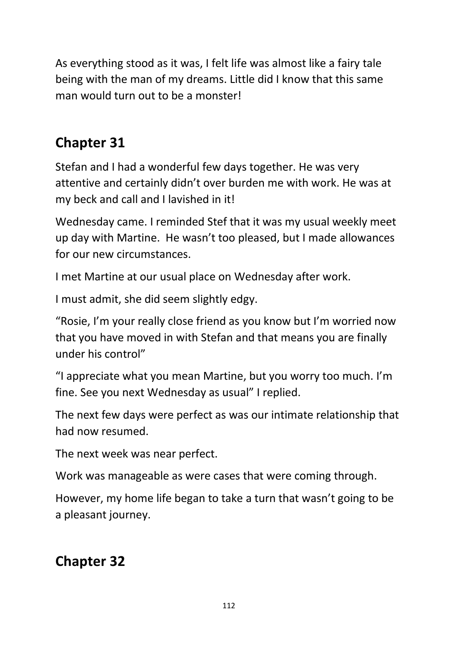As everything stood as it was, I felt life was almost like a fairy tale being with the man of my dreams. Little did I know that this same man would turn out to be a monster!

### **Chapter 31**

Stefan and I had a wonderful few days together. He was very attentive and certainly didn't over burden me with work. He was at my beck and call and I lavished in it!

Wednesday came. I reminded Stef that it was my usual weekly meet up day with Martine. He wasn't too pleased, but I made allowances for our new circumstances.

I met Martine at our usual place on Wednesday after work.

I must admit, she did seem slightly edgy.

"Rosie, I'm your really close friend as you know but I'm worried now that you have moved in with Stefan and that means you are finally under his control"

"I appreciate what you mean Martine, but you worry too much. I'm fine. See you next Wednesday as usual" I replied.

The next few days were perfect as was our intimate relationship that had now resumed.

The next week was near perfect.

Work was manageable as were cases that were coming through.

However, my home life began to take a turn that wasn't going to be a pleasant journey.

## **Chapter 32**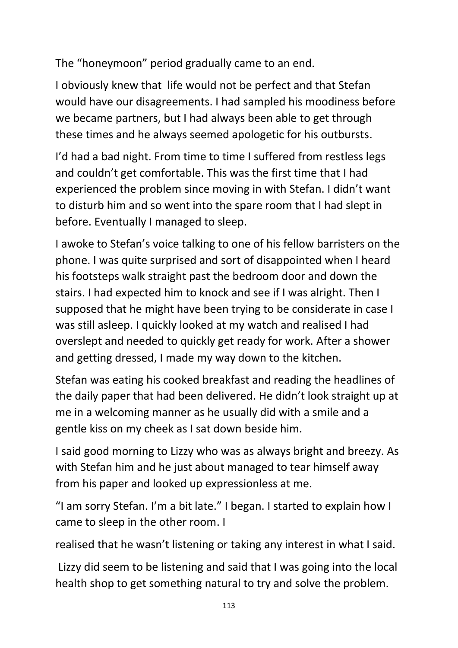The "honeymoon" period gradually came to an end.

I obviously knew that life would not be perfect and that Stefan would have our disagreements. I had sampled his moodiness before we became partners, but I had always been able to get through these times and he always seemed apologetic for his outbursts.

I'd had a bad night. From time to time I suffered from restless legs and couldn't get comfortable. This was the first time that I had experienced the problem since moving in with Stefan. I didn't want to disturb him and so went into the spare room that I had slept in before. Eventually I managed to sleep.

I awoke to Stefan's voice talking to one of his fellow barristers on the phone. I was quite surprised and sort of disappointed when I heard his footsteps walk straight past the bedroom door and down the stairs. I had expected him to knock and see if I was alright. Then I supposed that he might have been trying to be considerate in case I was still asleep. I quickly looked at my watch and realised I had overslept and needed to quickly get ready for work. After a shower and getting dressed, I made my way down to the kitchen.

Stefan was eating his cooked breakfast and reading the headlines of the daily paper that had been delivered. He didn't look straight up at me in a welcoming manner as he usually did with a smile and a gentle kiss on my cheek as I sat down beside him.

I said good morning to Lizzy who was as always bright and breezy. As with Stefan him and he just about managed to tear himself away from his paper and looked up expressionless at me.

"I am sorry Stefan. I'm a bit late." I began. I started to explain how I came to sleep in the other room. I

realised that he wasn't listening or taking any interest in what I said.

Lizzy did seem to be listening and said that I was going into the local health shop to get something natural to try and solve the problem.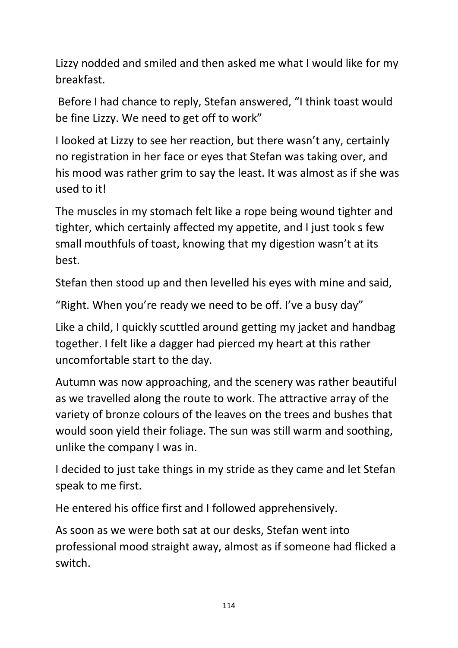Lizzy nodded and smiled and then asked me what I would like for my breakfast.

Before I had chance to reply, Stefan answered, "I think toast would be fine Lizzy. We need to get off to work"

I looked at Lizzy to see her reaction, but there wasn't any, certainly no registration in her face or eyes that Stefan was taking over, and his mood was rather grim to say the least. It was almost as if she was used to it!

The muscles in my stomach felt like a rope being wound tighter and tighter, which certainly affected my appetite, and I just took s few small mouthfuls of toast, knowing that my digestion wasn't at its best.

Stefan then stood up and then levelled his eyes with mine and said,

"Right. When you're ready we need to be off. I've a busy day"

Like a child, I quickly scuttled around getting my jacket and handbag together. I felt like a dagger had pierced my heart at this rather uncomfortable start to the day.

Autumn was now approaching, and the scenery was rather beautiful as we travelled along the route to work. The attractive array of the variety of bronze colours of the leaves on the trees and bushes that would soon yield their foliage. The sun was still warm and soothing, unlike the company I was in.

I decided to just take things in my stride as they came and let Stefan speak to me first.

He entered his office first and I followed apprehensively.

As soon as we were both sat at our desks, Stefan went into professional mood straight away, almost as if someone had flicked a switch.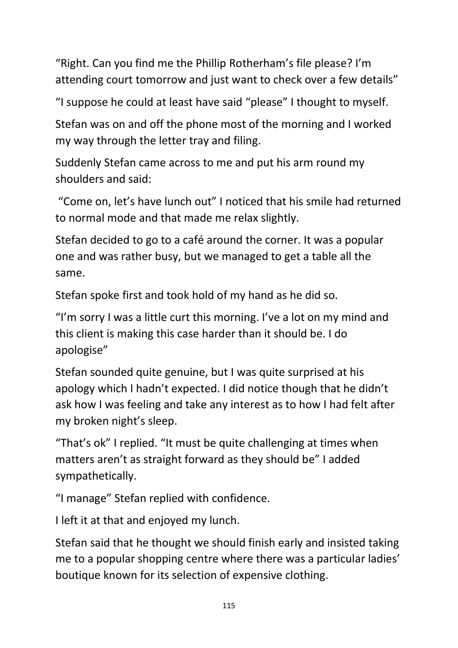"Right. Can you find me the Phillip Rotherham's file please? I'm attending court tomorrow and just want to check over a few details"

"I suppose he could at least have said "please" I thought to myself.

Stefan was on and off the phone most of the morning and I worked my way through the letter tray and filing.

Suddenly Stefan came across to me and put his arm round my shoulders and said:

"Come on, let's have lunch out" I noticed that his smile had returned to normal mode and that made me relax slightly.

Stefan decided to go to a café around the corner. It was a popular one and was rather busy, but we managed to get a table all the same.

Stefan spoke first and took hold of my hand as he did so.

"I'm sorry I was a little curt this morning. I've a lot on my mind and this client is making this case harder than it should be. I do apologise"

Stefan sounded quite genuine, but I was quite surprised at his apology which I hadn't expected. I did notice though that he didn't ask how I was feeling and take any interest as to how I had felt after my broken night's sleep.

"That's ok" I replied. "It must be quite challenging at times when matters aren't as straight forward as they should be" I added sympathetically.

"I manage" Stefan replied with confidence.

I left it at that and enjoyed my lunch.

Stefan said that he thought we should finish early and insisted taking me to a popular shopping centre where there was a particular ladies' boutique known for its selection of expensive clothing.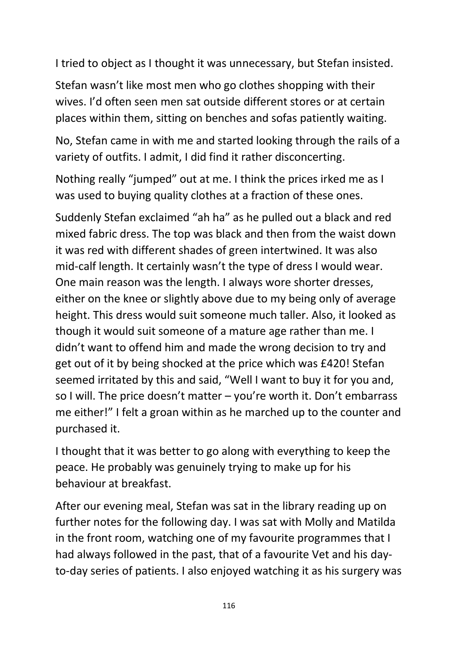I tried to object as I thought it was unnecessary, but Stefan insisted.

Stefan wasn't like most men who go clothes shopping with their wives. I'd often seen men sat outside different stores or at certain places within them, sitting on benches and sofas patiently waiting.

No, Stefan came in with me and started looking through the rails of a variety of outfits. I admit, I did find it rather disconcerting.

Nothing really "jumped" out at me. I think the prices irked me as I was used to buying quality clothes at a fraction of these ones.

Suddenly Stefan exclaimed "ah ha" as he pulled out a black and red mixed fabric dress. The top was black and then from the waist down it was red with different shades of green intertwined. It was also mid-calf length. It certainly wasn't the type of dress I would wear. One main reason was the length. I always wore shorter dresses, either on the knee or slightly above due to my being only of average height. This dress would suit someone much taller. Also, it looked as though it would suit someone of a mature age rather than me. I didn't want to offend him and made the wrong decision to try and get out of it by being shocked at the price which was £420! Stefan seemed irritated by this and said, "Well I want to buy it for you and, so I will. The price doesn't matter – you're worth it. Don't embarrass me either!" I felt a groan within as he marched up to the counter and purchased it.

I thought that it was better to go along with everything to keep the peace. He probably was genuinely trying to make up for his behaviour at breakfast.

After our evening meal, Stefan was sat in the library reading up on further notes for the following day. I was sat with Molly and Matilda in the front room, watching one of my favourite programmes that I had always followed in the past, that of a favourite Vet and his dayto-day series of patients. I also enjoyed watching it as his surgery was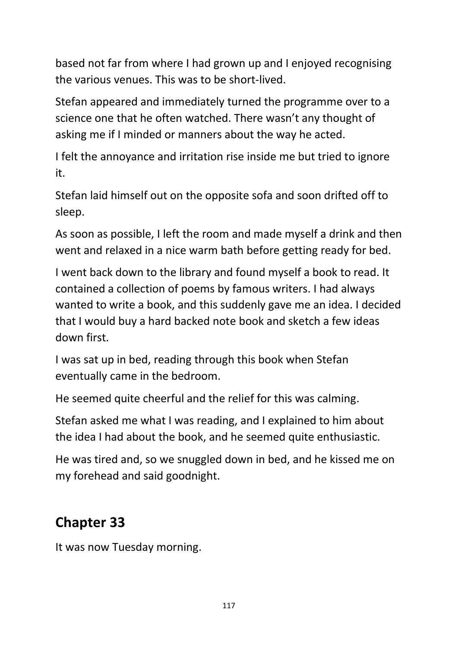based not far from where I had grown up and I enjoyed recognising the various venues. This was to be short-lived.

Stefan appeared and immediately turned the programme over to a science one that he often watched. There wasn't any thought of asking me if I minded or manners about the way he acted.

I felt the annoyance and irritation rise inside me but tried to ignore it.

Stefan laid himself out on the opposite sofa and soon drifted off to sleep.

As soon as possible, I left the room and made myself a drink and then went and relaxed in a nice warm bath before getting ready for bed.

I went back down to the library and found myself a book to read. It contained a collection of poems by famous writers. I had always wanted to write a book, and this suddenly gave me an idea. I decided that I would buy a hard backed note book and sketch a few ideas down first.

I was sat up in bed, reading through this book when Stefan eventually came in the bedroom.

He seemed quite cheerful and the relief for this was calming.

Stefan asked me what I was reading, and I explained to him about the idea I had about the book, and he seemed quite enthusiastic.

He was tired and, so we snuggled down in bed, and he kissed me on my forehead and said goodnight.

## **Chapter 33**

It was now Tuesday morning.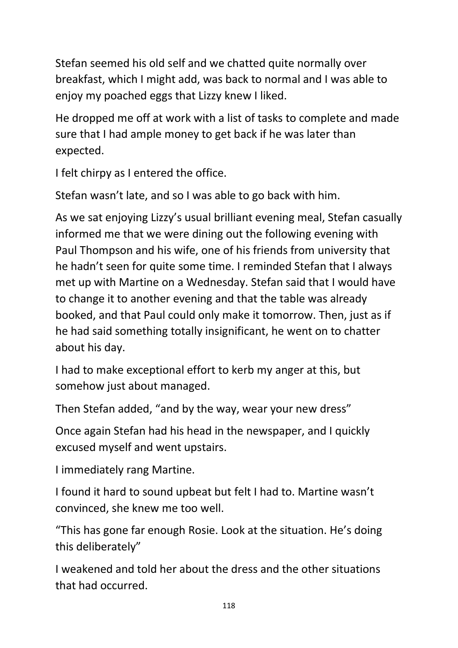Stefan seemed his old self and we chatted quite normally over breakfast, which I might add, was back to normal and I was able to enjoy my poached eggs that Lizzy knew I liked.

He dropped me off at work with a list of tasks to complete and made sure that I had ample money to get back if he was later than expected.

I felt chirpy as I entered the office.

Stefan wasn't late, and so I was able to go back with him.

As we sat enjoying Lizzy's usual brilliant evening meal, Stefan casually informed me that we were dining out the following evening with Paul Thompson and his wife, one of his friends from university that he hadn't seen for quite some time. I reminded Stefan that I always met up with Martine on a Wednesday. Stefan said that I would have to change it to another evening and that the table was already booked, and that Paul could only make it tomorrow. Then, just as if he had said something totally insignificant, he went on to chatter about his day.

I had to make exceptional effort to kerb my anger at this, but somehow just about managed.

Then Stefan added, "and by the way, wear your new dress"

Once again Stefan had his head in the newspaper, and I quickly excused myself and went upstairs.

I immediately rang Martine.

I found it hard to sound upbeat but felt I had to. Martine wasn't convinced, she knew me too well.

"This has gone far enough Rosie. Look at the situation. He's doing this deliberately"

I weakened and told her about the dress and the other situations that had occurred.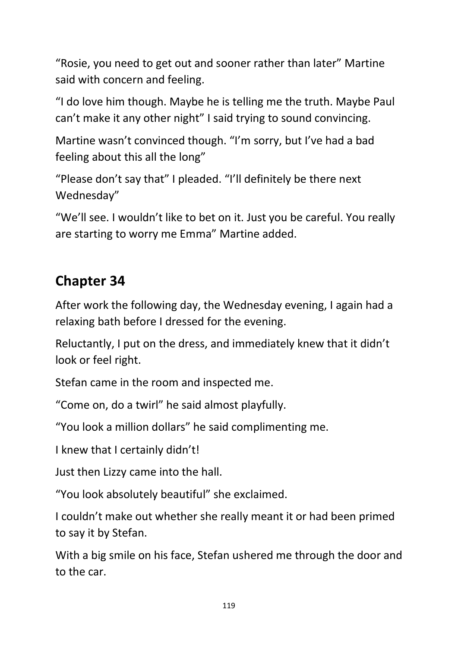"Rosie, you need to get out and sooner rather than later" Martine said with concern and feeling.

"I do love him though. Maybe he is telling me the truth. Maybe Paul can't make it any other night" I said trying to sound convincing.

Martine wasn't convinced though. "I'm sorry, but I've had a bad feeling about this all the long"

"Please don't say that" I pleaded. "I'll definitely be there next Wednesday"

"We'll see. I wouldn't like to bet on it. Just you be careful. You really are starting to worry me Emma" Martine added.

## **Chapter 34**

After work the following day, the Wednesday evening, I again had a relaxing bath before I dressed for the evening.

Reluctantly, I put on the dress, and immediately knew that it didn't look or feel right.

Stefan came in the room and inspected me.

"Come on, do a twirl" he said almost playfully.

"You look a million dollars" he said complimenting me.

I knew that I certainly didn't!

Just then Lizzy came into the hall.

"You look absolutely beautiful" she exclaimed.

I couldn't make out whether she really meant it or had been primed to say it by Stefan.

With a big smile on his face, Stefan ushered me through the door and to the car.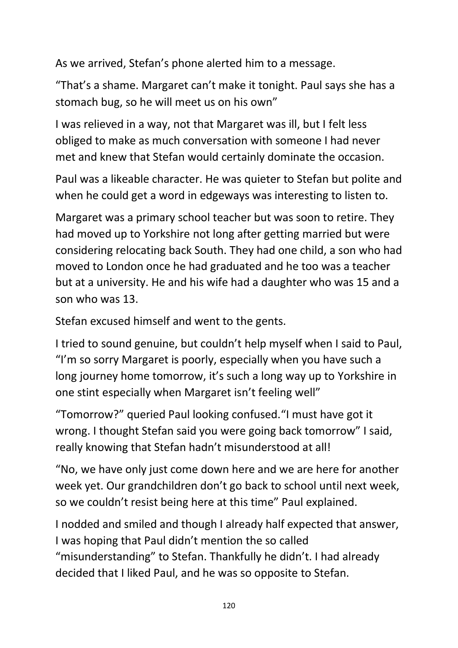As we arrived, Stefan's phone alerted him to a message.

"That's a shame. Margaret can't make it tonight. Paul says she has a stomach bug, so he will meet us on his own"

I was relieved in a way, not that Margaret was ill, but I felt less obliged to make as much conversation with someone I had never met and knew that Stefan would certainly dominate the occasion.

Paul was a likeable character. He was quieter to Stefan but polite and when he could get a word in edgeways was interesting to listen to.

Margaret was a primary school teacher but was soon to retire. They had moved up to Yorkshire not long after getting married but were considering relocating back South. They had one child, a son who had moved to London once he had graduated and he too was a teacher but at a university. He and his wife had a daughter who was 15 and a son who was 13.

Stefan excused himself and went to the gents.

I tried to sound genuine, but couldn't help myself when I said to Paul, "I'm so sorry Margaret is poorly, especially when you have such a long journey home tomorrow, it's such a long way up to Yorkshire in one stint especially when Margaret isn't feeling well"

"Tomorrow?" queried Paul looking confused."I must have got it wrong. I thought Stefan said you were going back tomorrow" I said, really knowing that Stefan hadn't misunderstood at all!

"No, we have only just come down here and we are here for another week yet. Our grandchildren don't go back to school until next week, so we couldn't resist being here at this time" Paul explained.

I nodded and smiled and though I already half expected that answer, I was hoping that Paul didn't mention the so called "misunderstanding" to Stefan. Thankfully he didn't. I had already decided that I liked Paul, and he was so opposite to Stefan.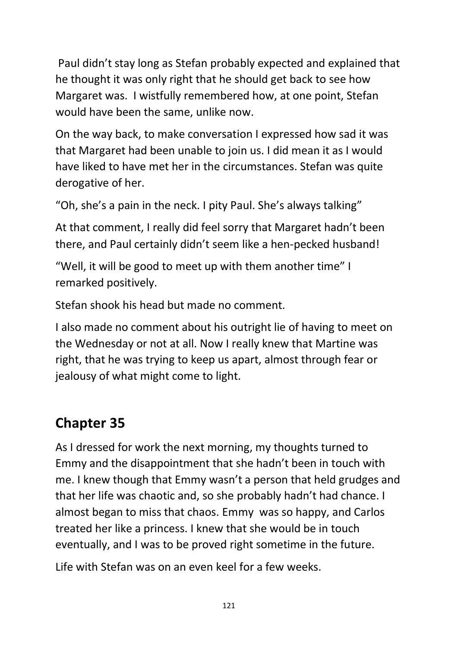Paul didn't stay long as Stefan probably expected and explained that he thought it was only right that he should get back to see how Margaret was. I wistfully remembered how, at one point, Stefan would have been the same, unlike now.

On the way back, to make conversation I expressed how sad it was that Margaret had been unable to join us. I did mean it as I would have liked to have met her in the circumstances. Stefan was quite derogative of her.

"Oh, she's a pain in the neck. I pity Paul. She's always talking"

At that comment, I really did feel sorry that Margaret hadn't been there, and Paul certainly didn't seem like a hen-pecked husband!

"Well, it will be good to meet up with them another time" I remarked positively.

Stefan shook his head but made no comment.

I also made no comment about his outright lie of having to meet on the Wednesday or not at all. Now I really knew that Martine was right, that he was trying to keep us apart, almost through fear or jealousy of what might come to light.

## **Chapter 35**

As I dressed for work the next morning, my thoughts turned to Emmy and the disappointment that she hadn't been in touch with me. I knew though that Emmy wasn't a person that held grudges and that her life was chaotic and, so she probably hadn't had chance. I almost began to miss that chaos. Emmy was so happy, and Carlos treated her like a princess. I knew that she would be in touch eventually, and I was to be proved right sometime in the future.

Life with Stefan was on an even keel for a few weeks.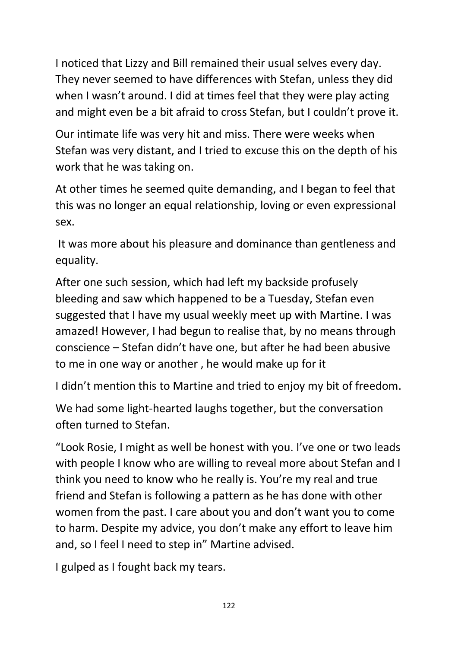I noticed that Lizzy and Bill remained their usual selves every day. They never seemed to have differences with Stefan, unless they did when I wasn't around. I did at times feel that they were play acting and might even be a bit afraid to cross Stefan, but I couldn't prove it.

Our intimate life was very hit and miss. There were weeks when Stefan was very distant, and I tried to excuse this on the depth of his work that he was taking on.

At other times he seemed quite demanding, and I began to feel that this was no longer an equal relationship, loving or even expressional sex.

It was more about his pleasure and dominance than gentleness and equality.

After one such session, which had left my backside profusely bleeding and saw which happened to be a Tuesday, Stefan even suggested that I have my usual weekly meet up with Martine. I was amazed! However, I had begun to realise that, by no means through conscience – Stefan didn't have one, but after he had been abusive to me in one way or another , he would make up for it

I didn't mention this to Martine and tried to enjoy my bit of freedom.

We had some light-hearted laughs together, but the conversation often turned to Stefan.

"Look Rosie, I might as well be honest with you. I've one or two leads with people I know who are willing to reveal more about Stefan and I think you need to know who he really is. You're my real and true friend and Stefan is following a pattern as he has done with other women from the past. I care about you and don't want you to come to harm. Despite my advice, you don't make any effort to leave him and, so I feel I need to step in" Martine advised.

I gulped as I fought back my tears.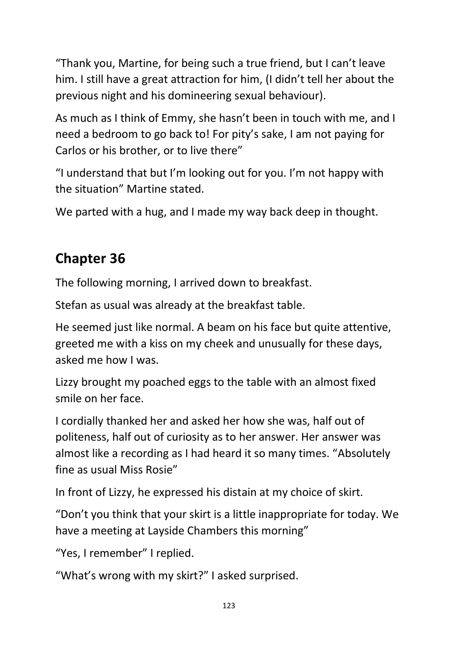"Thank you, Martine, for being such a true friend, but I can't leave him. I still have a great attraction for him, (I didn't tell her about the previous night and his domineering sexual behaviour).

As much as I think of Emmy, she hasn't been in touch with me, and I need a bedroom to go back to! For pity's sake, I am not paying for Carlos or his brother, or to live there"

"I understand that but I'm looking out for you. I'm not happy with the situation" Martine stated.

We parted with a hug, and I made my way back deep in thought.

## **Chapter 36**

The following morning, I arrived down to breakfast.

Stefan as usual was already at the breakfast table.

He seemed just like normal. A beam on his face but quite attentive, greeted me with a kiss on my cheek and unusually for these days, asked me how I was.

Lizzy brought my poached eggs to the table with an almost fixed smile on her face.

I cordially thanked her and asked her how she was, half out of politeness, half out of curiosity as to her answer. Her answer was almost like a recording as I had heard it so many times. "Absolutely fine as usual Miss Rosie"

In front of Lizzy, he expressed his distain at my choice of skirt.

"Don't you think that your skirt is a little inappropriate for today. We have a meeting at Layside Chambers this morning"

"Yes, I remember" I replied.

"What's wrong with my skirt?" I asked surprised.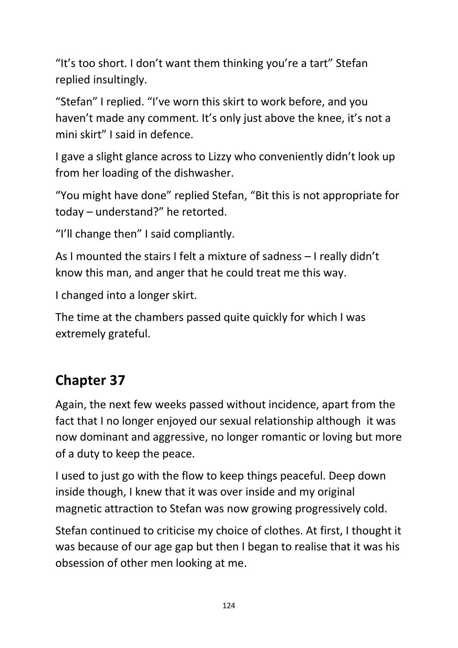"It's too short. I don't want them thinking you're a tart" Stefan replied insultingly.

"Stefan" I replied. "I've worn this skirt to work before, and you haven't made any comment. It's only just above the knee, it's not a mini skirt" I said in defence.

I gave a slight glance across to Lizzy who conveniently didn't look up from her loading of the dishwasher.

"You might have done" replied Stefan, "Bit this is not appropriate for today – understand?" he retorted.

"I'll change then" I said compliantly.

As I mounted the stairs I felt a mixture of sadness – I really didn't know this man, and anger that he could treat me this way.

I changed into a longer skirt.

The time at the chambers passed quite quickly for which I was extremely grateful.

## **Chapter 37**

Again, the next few weeks passed without incidence, apart from the fact that I no longer enjoyed our sexual relationship although it was now dominant and aggressive, no longer romantic or loving but more of a duty to keep the peace.

I used to just go with the flow to keep things peaceful. Deep down inside though, I knew that it was over inside and my original magnetic attraction to Stefan was now growing progressively cold.

Stefan continued to criticise my choice of clothes. At first, I thought it was because of our age gap but then I began to realise that it was his obsession of other men looking at me.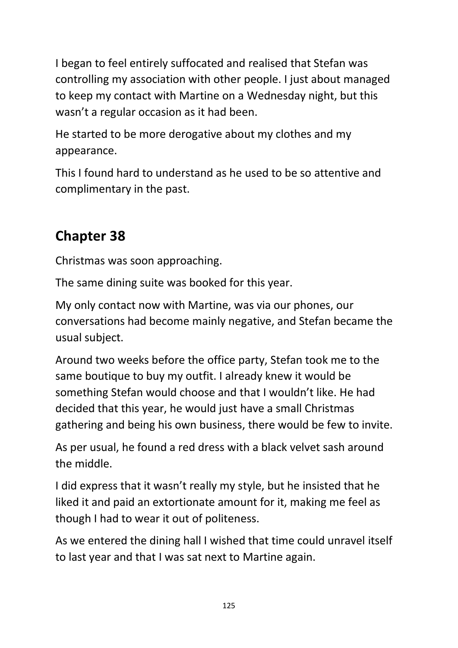I began to feel entirely suffocated and realised that Stefan was controlling my association with other people. I just about managed to keep my contact with Martine on a Wednesday night, but this wasn't a regular occasion as it had been.

He started to be more derogative about my clothes and my appearance.

This I found hard to understand as he used to be so attentive and complimentary in the past.

## **Chapter 38**

Christmas was soon approaching.

The same dining suite was booked for this year.

My only contact now with Martine, was via our phones, our conversations had become mainly negative, and Stefan became the usual subject.

Around two weeks before the office party, Stefan took me to the same boutique to buy my outfit. I already knew it would be something Stefan would choose and that I wouldn't like. He had decided that this year, he would just have a small Christmas gathering and being his own business, there would be few to invite.

As per usual, he found a red dress with a black velvet sash around the middle.

I did express that it wasn't really my style, but he insisted that he liked it and paid an extortionate amount for it, making me feel as though I had to wear it out of politeness.

As we entered the dining hall I wished that time could unravel itself to last year and that I was sat next to Martine again.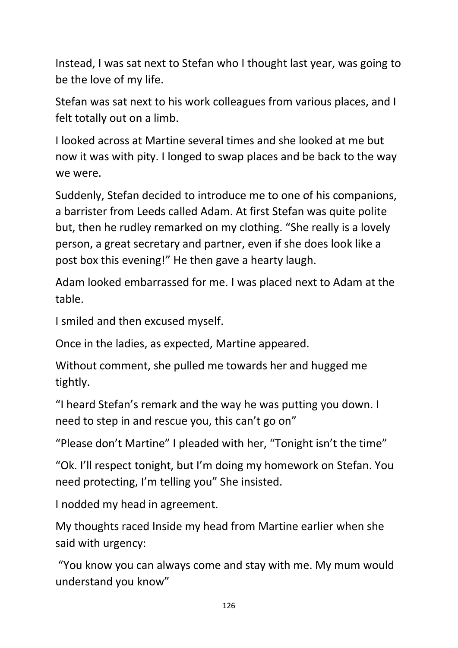Instead, I was sat next to Stefan who I thought last year, was going to be the love of my life.

Stefan was sat next to his work colleagues from various places, and I felt totally out on a limb.

I looked across at Martine several times and she looked at me but now it was with pity. I longed to swap places and be back to the way we were.

Suddenly, Stefan decided to introduce me to one of his companions, a barrister from Leeds called Adam. At first Stefan was quite polite but, then he rudley remarked on my clothing. "She really is a lovely person, a great secretary and partner, even if she does look like a post box this evening!" He then gave a hearty laugh.

Adam looked embarrassed for me. I was placed next to Adam at the table.

I smiled and then excused myself.

Once in the ladies, as expected, Martine appeared.

Without comment, she pulled me towards her and hugged me tightly.

"I heard Stefan's remark and the way he was putting you down. I need to step in and rescue you, this can't go on"

"Please don't Martine" I pleaded with her, "Tonight isn't the time"

"Ok. I'll respect tonight, but I'm doing my homework on Stefan. You need protecting, I'm telling you" She insisted.

I nodded my head in agreement.

My thoughts raced Inside my head from Martine earlier when she said with urgency:

"You know you can always come and stay with me. My mum would understand you know"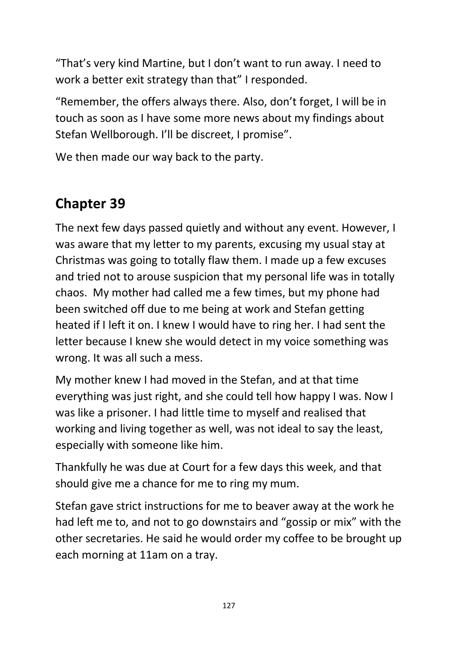"That's very kind Martine, but I don't want to run away. I need to work a better exit strategy than that" I responded.

"Remember, the offers always there. Also, don't forget, I will be in touch as soon as I have some more news about my findings about Stefan Wellborough. I'll be discreet, I promise".

We then made our way back to the party.

### **Chapter 39**

The next few days passed quietly and without any event. However, I was aware that my letter to my parents, excusing my usual stay at Christmas was going to totally flaw them. I made up a few excuses and tried not to arouse suspicion that my personal life was in totally chaos. My mother had called me a few times, but my phone had been switched off due to me being at work and Stefan getting heated if I left it on. I knew I would have to ring her. I had sent the letter because I knew she would detect in my voice something was wrong. It was all such a mess.

My mother knew I had moved in the Stefan, and at that time everything was just right, and she could tell how happy I was. Now I was like a prisoner. I had little time to myself and realised that working and living together as well, was not ideal to say the least, especially with someone like him.

Thankfully he was due at Court for a few days this week, and that should give me a chance for me to ring my mum.

Stefan gave strict instructions for me to beaver away at the work he had left me to, and not to go downstairs and "gossip or mix" with the other secretaries. He said he would order my coffee to be brought up each morning at 11am on a tray.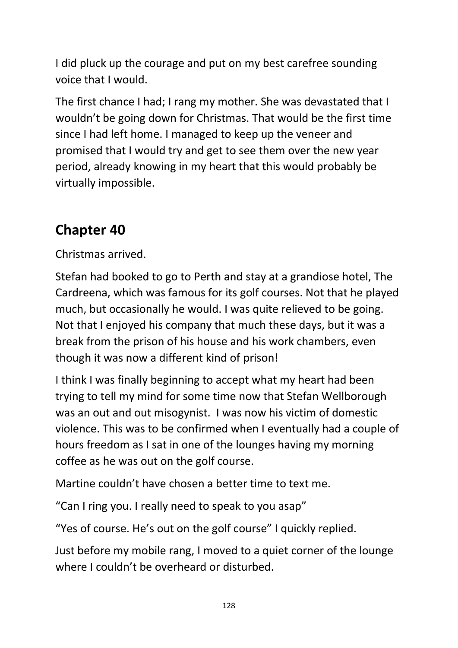I did pluck up the courage and put on my best carefree sounding voice that I would.

The first chance I had; I rang my mother. She was devastated that I wouldn't be going down for Christmas. That would be the first time since I had left home. I managed to keep up the veneer and promised that I would try and get to see them over the new year period, already knowing in my heart that this would probably be virtually impossible.

### **Chapter 40**

Christmas arrived.

Stefan had booked to go to Perth and stay at a grandiose hotel, The Cardreena, which was famous for its golf courses. Not that he played much, but occasionally he would. I was quite relieved to be going. Not that I enjoyed his company that much these days, but it was a break from the prison of his house and his work chambers, even though it was now a different kind of prison!

I think I was finally beginning to accept what my heart had been trying to tell my mind for some time now that Stefan Wellborough was an out and out misogynist. I was now his victim of domestic violence. This was to be confirmed when I eventually had a couple of hours freedom as I sat in one of the lounges having my morning coffee as he was out on the golf course.

Martine couldn't have chosen a better time to text me.

"Can I ring you. I really need to speak to you asap"

"Yes of course. He's out on the golf course" I quickly replied.

Just before my mobile rang, I moved to a quiet corner of the lounge where I couldn't be overheard or disturbed.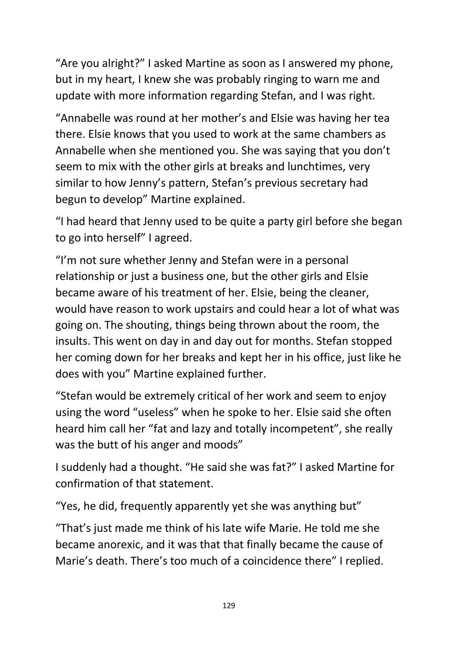"Are you alright?" I asked Martine as soon as I answered my phone, but in my heart, I knew she was probably ringing to warn me and update with more information regarding Stefan, and I was right.

"Annabelle was round at her mother's and Elsie was having her tea there. Elsie knows that you used to work at the same chambers as Annabelle when she mentioned you. She was saying that you don't seem to mix with the other girls at breaks and lunchtimes, very similar to how Jenny's pattern, Stefan's previous secretary had begun to develop" Martine explained.

"I had heard that Jenny used to be quite a party girl before she began to go into herself" I agreed.

"I'm not sure whether Jenny and Stefan were in a personal relationship or just a business one, but the other girls and Elsie became aware of his treatment of her. Elsie, being the cleaner, would have reason to work upstairs and could hear a lot of what was going on. The shouting, things being thrown about the room, the insults. This went on day in and day out for months. Stefan stopped her coming down for her breaks and kept her in his office, just like he does with you" Martine explained further.

"Stefan would be extremely critical of her work and seem to enjoy using the word "useless" when he spoke to her. Elsie said she often heard him call her "fat and lazy and totally incompetent", she really was the butt of his anger and moods"

I suddenly had a thought. "He said she was fat?" I asked Martine for confirmation of that statement.

"Yes, he did, frequently apparently yet she was anything but"

"That's just made me think of his late wife Marie. He told me she became anorexic, and it was that that finally became the cause of Marie's death. There's too much of a coincidence there" I replied.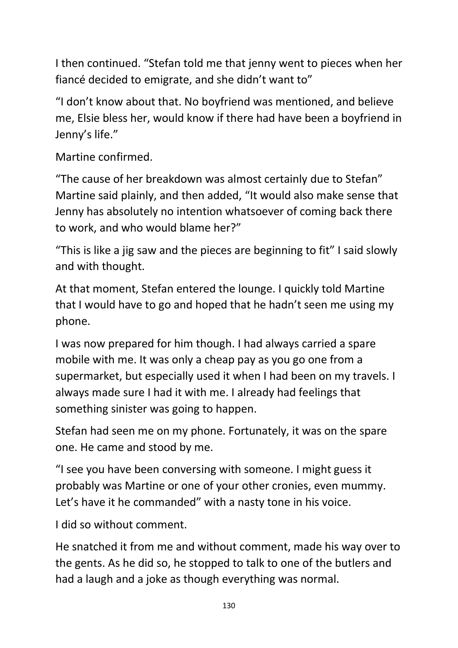I then continued. "Stefan told me that jenny went to pieces when her fiancé decided to emigrate, and she didn't want to"

"I don't know about that. No boyfriend was mentioned, and believe me, Elsie bless her, would know if there had have been a boyfriend in Jenny's life."

Martine confirmed.

"The cause of her breakdown was almost certainly due to Stefan" Martine said plainly, and then added, "It would also make sense that Jenny has absolutely no intention whatsoever of coming back there to work, and who would blame her?"

"This is like a jig saw and the pieces are beginning to fit" I said slowly and with thought.

At that moment, Stefan entered the lounge. I quickly told Martine that I would have to go and hoped that he hadn't seen me using my phone.

I was now prepared for him though. I had always carried a spare mobile with me. It was only a cheap pay as you go one from a supermarket, but especially used it when I had been on my travels. I always made sure I had it with me. I already had feelings that something sinister was going to happen.

Stefan had seen me on my phone. Fortunately, it was on the spare one. He came and stood by me.

"I see you have been conversing with someone. I might guess it probably was Martine or one of your other cronies, even mummy. Let's have it he commanded" with a nasty tone in his voice.

I did so without comment.

He snatched it from me and without comment, made his way over to the gents. As he did so, he stopped to talk to one of the butlers and had a laugh and a joke as though everything was normal.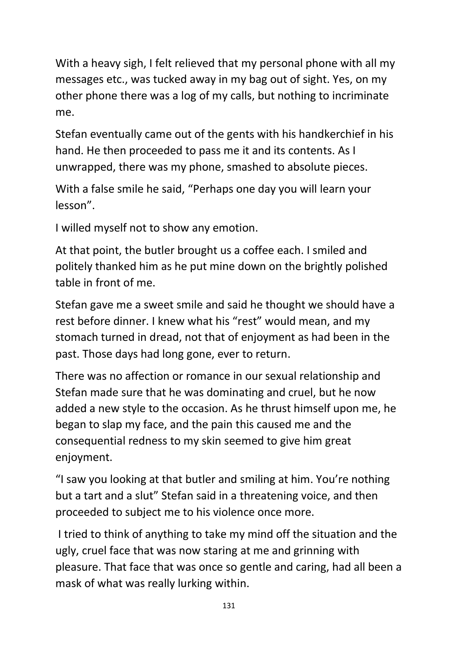With a heavy sigh, I felt relieved that my personal phone with all my messages etc., was tucked away in my bag out of sight. Yes, on my other phone there was a log of my calls, but nothing to incriminate me.

Stefan eventually came out of the gents with his handkerchief in his hand. He then proceeded to pass me it and its contents. As I unwrapped, there was my phone, smashed to absolute pieces.

With a false smile he said, "Perhaps one day you will learn your lesson".

I willed myself not to show any emotion.

At that point, the butler brought us a coffee each. I smiled and politely thanked him as he put mine down on the brightly polished table in front of me.

Stefan gave me a sweet smile and said he thought we should have a rest before dinner. I knew what his "rest" would mean, and my stomach turned in dread, not that of enjoyment as had been in the past. Those days had long gone, ever to return.

There was no affection or romance in our sexual relationship and Stefan made sure that he was dominating and cruel, but he now added a new style to the occasion. As he thrust himself upon me, he began to slap my face, and the pain this caused me and the consequential redness to my skin seemed to give him great enjoyment.

"I saw you looking at that butler and smiling at him. You're nothing but a tart and a slut" Stefan said in a threatening voice, and then proceeded to subject me to his violence once more.

I tried to think of anything to take my mind off the situation and the ugly, cruel face that was now staring at me and grinning with pleasure. That face that was once so gentle and caring, had all been a mask of what was really lurking within.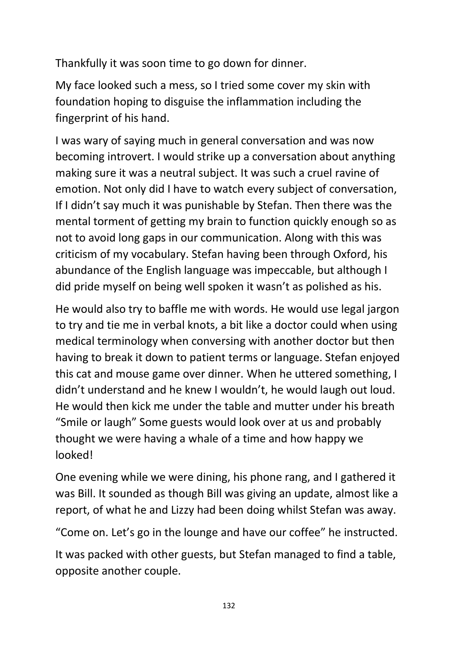Thankfully it was soon time to go down for dinner.

My face looked such a mess, so I tried some cover my skin with foundation hoping to disguise the inflammation including the fingerprint of his hand.

I was wary of saying much in general conversation and was now becoming introvert. I would strike up a conversation about anything making sure it was a neutral subject. It was such a cruel ravine of emotion. Not only did I have to watch every subject of conversation, If I didn't say much it was punishable by Stefan. Then there was the mental torment of getting my brain to function quickly enough so as not to avoid long gaps in our communication. Along with this was criticism of my vocabulary. Stefan having been through Oxford, his abundance of the English language was impeccable, but although I did pride myself on being well spoken it wasn't as polished as his.

He would also try to baffle me with words. He would use legal jargon to try and tie me in verbal knots, a bit like a doctor could when using medical terminology when conversing with another doctor but then having to break it down to patient terms or language. Stefan enjoyed this cat and mouse game over dinner. When he uttered something, I didn't understand and he knew I wouldn't, he would laugh out loud. He would then kick me under the table and mutter under his breath "Smile or laugh" Some guests would look over at us and probably thought we were having a whale of a time and how happy we looked!

One evening while we were dining, his phone rang, and I gathered it was Bill. It sounded as though Bill was giving an update, almost like a report, of what he and Lizzy had been doing whilst Stefan was away.

"Come on. Let's go in the lounge and have our coffee" he instructed.

It was packed with other guests, but Stefan managed to find a table, opposite another couple.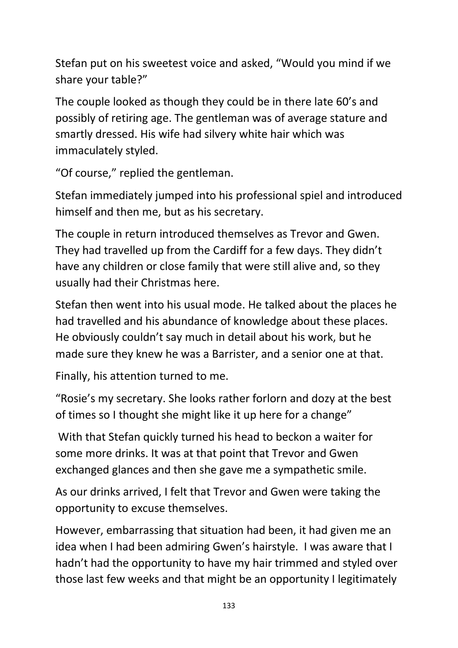Stefan put on his sweetest voice and asked, "Would you mind if we share your table?"

The couple looked as though they could be in there late 60's and possibly of retiring age. The gentleman was of average stature and smartly dressed. His wife had silvery white hair which was immaculately styled.

"Of course," replied the gentleman.

Stefan immediately jumped into his professional spiel and introduced himself and then me, but as his secretary.

The couple in return introduced themselves as Trevor and Gwen. They had travelled up from the Cardiff for a few days. They didn't have any children or close family that were still alive and, so they usually had their Christmas here.

Stefan then went into his usual mode. He talked about the places he had travelled and his abundance of knowledge about these places. He obviously couldn't say much in detail about his work, but he made sure they knew he was a Barrister, and a senior one at that.

Finally, his attention turned to me.

"Rosie's my secretary. She looks rather forlorn and dozy at the best of times so I thought she might like it up here for a change"

With that Stefan quickly turned his head to beckon a waiter for some more drinks. It was at that point that Trevor and Gwen exchanged glances and then she gave me a sympathetic smile.

As our drinks arrived, I felt that Trevor and Gwen were taking the opportunity to excuse themselves.

However, embarrassing that situation had been, it had given me an idea when I had been admiring Gwen's hairstyle. I was aware that I hadn't had the opportunity to have my hair trimmed and styled over those last few weeks and that might be an opportunity I legitimately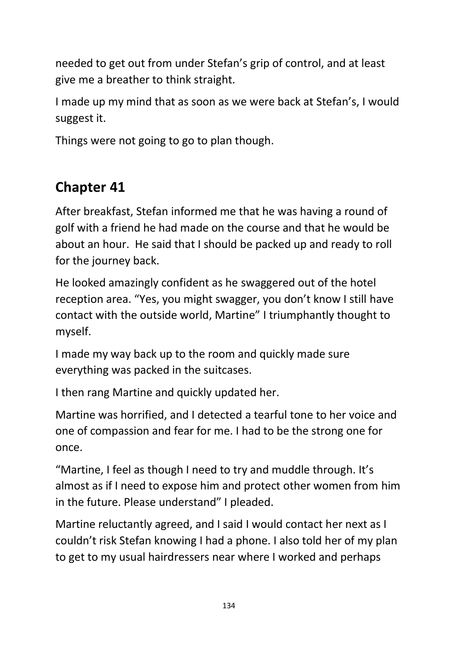needed to get out from under Stefan's grip of control, and at least give me a breather to think straight.

I made up my mind that as soon as we were back at Stefan's, I would suggest it.

Things were not going to go to plan though.

# **Chapter 41**

After breakfast, Stefan informed me that he was having a round of golf with a friend he had made on the course and that he would be about an hour. He said that I should be packed up and ready to roll for the journey back.

He looked amazingly confident as he swaggered out of the hotel reception area. "Yes, you might swagger, you don't know I still have contact with the outside world, Martine" I triumphantly thought to myself.

I made my way back up to the room and quickly made sure everything was packed in the suitcases.

I then rang Martine and quickly updated her.

Martine was horrified, and I detected a tearful tone to her voice and one of compassion and fear for me. I had to be the strong one for once.

"Martine, I feel as though I need to try and muddle through. It's almost as if I need to expose him and protect other women from him in the future. Please understand" I pleaded.

Martine reluctantly agreed, and I said I would contact her next as I couldn't risk Stefan knowing I had a phone. I also told her of my plan to get to my usual hairdressers near where I worked and perhaps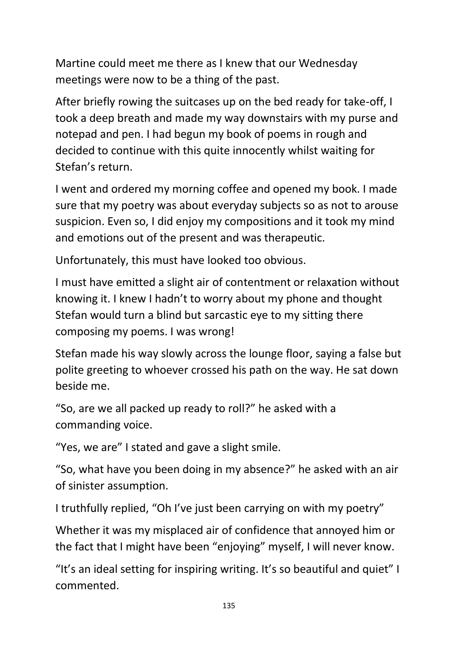Martine could meet me there as I knew that our Wednesday meetings were now to be a thing of the past.

After briefly rowing the suitcases up on the bed ready for take-off, I took a deep breath and made my way downstairs with my purse and notepad and pen. I had begun my book of poems in rough and decided to continue with this quite innocently whilst waiting for Stefan's return.

I went and ordered my morning coffee and opened my book. I made sure that my poetry was about everyday subjects so as not to arouse suspicion. Even so, I did enjoy my compositions and it took my mind and emotions out of the present and was therapeutic.

Unfortunately, this must have looked too obvious.

I must have emitted a slight air of contentment or relaxation without knowing it. I knew I hadn't to worry about my phone and thought Stefan would turn a blind but sarcastic eye to my sitting there composing my poems. I was wrong!

Stefan made his way slowly across the lounge floor, saying a false but polite greeting to whoever crossed his path on the way. He sat down beside me.

"So, are we all packed up ready to roll?" he asked with a commanding voice.

"Yes, we are" I stated and gave a slight smile.

"So, what have you been doing in my absence?" he asked with an air of sinister assumption.

I truthfully replied, "Oh I've just been carrying on with my poetry"

Whether it was my misplaced air of confidence that annoyed him or the fact that I might have been "enjoying" myself, I will never know.

"It's an ideal setting for inspiring writing. It's so beautiful and quiet" I commented.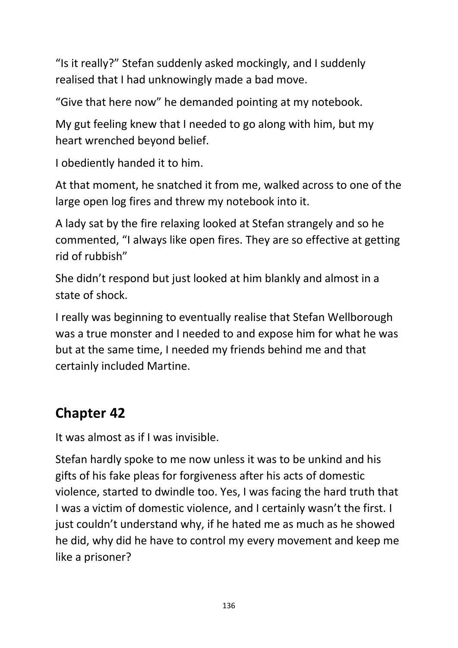"Is it really?" Stefan suddenly asked mockingly, and I suddenly realised that I had unknowingly made a bad move.

"Give that here now" he demanded pointing at my notebook.

My gut feeling knew that I needed to go along with him, but my heart wrenched beyond belief.

I obediently handed it to him.

At that moment, he snatched it from me, walked across to one of the large open log fires and threw my notebook into it.

A lady sat by the fire relaxing looked at Stefan strangely and so he commented, "I always like open fires. They are so effective at getting rid of rubbish"

She didn't respond but just looked at him blankly and almost in a state of shock.

I really was beginning to eventually realise that Stefan Wellborough was a true monster and I needed to and expose him for what he was but at the same time, I needed my friends behind me and that certainly included Martine.

## **Chapter 42**

It was almost as if I was invisible.

Stefan hardly spoke to me now unless it was to be unkind and his gifts of his fake pleas for forgiveness after his acts of domestic violence, started to dwindle too. Yes, I was facing the hard truth that I was a victim of domestic violence, and I certainly wasn't the first. I just couldn't understand why, if he hated me as much as he showed he did, why did he have to control my every movement and keep me like a prisoner?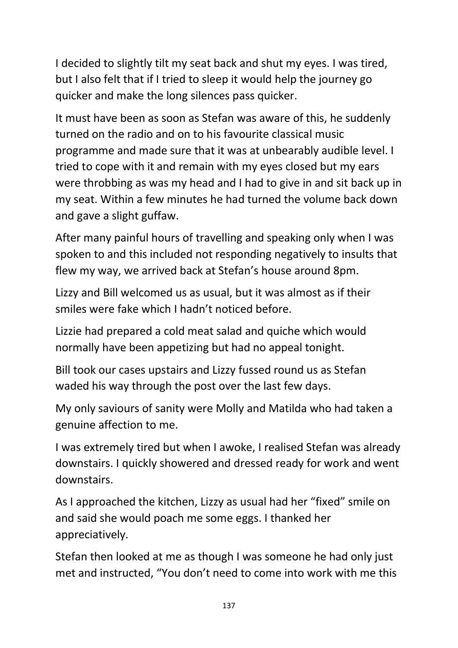I decided to slightly tilt my seat back and shut my eyes. I was tired, but I also felt that if I tried to sleep it would help the journey go quicker and make the long silences pass quicker.

It must have been as soon as Stefan was aware of this, he suddenly turned on the radio and on to his favourite classical music programme and made sure that it was at unbearably audible level. I tried to cope with it and remain with my eyes closed but my ears were throbbing as was my head and I had to give in and sit back up in my seat. Within a few minutes he had turned the volume back down and gave a slight guffaw.

After many painful hours of travelling and speaking only when I was spoken to and this included not responding negatively to insults that flew my way, we arrived back at Stefan's house around 8pm.

Lizzy and Bill welcomed us as usual, but it was almost as if their smiles were fake which I hadn't noticed before.

Lizzie had prepared a cold meat salad and quiche which would normally have been appetizing but had no appeal tonight.

Bill took our cases upstairs and Lizzy fussed round us as Stefan waded his way through the post over the last few days.

My only saviours of sanity were Molly and Matilda who had taken a genuine affection to me.

I was extremely tired but when I awoke, I realised Stefan was already downstairs. I quickly showered and dressed ready for work and went downstairs.

As I approached the kitchen, Lizzy as usual had her "fixed" smile on and said she would poach me some eggs. I thanked her appreciatively.

Stefan then looked at me as though I was someone he had only just met and instructed, "You don't need to come into work with me this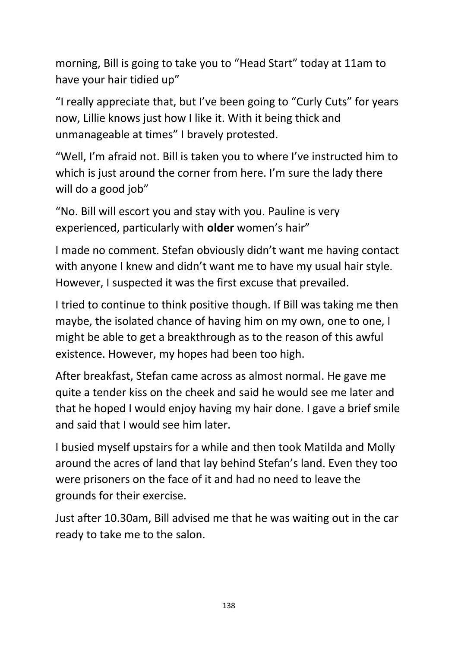morning, Bill is going to take you to "Head Start" today at 11am to have your hair tidied up"

"I really appreciate that, but I've been going to "Curly Cuts" for years now, Lillie knows just how I like it. With it being thick and unmanageable at times" I bravely protested.

"Well, I'm afraid not. Bill is taken you to where I've instructed him to which is just around the corner from here. I'm sure the lady there will do a good job"

"No. Bill will escort you and stay with you. Pauline is very experienced, particularly with **older** women's hair"

I made no comment. Stefan obviously didn't want me having contact with anyone I knew and didn't want me to have my usual hair style. However, I suspected it was the first excuse that prevailed.

I tried to continue to think positive though. If Bill was taking me then maybe, the isolated chance of having him on my own, one to one, I might be able to get a breakthrough as to the reason of this awful existence. However, my hopes had been too high.

After breakfast, Stefan came across as almost normal. He gave me quite a tender kiss on the cheek and said he would see me later and that he hoped I would enjoy having my hair done. I gave a brief smile and said that I would see him later.

I busied myself upstairs for a while and then took Matilda and Molly around the acres of land that lay behind Stefan's land. Even they too were prisoners on the face of it and had no need to leave the grounds for their exercise.

Just after 10.30am, Bill advised me that he was waiting out in the car ready to take me to the salon.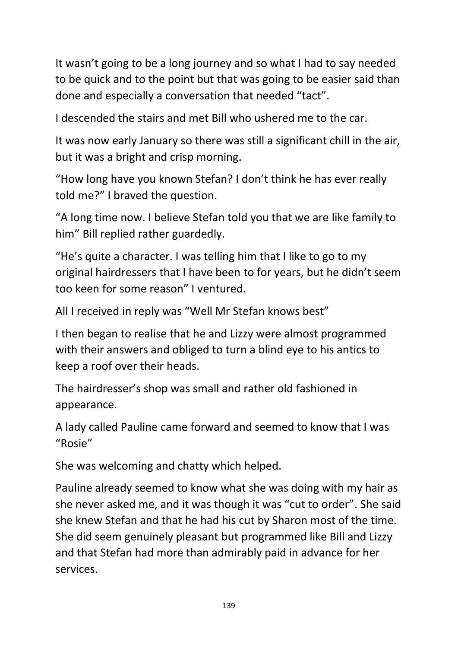It wasn't going to be a long journey and so what I had to say needed to be quick and to the point but that was going to be easier said than done and especially a conversation that needed "tact".

I descended the stairs and met Bill who ushered me to the car.

It was now early January so there was still a significant chill in the air, but it was a bright and crisp morning.

"How long have you known Stefan? I don't think he has ever really told me?" I braved the question.

"A long time now. I believe Stefan told you that we are like family to him" Bill replied rather guardedly.

"He's quite a character. I was telling him that I like to go to my original hairdressers that I have been to for years, but he didn't seem too keen for some reason" I ventured.

All I received in reply was "Well Mr Stefan knows best"

I then began to realise that he and Lizzy were almost programmed with their answers and obliged to turn a blind eye to his antics to keep a roof over their heads.

The hairdresser's shop was small and rather old fashioned in appearance.

A lady called Pauline came forward and seemed to know that I was "Rosie"

She was welcoming and chatty which helped.

Pauline already seemed to know what she was doing with my hair as she never asked me, and it was though it was "cut to order". She said she knew Stefan and that he had his cut by Sharon most of the time. She did seem genuinely pleasant but programmed like Bill and Lizzy and that Stefan had more than admirably paid in advance for her services.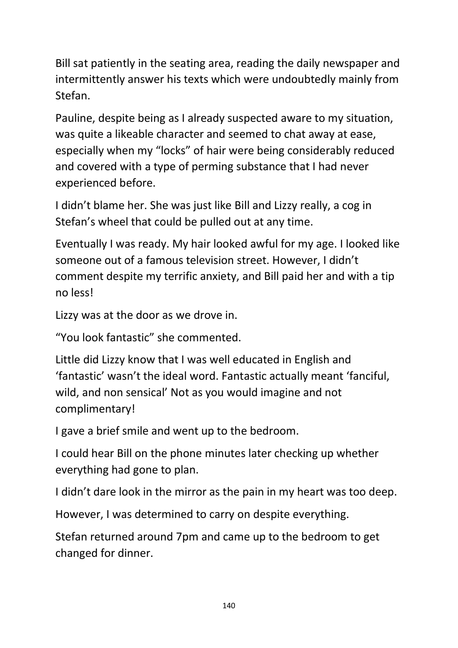Bill sat patiently in the seating area, reading the daily newspaper and intermittently answer his texts which were undoubtedly mainly from Stefan.

Pauline, despite being as I already suspected aware to my situation, was quite a likeable character and seemed to chat away at ease, especially when my "locks" of hair were being considerably reduced and covered with a type of perming substance that I had never experienced before.

I didn't blame her. She was just like Bill and Lizzy really, a cog in Stefan's wheel that could be pulled out at any time.

Eventually I was ready. My hair looked awful for my age. I looked like someone out of a famous television street. However, I didn't comment despite my terrific anxiety, and Bill paid her and with a tip no less!

Lizzy was at the door as we drove in.

"You look fantastic" she commented.

Little did Lizzy know that I was well educated in English and 'fantastic' wasn't the ideal word. Fantastic actually meant 'fanciful, wild, and non sensical' Not as you would imagine and not complimentary!

I gave a brief smile and went up to the bedroom.

I could hear Bill on the phone minutes later checking up whether everything had gone to plan.

I didn't dare look in the mirror as the pain in my heart was too deep.

However, I was determined to carry on despite everything.

Stefan returned around 7pm and came up to the bedroom to get changed for dinner.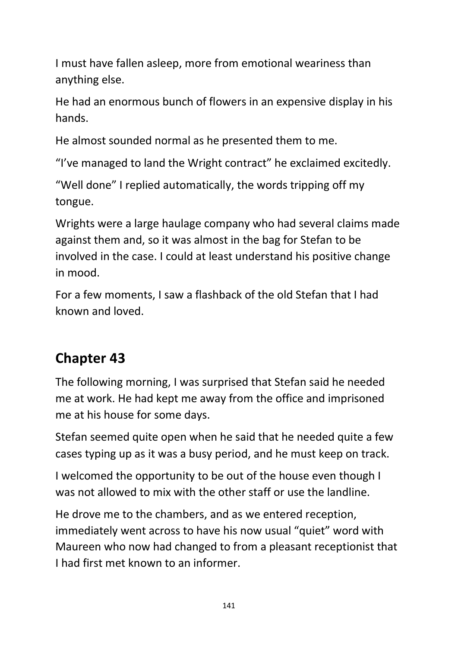I must have fallen asleep, more from emotional weariness than anything else.

He had an enormous bunch of flowers in an expensive display in his hands.

He almost sounded normal as he presented them to me.

"I've managed to land the Wright contract" he exclaimed excitedly.

"Well done" I replied automatically, the words tripping off my tongue.

Wrights were a large haulage company who had several claims made against them and, so it was almost in the bag for Stefan to be involved in the case. I could at least understand his positive change in mood.

For a few moments, I saw a flashback of the old Stefan that I had known and loved.

## **Chapter 43**

The following morning, I was surprised that Stefan said he needed me at work. He had kept me away from the office and imprisoned me at his house for some days.

Stefan seemed quite open when he said that he needed quite a few cases typing up as it was a busy period, and he must keep on track.

I welcomed the opportunity to be out of the house even though I was not allowed to mix with the other staff or use the landline.

He drove me to the chambers, and as we entered reception, immediately went across to have his now usual "quiet" word with Maureen who now had changed to from a pleasant receptionist that I had first met known to an informer.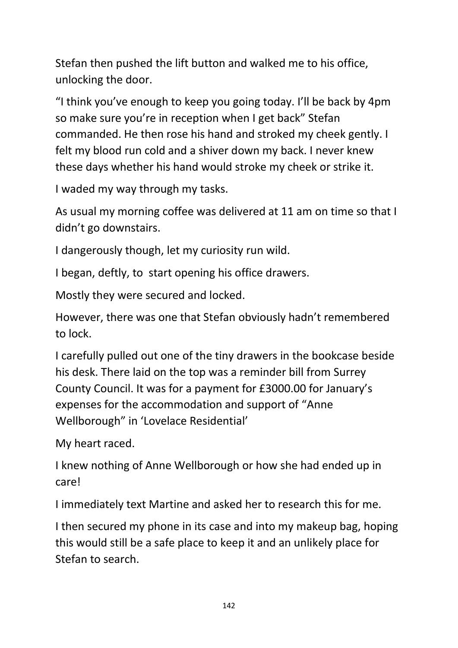Stefan then pushed the lift button and walked me to his office, unlocking the door.

"I think you've enough to keep you going today. I'll be back by 4pm so make sure you're in reception when I get back" Stefan commanded. He then rose his hand and stroked my cheek gently. I felt my blood run cold and a shiver down my back. I never knew these days whether his hand would stroke my cheek or strike it.

I waded my way through my tasks.

As usual my morning coffee was delivered at 11 am on time so that I didn't go downstairs.

I dangerously though, let my curiosity run wild.

I began, deftly, to start opening his office drawers.

Mostly they were secured and locked.

However, there was one that Stefan obviously hadn't remembered to lock.

I carefully pulled out one of the tiny drawers in the bookcase beside his desk. There laid on the top was a reminder bill from Surrey County Council. It was for a payment for £3000.00 for January's expenses for the accommodation and support of "Anne Wellborough" in 'Lovelace Residential'

My heart raced.

I knew nothing of Anne Wellborough or how she had ended up in care!

I immediately text Martine and asked her to research this for me.

I then secured my phone in its case and into my makeup bag, hoping this would still be a safe place to keep it and an unlikely place for Stefan to search.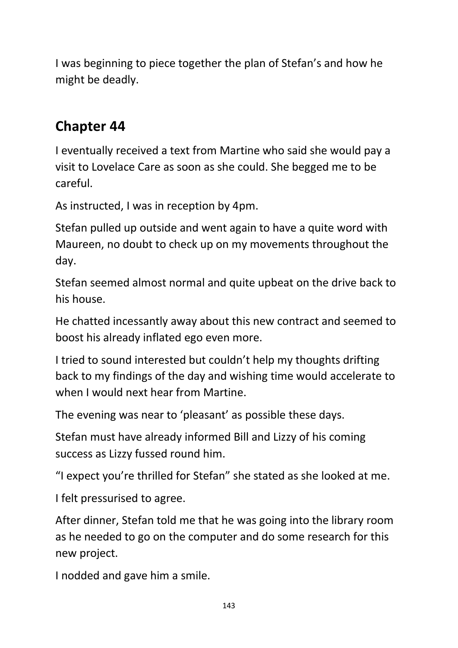I was beginning to piece together the plan of Stefan's and how he might be deadly.

### **Chapter 44**

I eventually received a text from Martine who said she would pay a visit to Lovelace Care as soon as she could. She begged me to be careful.

As instructed, I was in reception by 4pm.

Stefan pulled up outside and went again to have a quite word with Maureen, no doubt to check up on my movements throughout the day.

Stefan seemed almost normal and quite upbeat on the drive back to his house.

He chatted incessantly away about this new contract and seemed to boost his already inflated ego even more.

I tried to sound interested but couldn't help my thoughts drifting back to my findings of the day and wishing time would accelerate to when I would next hear from Martine.

The evening was near to 'pleasant' as possible these days.

Stefan must have already informed Bill and Lizzy of his coming success as Lizzy fussed round him.

"I expect you're thrilled for Stefan" she stated as she looked at me.

I felt pressurised to agree.

After dinner, Stefan told me that he was going into the library room as he needed to go on the computer and do some research for this new project.

I nodded and gave him a smile.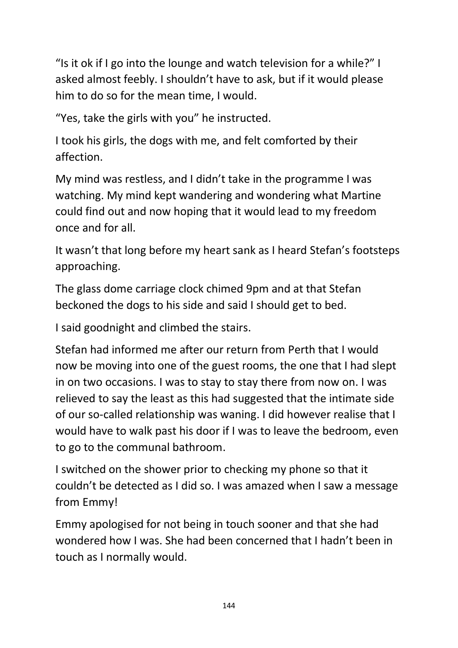"Is it ok if I go into the lounge and watch television for a while?" I asked almost feebly. I shouldn't have to ask, but if it would please him to do so for the mean time, I would.

"Yes, take the girls with you" he instructed.

I took his girls, the dogs with me, and felt comforted by their affection.

My mind was restless, and I didn't take in the programme I was watching. My mind kept wandering and wondering what Martine could find out and now hoping that it would lead to my freedom once and for all.

It wasn't that long before my heart sank as I heard Stefan's footsteps approaching.

The glass dome carriage clock chimed 9pm and at that Stefan beckoned the dogs to his side and said I should get to bed.

I said goodnight and climbed the stairs.

Stefan had informed me after our return from Perth that I would now be moving into one of the guest rooms, the one that I had slept in on two occasions. I was to stay to stay there from now on. I was relieved to say the least as this had suggested that the intimate side of our so-called relationship was waning. I did however realise that I would have to walk past his door if I was to leave the bedroom, even to go to the communal bathroom.

I switched on the shower prior to checking my phone so that it couldn't be detected as I did so. I was amazed when I saw a message from Emmy!

Emmy apologised for not being in touch sooner and that she had wondered how I was. She had been concerned that I hadn't been in touch as I normally would.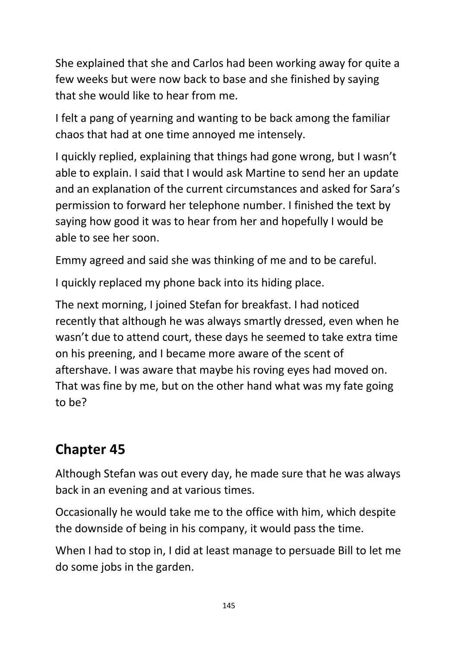She explained that she and Carlos had been working away for quite a few weeks but were now back to base and she finished by saying that she would like to hear from me.

I felt a pang of yearning and wanting to be back among the familiar chaos that had at one time annoyed me intensely.

I quickly replied, explaining that things had gone wrong, but I wasn't able to explain. I said that I would ask Martine to send her an update and an explanation of the current circumstances and asked for Sara's permission to forward her telephone number. I finished the text by saying how good it was to hear from her and hopefully I would be able to see her soon.

Emmy agreed and said she was thinking of me and to be careful.

I quickly replaced my phone back into its hiding place.

The next morning, I joined Stefan for breakfast. I had noticed recently that although he was always smartly dressed, even when he wasn't due to attend court, these days he seemed to take extra time on his preening, and I became more aware of the scent of aftershave. I was aware that maybe his roving eyes had moved on. That was fine by me, but on the other hand what was my fate going to be?

## **Chapter 45**

Although Stefan was out every day, he made sure that he was always back in an evening and at various times.

Occasionally he would take me to the office with him, which despite the downside of being in his company, it would pass the time.

When I had to stop in, I did at least manage to persuade Bill to let me do some jobs in the garden.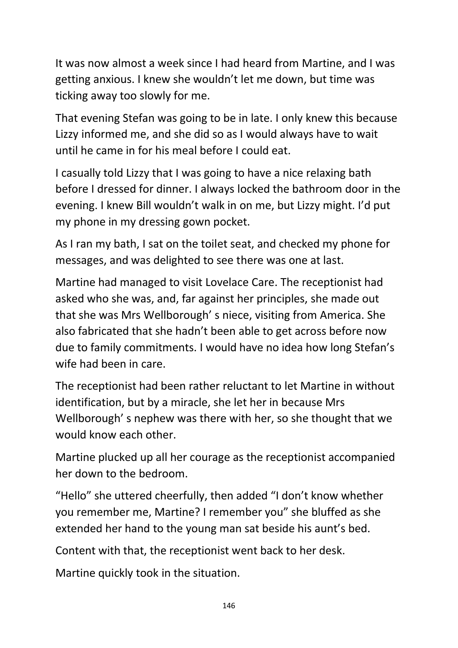It was now almost a week since I had heard from Martine, and I was getting anxious. I knew she wouldn't let me down, but time was ticking away too slowly for me.

That evening Stefan was going to be in late. I only knew this because Lizzy informed me, and she did so as I would always have to wait until he came in for his meal before I could eat.

I casually told Lizzy that I was going to have a nice relaxing bath before I dressed for dinner. I always locked the bathroom door in the evening. I knew Bill wouldn't walk in on me, but Lizzy might. I'd put my phone in my dressing gown pocket.

As I ran my bath, I sat on the toilet seat, and checked my phone for messages, and was delighted to see there was one at last.

Martine had managed to visit Lovelace Care. The receptionist had asked who she was, and, far against her principles, she made out that she was Mrs Wellborough' s niece, visiting from America. She also fabricated that she hadn't been able to get across before now due to family commitments. I would have no idea how long Stefan's wife had been in care.

The receptionist had been rather reluctant to let Martine in without identification, but by a miracle, she let her in because Mrs Wellborough' s nephew was there with her, so she thought that we would know each other.

Martine plucked up all her courage as the receptionist accompanied her down to the bedroom.

"Hello" she uttered cheerfully, then added "I don't know whether you remember me, Martine? I remember you" she bluffed as she extended her hand to the young man sat beside his aunt's bed.

Content with that, the receptionist went back to her desk.

Martine quickly took in the situation.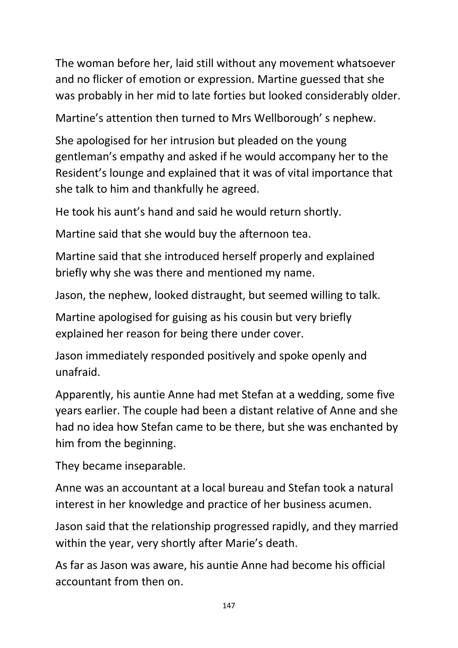The woman before her, laid still without any movement whatsoever and no flicker of emotion or expression. Martine guessed that she was probably in her mid to late forties but looked considerably older.

Martine's attention then turned to Mrs Wellborough' s nephew.

She apologised for her intrusion but pleaded on the young gentleman's empathy and asked if he would accompany her to the Resident's lounge and explained that it was of vital importance that she talk to him and thankfully he agreed.

He took his aunt's hand and said he would return shortly.

Martine said that she would buy the afternoon tea.

Martine said that she introduced herself properly and explained briefly why she was there and mentioned my name.

Jason, the nephew, looked distraught, but seemed willing to talk.

Martine apologised for guising as his cousin but very briefly explained her reason for being there under cover.

Jason immediately responded positively and spoke openly and unafraid.

Apparently, his auntie Anne had met Stefan at a wedding, some five years earlier. The couple had been a distant relative of Anne and she had no idea how Stefan came to be there, but she was enchanted by him from the beginning.

They became inseparable.

Anne was an accountant at a local bureau and Stefan took a natural interest in her knowledge and practice of her business acumen.

Jason said that the relationship progressed rapidly, and they married within the year, very shortly after Marie's death.

As far as Jason was aware, his auntie Anne had become his official accountant from then on.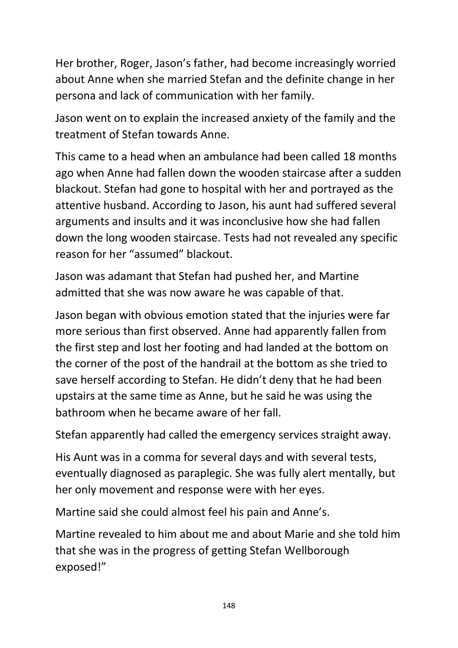Her brother, Roger, Jason's father, had become increasingly worried about Anne when she married Stefan and the definite change in her persona and lack of communication with her family.

Jason went on to explain the increased anxiety of the family and the treatment of Stefan towards Anne.

This came to a head when an ambulance had been called 18 months ago when Anne had fallen down the wooden staircase after a sudden blackout. Stefan had gone to hospital with her and portrayed as the attentive husband. According to Jason, his aunt had suffered several arguments and insults and it was inconclusive how she had fallen down the long wooden staircase. Tests had not revealed any specific reason for her "assumed" blackout.

Jason was adamant that Stefan had pushed her, and Martine admitted that she was now aware he was capable of that.

Jason began with obvious emotion stated that the injuries were far more serious than first observed. Anne had apparently fallen from the first step and lost her footing and had landed at the bottom on the corner of the post of the handrail at the bottom as she tried to save herself according to Stefan. He didn't deny that he had been upstairs at the same time as Anne, but he said he was using the bathroom when he became aware of her fall.

Stefan apparently had called the emergency services straight away.

His Aunt was in a comma for several days and with several tests, eventually diagnosed as paraplegic. She was fully alert mentally, but her only movement and response were with her eyes.

Martine said she could almost feel his pain and Anne's.

Martine revealed to him about me and about Marie and she told him that she was in the progress of getting Stefan Wellborough exposed!"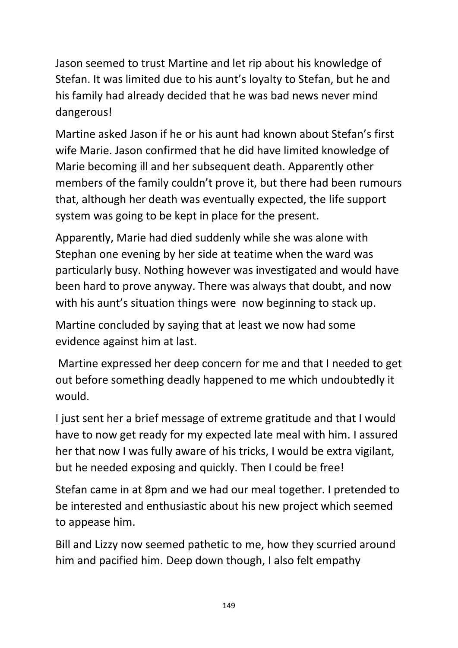Jason seemed to trust Martine and let rip about his knowledge of Stefan. It was limited due to his aunt's loyalty to Stefan, but he and his family had already decided that he was bad news never mind dangerous!

Martine asked Jason if he or his aunt had known about Stefan's first wife Marie. Jason confirmed that he did have limited knowledge of Marie becoming ill and her subsequent death. Apparently other members of the family couldn't prove it, but there had been rumours that, although her death was eventually expected, the life support system was going to be kept in place for the present.

Apparently, Marie had died suddenly while she was alone with Stephan one evening by her side at teatime when the ward was particularly busy. Nothing however was investigated and would have been hard to prove anyway. There was always that doubt, and now with his aunt's situation things were now beginning to stack up.

Martine concluded by saying that at least we now had some evidence against him at last.

Martine expressed her deep concern for me and that I needed to get out before something deadly happened to me which undoubtedly it would.

I just sent her a brief message of extreme gratitude and that I would have to now get ready for my expected late meal with him. I assured her that now I was fully aware of his tricks, I would be extra vigilant, but he needed exposing and quickly. Then I could be free!

Stefan came in at 8pm and we had our meal together. I pretended to be interested and enthusiastic about his new project which seemed to appease him.

Bill and Lizzy now seemed pathetic to me, how they scurried around him and pacified him. Deep down though, I also felt empathy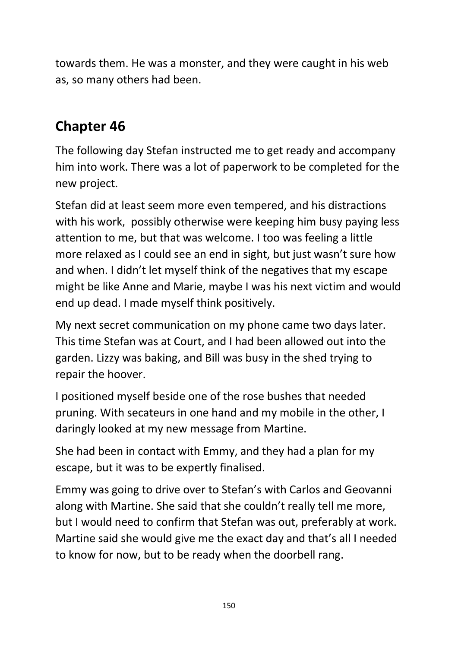towards them. He was a monster, and they were caught in his web as, so many others had been.

## **Chapter 46**

The following day Stefan instructed me to get ready and accompany him into work. There was a lot of paperwork to be completed for the new project.

Stefan did at least seem more even tempered, and his distractions with his work, possibly otherwise were keeping him busy paying less attention to me, but that was welcome. I too was feeling a little more relaxed as I could see an end in sight, but just wasn't sure how and when. I didn't let myself think of the negatives that my escape might be like Anne and Marie, maybe I was his next victim and would end up dead. I made myself think positively.

My next secret communication on my phone came two days later. This time Stefan was at Court, and I had been allowed out into the garden. Lizzy was baking, and Bill was busy in the shed trying to repair the hoover.

I positioned myself beside one of the rose bushes that needed pruning. With secateurs in one hand and my mobile in the other, I daringly looked at my new message from Martine.

She had been in contact with Emmy, and they had a plan for my escape, but it was to be expertly finalised.

Emmy was going to drive over to Stefan's with Carlos and Geovanni along with Martine. She said that she couldn't really tell me more, but I would need to confirm that Stefan was out, preferably at work. Martine said she would give me the exact day and that's all I needed to know for now, but to be ready when the doorbell rang.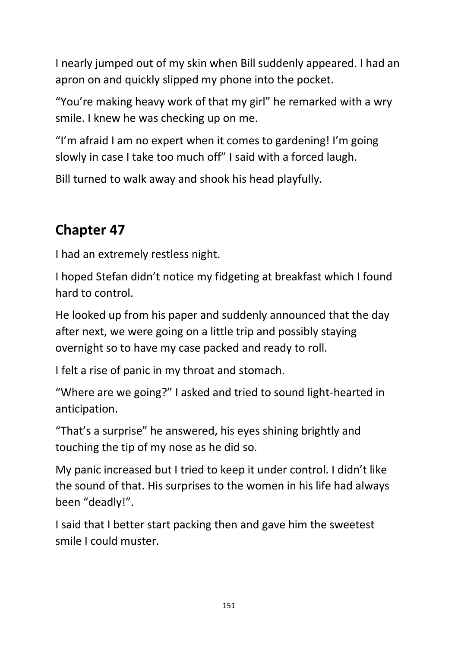I nearly jumped out of my skin when Bill suddenly appeared. I had an apron on and quickly slipped my phone into the pocket.

"You're making heavy work of that my girl" he remarked with a wry smile. I knew he was checking up on me.

"I'm afraid I am no expert when it comes to gardening! I'm going slowly in case I take too much off" I said with a forced laugh.

Bill turned to walk away and shook his head playfully.

# **Chapter 47**

I had an extremely restless night.

I hoped Stefan didn't notice my fidgeting at breakfast which I found hard to control.

He looked up from his paper and suddenly announced that the day after next, we were going on a little trip and possibly staying overnight so to have my case packed and ready to roll.

I felt a rise of panic in my throat and stomach.

"Where are we going?" I asked and tried to sound light-hearted in anticipation.

"That's a surprise" he answered, his eyes shining brightly and touching the tip of my nose as he did so.

My panic increased but I tried to keep it under control. I didn't like the sound of that. His surprises to the women in his life had always been "deadly!".

I said that I better start packing then and gave him the sweetest smile I could muster.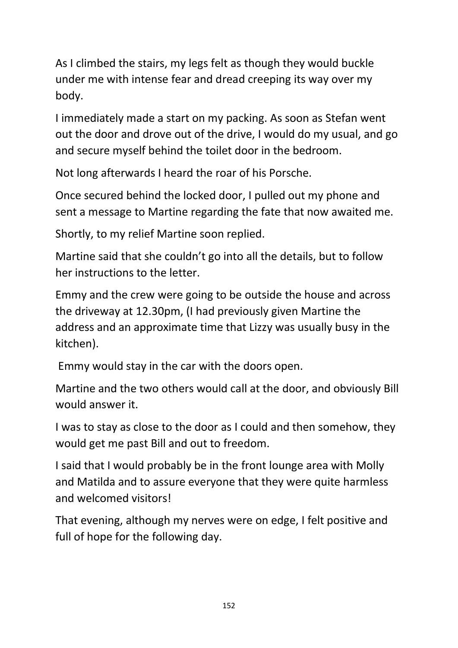As I climbed the stairs, my legs felt as though they would buckle under me with intense fear and dread creeping its way over my body.

I immediately made a start on my packing. As soon as Stefan went out the door and drove out of the drive, I would do my usual, and go and secure myself behind the toilet door in the bedroom.

Not long afterwards I heard the roar of his Porsche.

Once secured behind the locked door, I pulled out my phone and sent a message to Martine regarding the fate that now awaited me.

Shortly, to my relief Martine soon replied.

Martine said that she couldn't go into all the details, but to follow her instructions to the letter.

Emmy and the crew were going to be outside the house and across the driveway at 12.30pm, (I had previously given Martine the address and an approximate time that Lizzy was usually busy in the kitchen).

Emmy would stay in the car with the doors open.

Martine and the two others would call at the door, and obviously Bill would answer it.

I was to stay as close to the door as I could and then somehow, they would get me past Bill and out to freedom.

I said that I would probably be in the front lounge area with Molly and Matilda and to assure everyone that they were quite harmless and welcomed visitors!

That evening, although my nerves were on edge, I felt positive and full of hope for the following day.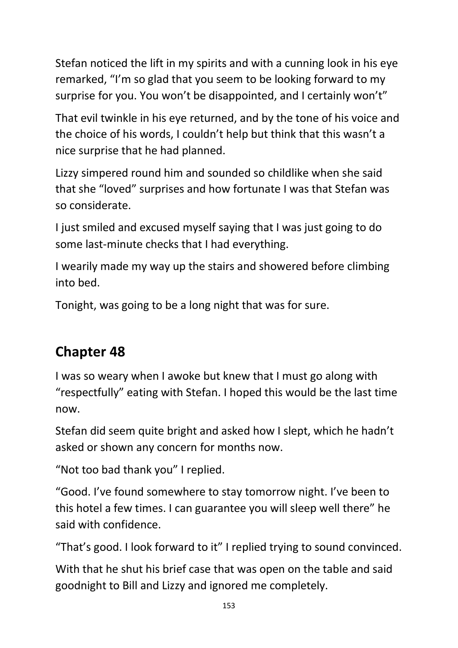Stefan noticed the lift in my spirits and with a cunning look in his eye remarked, "I'm so glad that you seem to be looking forward to my surprise for you. You won't be disappointed, and I certainly won't"

That evil twinkle in his eye returned, and by the tone of his voice and the choice of his words, I couldn't help but think that this wasn't a nice surprise that he had planned.

Lizzy simpered round him and sounded so childlike when she said that she "loved" surprises and how fortunate I was that Stefan was so considerate.

I just smiled and excused myself saying that I was just going to do some last-minute checks that I had everything.

I wearily made my way up the stairs and showered before climbing into bed.

Tonight, was going to be a long night that was for sure.

## **Chapter 48**

I was so weary when I awoke but knew that I must go along with "respectfully" eating with Stefan. I hoped this would be the last time now.

Stefan did seem quite bright and asked how I slept, which he hadn't asked or shown any concern for months now.

"Not too bad thank you" I replied.

"Good. I've found somewhere to stay tomorrow night. I've been to this hotel a few times. I can guarantee you will sleep well there" he said with confidence.

"That's good. I look forward to it" I replied trying to sound convinced.

With that he shut his brief case that was open on the table and said goodnight to Bill and Lizzy and ignored me completely.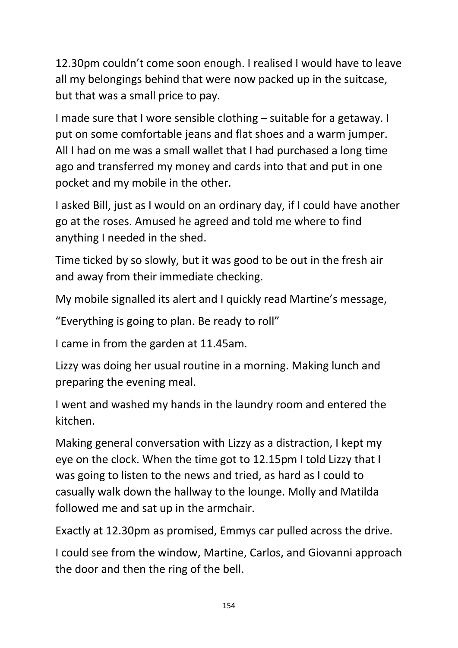12.30pm couldn't come soon enough. I realised I would have to leave all my belongings behind that were now packed up in the suitcase, but that was a small price to pay.

I made sure that I wore sensible clothing – suitable for a getaway. I put on some comfortable jeans and flat shoes and a warm jumper. All I had on me was a small wallet that I had purchased a long time ago and transferred my money and cards into that and put in one pocket and my mobile in the other.

I asked Bill, just as I would on an ordinary day, if I could have another go at the roses. Amused he agreed and told me where to find anything I needed in the shed.

Time ticked by so slowly, but it was good to be out in the fresh air and away from their immediate checking.

My mobile signalled its alert and I quickly read Martine's message,

"Everything is going to plan. Be ready to roll"

I came in from the garden at 11.45am.

Lizzy was doing her usual routine in a morning. Making lunch and preparing the evening meal.

I went and washed my hands in the laundry room and entered the kitchen.

Making general conversation with Lizzy as a distraction, I kept my eye on the clock. When the time got to 12.15pm I told Lizzy that I was going to listen to the news and tried, as hard as I could to casually walk down the hallway to the lounge. Molly and Matilda followed me and sat up in the armchair.

Exactly at 12.30pm as promised, Emmys car pulled across the drive.

I could see from the window, Martine, Carlos, and Giovanni approach the door and then the ring of the bell.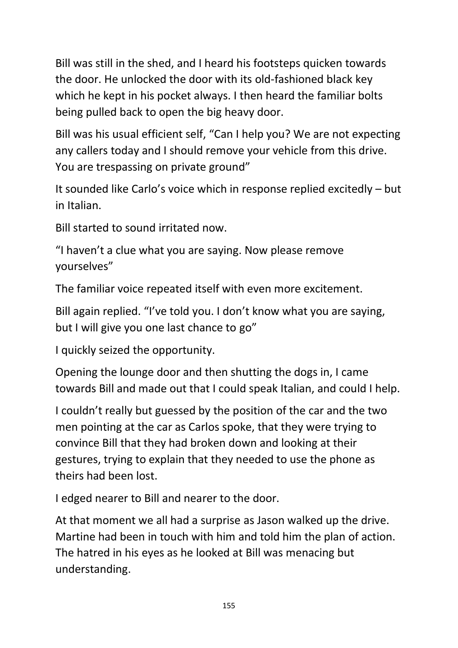Bill was still in the shed, and I heard his footsteps quicken towards the door. He unlocked the door with its old-fashioned black key which he kept in his pocket always. I then heard the familiar bolts being pulled back to open the big heavy door.

Bill was his usual efficient self, "Can I help you? We are not expecting any callers today and I should remove your vehicle from this drive. You are trespassing on private ground"

It sounded like Carlo's voice which in response replied excitedly – but in Italian.

Bill started to sound irritated now.

"I haven't a clue what you are saying. Now please remove yourselves"

The familiar voice repeated itself with even more excitement.

Bill again replied. "I've told you. I don't know what you are saying, but I will give you one last chance to go"

I quickly seized the opportunity.

Opening the lounge door and then shutting the dogs in, I came towards Bill and made out that I could speak Italian, and could I help.

I couldn't really but guessed by the position of the car and the two men pointing at the car as Carlos spoke, that they were trying to convince Bill that they had broken down and looking at their gestures, trying to explain that they needed to use the phone as theirs had been lost.

I edged nearer to Bill and nearer to the door.

At that moment we all had a surprise as Jason walked up the drive. Martine had been in touch with him and told him the plan of action. The hatred in his eyes as he looked at Bill was menacing but understanding.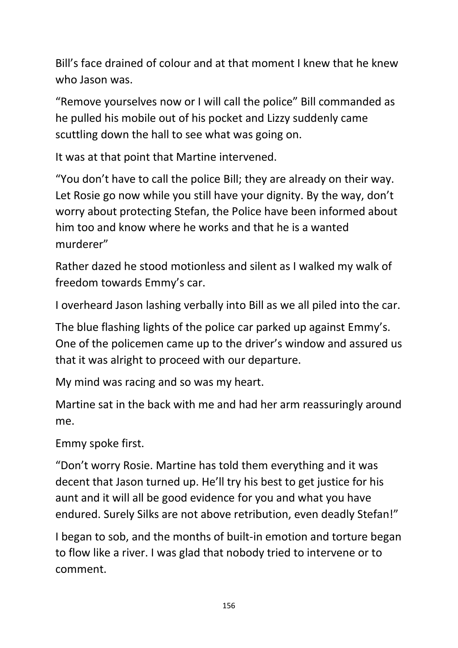Bill's face drained of colour and at that moment I knew that he knew who Jason was.

"Remove yourselves now or I will call the police" Bill commanded as he pulled his mobile out of his pocket and Lizzy suddenly came scuttling down the hall to see what was going on.

It was at that point that Martine intervened.

"You don't have to call the police Bill; they are already on their way. Let Rosie go now while you still have your dignity. By the way, don't worry about protecting Stefan, the Police have been informed about him too and know where he works and that he is a wanted murderer"

Rather dazed he stood motionless and silent as I walked my walk of freedom towards Emmy's car.

I overheard Jason lashing verbally into Bill as we all piled into the car.

The blue flashing lights of the police car parked up against Emmy's. One of the policemen came up to the driver's window and assured us that it was alright to proceed with our departure.

My mind was racing and so was my heart.

Martine sat in the back with me and had her arm reassuringly around me.

Emmy spoke first.

"Don't worry Rosie. Martine has told them everything and it was decent that Jason turned up. He'll try his best to get justice for his aunt and it will all be good evidence for you and what you have endured. Surely Silks are not above retribution, even deadly Stefan!"

I began to sob, and the months of built-in emotion and torture began to flow like a river. I was glad that nobody tried to intervene or to comment.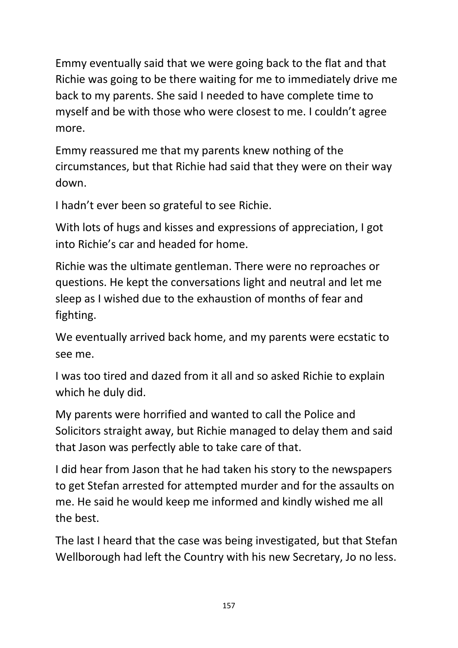Emmy eventually said that we were going back to the flat and that Richie was going to be there waiting for me to immediately drive me back to my parents. She said I needed to have complete time to myself and be with those who were closest to me. I couldn't agree more.

Emmy reassured me that my parents knew nothing of the circumstances, but that Richie had said that they were on their way down.

I hadn't ever been so grateful to see Richie.

With lots of hugs and kisses and expressions of appreciation, I got into Richie's car and headed for home.

Richie was the ultimate gentleman. There were no reproaches or questions. He kept the conversations light and neutral and let me sleep as I wished due to the exhaustion of months of fear and fighting.

We eventually arrived back home, and my parents were ecstatic to see me.

I was too tired and dazed from it all and so asked Richie to explain which he duly did.

My parents were horrified and wanted to call the Police and Solicitors straight away, but Richie managed to delay them and said that Jason was perfectly able to take care of that.

I did hear from Jason that he had taken his story to the newspapers to get Stefan arrested for attempted murder and for the assaults on me. He said he would keep me informed and kindly wished me all the best.

The last I heard that the case was being investigated, but that Stefan Wellborough had left the Country with his new Secretary, Jo no less.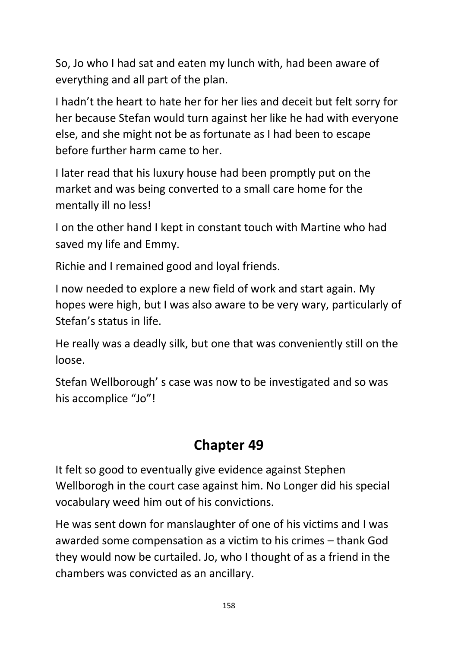So, Jo who I had sat and eaten my lunch with, had been aware of everything and all part of the plan.

I hadn't the heart to hate her for her lies and deceit but felt sorry for her because Stefan would turn against her like he had with everyone else, and she might not be as fortunate as I had been to escape before further harm came to her.

I later read that his luxury house had been promptly put on the market and was being converted to a small care home for the mentally ill no less!

I on the other hand I kept in constant touch with Martine who had saved my life and Emmy.

Richie and I remained good and loyal friends.

I now needed to explore a new field of work and start again. My hopes were high, but I was also aware to be very wary, particularly of Stefan's status in life.

He really was a deadly silk, but one that was conveniently still on the loose.

Stefan Wellborough' s case was now to be investigated and so was his accomplice "Jo"!

## **Chapter 49**

It felt so good to eventually give evidence against Stephen Wellborogh in the court case against him. No Longer did his special vocabulary weed him out of his convictions.

He was sent down for manslaughter of one of his victims and I was awarded some compensation as a victim to his crimes – thank God they would now be curtailed. Jo, who I thought of as a friend in the chambers was convicted as an ancillary.